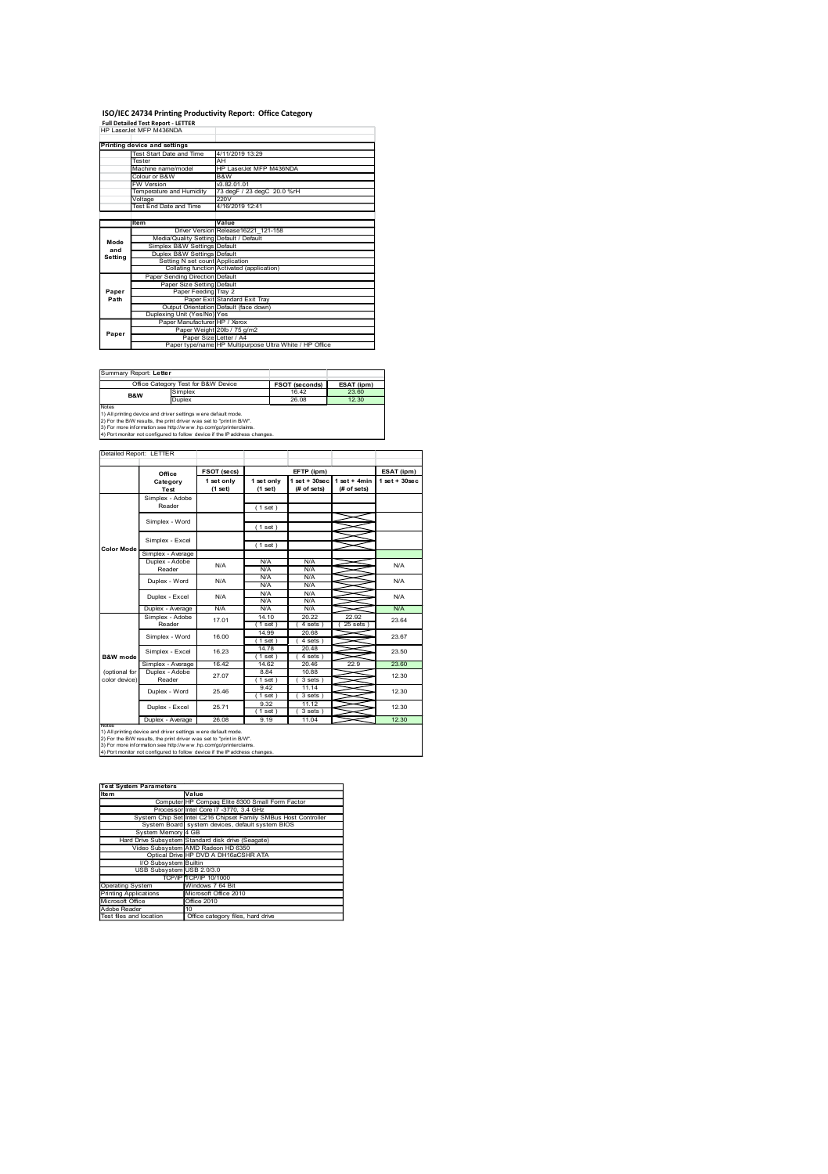### ISO/IEC 24734 Printing Productivity Report: Office Category<br>Full Detailed Test Report - LETTER<br>HP LaserJet MFP M438NDA

|                        | ISO/IEC 24734 Printing Productivity Report: Office Category<br>Full Detailed Test Report - LETTER<br>HP LaserJet MFP M436NDA                                                                                                               |                                                                                                                                                         |                                                                             |                                                                            |                                                             |                                |
|------------------------|--------------------------------------------------------------------------------------------------------------------------------------------------------------------------------------------------------------------------------------------|---------------------------------------------------------------------------------------------------------------------------------------------------------|-----------------------------------------------------------------------------|----------------------------------------------------------------------------|-------------------------------------------------------------|--------------------------------|
|                        | <b>Printing device and settings<br/>Test Start Date and</b>                                                                                                                                                                                | 4/11/2019 13:29                                                                                                                                         |                                                                             |                                                                            |                                                             |                                |
|                        | ester<br>Aachine name/model                                                                                                                                                                                                                | Αŀ                                                                                                                                                      |                                                                             |                                                                            |                                                             |                                |
|                        | olour or B&W                                                                                                                                                                                                                               |                                                                                                                                                         |                                                                             |                                                                            |                                                             |                                |
|                        | W Version<br>emperature and Humidity                                                                                                                                                                                                       |                                                                                                                                                         | HP LaserJet MFP M436NDA<br>B&W<br>v3.82.01.01<br>73 degF / 23 degC 20.0 %rH |                                                                            |                                                             |                                |
|                        | /oltage<br>'est End Date and Time'<br>Item                                                                                                                                                                                                 | 4/16/2019 12:41                                                                                                                                         |                                                                             |                                                                            |                                                             |                                |
|                        |                                                                                                                                                                                                                                            | <b>Driver Version</b><br>Media/Quality Setting Default / Default                                                                                        | Value<br>Release16221_121-158                                               |                                                                            |                                                             |                                |
| Mode<br>and<br>Setting | Simplex B&W Settings Default<br>Duplex B&W Settings Default                                                                                                                                                                                |                                                                                                                                                         | (application)                                                               |                                                                            |                                                             |                                |
|                        | Setting N set count Application<br>Collating function Activated<br>Paper Sending Direction Default                                                                                                                                         |                                                                                                                                                         |                                                                             |                                                                            |                                                             |                                |
| Paper<br>Path          | Dup                                                                                                                                                                                                                                        | Paper Size Setting Default<br>Paper Feeding Tray 2<br>Paper Exit Standard Exit Tray<br>Output Orientation Default (face down)<br>xing Unit (Yes/No) Yes |                                                                             |                                                                            |                                                             |                                |
| Paper                  |                                                                                                                                                                                                                                            | Rexing Unit (Yes/No) Yes<br>Paper Manufacturer HP / Xerox<br>Paper Weight 20lb / 75 g/m2                                                                |                                                                             |                                                                            |                                                             |                                |
|                        |                                                                                                                                                                                                                                            | Paper Size Letter / A4<br>Paper type/name HP Multipurpose Ultra White / HP Office                                                                       |                                                                             |                                                                            |                                                             |                                |
|                        | Summary Report: Letter<br>Office Category Test for B&W Device<br><b>B&amp;W</b>                                                                                                                                                            |                                                                                                                                                         |                                                                             | FSOT (seconds)                                                             | ESAT (ipm)                                                  |                                |
| Notes                  | Duplex                                                                                                                                                                                                                                     |                                                                                                                                                         |                                                                             | 26.08                                                                      | 12.30                                                       |                                |
|                        | Notes<br>1) All printing device and driver settings were default mode.<br>2) For the BMV results, the print driver was set to "print in BW".<br>3) For more information see http://www.hp.com/go/printerclaims.<br>4) Port monitor not con |                                                                                                                                                         |                                                                             |                                                                            |                                                             |                                |
|                        | Detailed Report: LETTER                                                                                                                                                                                                                    |                                                                                                                                                         |                                                                             |                                                                            |                                                             |                                |
|                        |                                                                                                                                                                                                                                            | FSOT (secs)<br>$1set only (1set)$                                                                                                                       | $1 set only(1 set)$                                                         | EFTP (ipm)<br>$\frac{1 \text{ set} + 30 \text{ sec}}{(t \text{ of sets})}$ | $\frac{1 \text{ set } + 4 \text{min}}{(\text{ff of sets})}$ | ESAT (ipm)<br>$1 set + 30 sec$ |
|                        | Office<br>Category<br>Test<br>Simplex - Adobe<br>Reader                                                                                                                                                                                    |                                                                                                                                                         | (1 set)                                                                     |                                                                            |                                                             |                                |
|                        | Simplex - Word                                                                                                                                                                                                                             |                                                                                                                                                         | (1 set)                                                                     |                                                                            | չ<br>≂                                                      |                                |
| Color Mod              | Simplex - Excel<br>Simplex - Average                                                                                                                                                                                                       |                                                                                                                                                         | (1 set)                                                                     |                                                                            | ⋚                                                           |                                |
|                        | Duplex - Adobe<br>Reader<br>Duplex - Word                                                                                                                                                                                                  | $\mathsf{N}/\mathsf{A}$<br>$\mathsf{N\!V\!A}$                                                                                                           | N/A<br>N/A<br>$N/A$<br>$N/A$                                                | N/A<br>N/A<br>$N/A$<br>$N/A$                                               | ⇒<br>⇒<br>≤                                                 | N/A<br>N/A                     |

|                                                                                                                | ISO/IEC 24734 Printing Productivity Report: Office Category                                                                                                                                                                              |                                                                                     |                                           |                                                                                   |                                                                                                                                                 |                |
|----------------------------------------------------------------------------------------------------------------|------------------------------------------------------------------------------------------------------------------------------------------------------------------------------------------------------------------------------------------|-------------------------------------------------------------------------------------|-------------------------------------------|-----------------------------------------------------------------------------------|-------------------------------------------------------------------------------------------------------------------------------------------------|----------------|
|                                                                                                                | Full Detailed Test Report - LETTER<br>HP LaserJet MFP M436NDA                                                                                                                                                                            |                                                                                     |                                           |                                                                                   |                                                                                                                                                 |                |
|                                                                                                                | Printing device and settings<br>Test Start Date an                                                                                                                                                                                       | 4/11/2019 13:29                                                                     |                                           |                                                                                   |                                                                                                                                                 |                |
|                                                                                                                | Tester<br>Machine name/model                                                                                                                                                                                                             | AH                                                                                  | HP LaserJet MFP M436NDA                   |                                                                                   |                                                                                                                                                 |                |
|                                                                                                                | lour or B&W<br>V Version                                                                                                                                                                                                                 | B&W                                                                                 | v3.82.01.01<br>73 degF / 23 degC 20.0 %rH |                                                                                   |                                                                                                                                                 |                |
|                                                                                                                | emperature and Humidity<br>oltage<br>ist End Date and Time                                                                                                                                                                               | 220V<br>4/16/2019 12:41                                                             |                                           |                                                                                   |                                                                                                                                                 |                |
|                                                                                                                |                                                                                                                                                                                                                                          | Value                                                                               |                                           |                                                                                   |                                                                                                                                                 |                |
| Mode                                                                                                           |                                                                                                                                                                                                                                          | Driver Version Release16221_121-158                                                 |                                           |                                                                                   |                                                                                                                                                 |                |
| mode<br>and<br>Setting                                                                                         | Media/Quality Setting Default / Default<br>Simplex B&W Settings Default<br>Duplex B&W Settings Default                                                                                                                                   |                                                                                     |                                           |                                                                                   |                                                                                                                                                 |                |
|                                                                                                                | Setting N set count Application<br>Collating function Activated (application)<br>Paper Sending Direction Default                                                                                                                         |                                                                                     |                                           |                                                                                   |                                                                                                                                                 |                |
| Paper<br>Path                                                                                                  |                                                                                                                                                                                                                                          | Paper Size Setting Default<br>Paper Feeding Tray 2<br>Paper Exit Standard Exit Tray |                                           |                                                                                   |                                                                                                                                                 |                |
|                                                                                                                | Output Orientation Default (face down)<br>Duplexing Unit (Yes/No) Yes                                                                                                                                                                    |                                                                                     |                                           |                                                                                   |                                                                                                                                                 |                |
|                                                                                                                |                                                                                                                                                                                                                                          | Manufacturer HP / Xerox<br>Paper Weight 20lb / 75 g/m2                              |                                           |                                                                                   |                                                                                                                                                 |                |
| Paper                                                                                                          |                                                                                                                                                                                                                                          |                                                                                     |                                           | Paper Size Letter / A4<br>Paper type/name HP Multipurpose Ultra White / HP Office |                                                                                                                                                 |                |
|                                                                                                                |                                                                                                                                                                                                                                          |                                                                                     |                                           |                                                                                   |                                                                                                                                                 |                |
| Summary Report: Letter                                                                                         |                                                                                                                                                                                                                                          |                                                                                     |                                           |                                                                                   |                                                                                                                                                 |                |
| <b>B&amp;W</b>                                                                                                 | Office Category Test for B&W Device<br>mplex<br><b>Simplex</b>                                                                                                                                                                           |                                                                                     |                                           | FSOT (seconds)<br>26.08                                                           | ESAT (ipm)<br>12.30                                                                                                                             |                |
| Notes                                                                                                          |                                                                                                                                                                                                                                          |                                                                                     |                                           |                                                                                   |                                                                                                                                                 |                |
|                                                                                                                | were<br>1) All printing device and driver settings were default mode.<br>2) For the BM results, the print driver was set to "print in BW".<br>3) For more information see http://www.hp.com/go/printercialms.<br>4) Port monitor not c   |                                                                                     |                                           |                                                                                   |                                                                                                                                                 |                |
|                                                                                                                | Detailed Report: LETTER                                                                                                                                                                                                                  |                                                                                     |                                           |                                                                                   |                                                                                                                                                 |                |
|                                                                                                                | Office                                                                                                                                                                                                                                   | FSOT (secs)                                                                         |                                           | EFTP (ipm)                                                                        |                                                                                                                                                 | ESAT (ipm)     |
|                                                                                                                | Category<br>Test                                                                                                                                                                                                                         | $\begin{array}{c} 1 \text{ set only} \\ (1 \text{ set}) \end{array}$                | 1 set only<br>(1 set)                     |                                                                                   | $\begin{array}{c c} \n1 \text{ set } +30 \text{ sec} & 1 \text{ set } +4 \text{min} \\ \n\text{(# of sets)} & \text{(# of sets)} \n\end{array}$ | $1 set + 30se$ |
|                                                                                                                | Simplex - Adobe<br>Reader                                                                                                                                                                                                                |                                                                                     | (1 set)                                   |                                                                                   |                                                                                                                                                 |                |
|                                                                                                                | Simplex - Word                                                                                                                                                                                                                           |                                                                                     |                                           |                                                                                   |                                                                                                                                                 |                |
|                                                                                                                | Simplex - Excel                                                                                                                                                                                                                          |                                                                                     | (1 set)                                   |                                                                                   | ⋚                                                                                                                                               |                |
| <b>Color Mod</b>                                                                                               | Average                                                                                                                                                                                                                                  |                                                                                     | (1 set)                                   |                                                                                   | $\approx$                                                                                                                                       |                |
|                                                                                                                | Duplex - Adobe<br>Reader                                                                                                                                                                                                                 | <b>N/A</b>                                                                          | <b>N/A</b><br><b>N/A</b>                  | N/A<br>N/A                                                                        | ≤                                                                                                                                               | N/A            |
|                                                                                                                | Duplex - Word                                                                                                                                                                                                                            | N/A                                                                                 | N/A<br>N/A                                | $\frac{N}{A}$                                                                     |                                                                                                                                                 | N/A            |
|                                                                                                                | Duplex - Excel<br>Duplex - Averag                                                                                                                                                                                                        | N/A<br>N/A                                                                          | <b>N/A</b><br><b>N/A</b>                  | N/A<br>N/A<br>$N/\beta$                                                           | ≋                                                                                                                                               | N/A<br>N/A     |
|                                                                                                                | Simplex - Adobe<br>Reader                                                                                                                                                                                                                | 17.01                                                                               | 14.10<br>$(1$ set                         | 20.22<br>(4 sets)                                                                 | 22.92<br>(25 sets)                                                                                                                              | 23.64          |
|                                                                                                                | Simplex - Word                                                                                                                                                                                                                           | 16.00                                                                               | 14.99<br>$(1$ set                         | $\frac{20.68}{(4 \text{ sets})}$                                                  |                                                                                                                                                 | 23.67          |
| B&W mod                                                                                                        | Simplex - Excel                                                                                                                                                                                                                          | 16.23                                                                               | $\frac{14.78}{(1.55)}$                    | $\frac{20.48}{(4 \text{ sets})}$                                                  | ═                                                                                                                                               | 23.50          |
| (optional for                                                                                                  | Simplex - Average                                                                                                                                                                                                                        | 16.42<br>27.07                                                                      | 14.62<br>8.84                             | 20.46<br>10.88                                                                    | 22.9                                                                                                                                            | 23.60<br>12.30 |
| color device                                                                                                   | Duplex - Adol<br>Reader<br>Duplex - Word                                                                                                                                                                                                 | 25.46                                                                               | (1 set)<br>$\frac{9.42}{(1.55)}$          | (3 sets)                                                                          | ∽                                                                                                                                               | 12.30          |
|                                                                                                                | Duplex - Excel                                                                                                                                                                                                                           | 25.71                                                                               | 9.32                                      | $\frac{11.14}{(3 \text{ sets})}$<br>11.12                                         | §                                                                                                                                               | 12.30          |
|                                                                                                                | Duplex - Average                                                                                                                                                                                                                         | 26.08                                                                               | $(1 set)$<br>9.19                         | (3 sets)<br>11.04                                                                 |                                                                                                                                                 | 12.30          |
|                                                                                                                | Notes<br>1978 - Duplex - Average 26.08<br>1) Al principal device selfings were default mode.<br>2) For the BIW results, the print driver was self to "print in BW".<br>3) For mee HIV results nee http://www.hp.comgoprintenciams.<br>4) |                                                                                     |                                           |                                                                                   |                                                                                                                                                 |                |
|                                                                                                                |                                                                                                                                                                                                                                          |                                                                                     |                                           |                                                                                   |                                                                                                                                                 |                |
|                                                                                                                |                                                                                                                                                                                                                                          |                                                                                     |                                           |                                                                                   |                                                                                                                                                 |                |
|                                                                                                                | Test System Parameters<br>Item                                                                                                                                                                                                           |                                                                                     |                                           |                                                                                   |                                                                                                                                                 |                |
|                                                                                                                | Im Parameters<br>Computer HP Compaq Elite 8300 Small Form Factor<br>Processor Intel Core 17 -3770, 3.4 GHz<br>System Chip Set Intel C216 Chipset Family SMBus Host Controller                                                            |                                                                                     |                                           |                                                                                   |                                                                                                                                                 |                |
|                                                                                                                | System Board system devices, default system BIO                                                                                                                                                                                          |                                                                                     |                                           |                                                                                   |                                                                                                                                                 |                |
|                                                                                                                | System Memory 4 GB<br>Hard Drive Subsyster                                                                                                                                                                                               |                                                                                     |                                           |                                                                                   |                                                                                                                                                 |                |
|                                                                                                                | ie Subsystem Standard disk drive (Seagate)<br>Io Subsystem AMD Radeon HD 6350<br>Optical Drive HP DVD A DH16aCSHR ATA<br>Video Subsyster<br>I/O Subsystem Builtin                                                                        |                                                                                     |                                           |                                                                                   |                                                                                                                                                 |                |
|                                                                                                                | USB Subsystem                                                                                                                                                                                                                            | USB 2.0/3.0<br><b>TCP/IP 10/1000</b>                                                |                                           |                                                                                   |                                                                                                                                                 |                |
|                                                                                                                |                                                                                                                                                                                                                                          | Windows 7 64 Bit<br>icrosoft Office 2010                                            |                                           |                                                                                   |                                                                                                                                                 |                |
| TO<br>Operating System<br>Printing Applications<br>Microsoft Office<br>Adobe Reader<br>Test files and location |                                                                                                                                                                                                                                          | ffice 2010                                                                          |                                           |                                                                                   |                                                                                                                                                 |                |
|                                                                                                                |                                                                                                                                                                                                                                          | Office category files, hard drive                                                   |                                           |                                                                                   |                                                                                                                                                 |                |
|                                                                                                                |                                                                                                                                                                                                                                          |                                                                                     |                                           |                                                                                   |                                                                                                                                                 |                |
|                                                                                                                |                                                                                                                                                                                                                                          |                                                                                     |                                           |                                                                                   |                                                                                                                                                 |                |
|                                                                                                                |                                                                                                                                                                                                                                          |                                                                                     |                                           |                                                                                   |                                                                                                                                                 |                |
|                                                                                                                |                                                                                                                                                                                                                                          |                                                                                     |                                           |                                                                                   |                                                                                                                                                 |                |
|                                                                                                                |                                                                                                                                                                                                                                          |                                                                                     |                                           |                                                                                   |                                                                                                                                                 |                |
|                                                                                                                |                                                                                                                                                                                                                                          |                                                                                     |                                           |                                                                                   |                                                                                                                                                 |                |

| <b>Test System Parameters</b> |                                                                 |  |  |  |  |  |  |  |
|-------------------------------|-----------------------------------------------------------------|--|--|--|--|--|--|--|
| Item                          | Value                                                           |  |  |  |  |  |  |  |
|                               | Computer HP Compag Elite 8300 Small Form Factor                 |  |  |  |  |  |  |  |
|                               | Processor Intel Core i7 -3770, 3.4 GHz                          |  |  |  |  |  |  |  |
|                               | System Chip Set Intel C216 Chipset Family SMBus Host Controller |  |  |  |  |  |  |  |
|                               | System Board system devices, default system BIOS                |  |  |  |  |  |  |  |
| System Memory 4 GB            |                                                                 |  |  |  |  |  |  |  |
|                               | Hard Drive Subsystem Standard disk drive (Seagate)              |  |  |  |  |  |  |  |
|                               | Video Subsystem AMD Radeon HD 6350                              |  |  |  |  |  |  |  |
|                               | Optical Drive HP DVD A DH16aCSHR ATA                            |  |  |  |  |  |  |  |
| I/O Subsystem Builtin         |                                                                 |  |  |  |  |  |  |  |
| USB Subsystem USB 2.0/3.0     |                                                                 |  |  |  |  |  |  |  |
|                               | TCP/IP TCP/IP 10/1000                                           |  |  |  |  |  |  |  |
| Operating System              | Windows 7 64 Bit                                                |  |  |  |  |  |  |  |
| Printing Applications         | Microsoft Office 2010                                           |  |  |  |  |  |  |  |
| Microsoft Office              | Office 2010                                                     |  |  |  |  |  |  |  |
| Adobe Reader                  | 10                                                              |  |  |  |  |  |  |  |
| Test files and location       | Office category files, hard drive                               |  |  |  |  |  |  |  |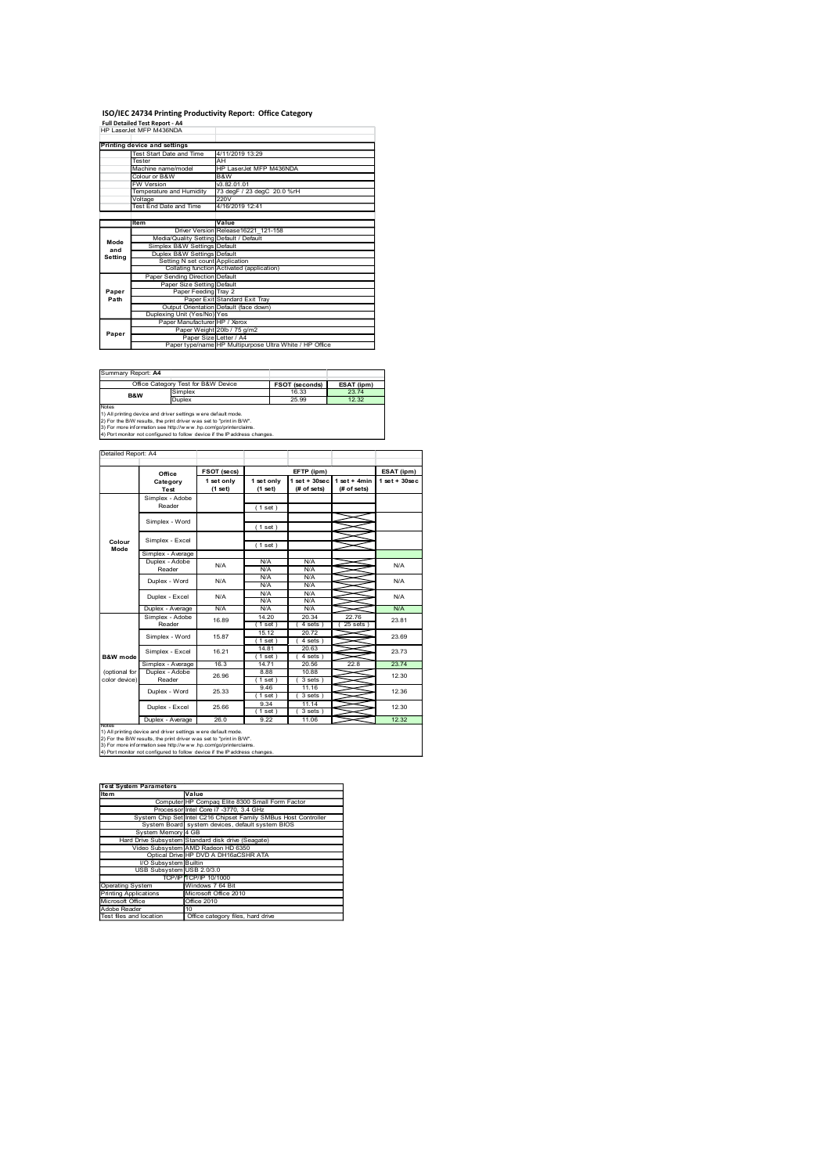### ISO/IEC 24734 Printing Productivity Report: Office Category<br>Full Detailed Test Report - A4<br>HP LaserJet MFP M438NDA

|                        | ISO/IEC 24734 Printing Productivity Report: Office Category<br>Full Detailed Test Report - A4                                                                                                                                              |                                                                                                                                                                                      |                               |                                                                            |                                                                                     |                                |
|------------------------|--------------------------------------------------------------------------------------------------------------------------------------------------------------------------------------------------------------------------------------------|--------------------------------------------------------------------------------------------------------------------------------------------------------------------------------------|-------------------------------|----------------------------------------------------------------------------|-------------------------------------------------------------------------------------|--------------------------------|
|                        | <b>Printing device and settings<br/>Test Start Date and</b>                                                                                                                                                                                |                                                                                                                                                                                      |                               |                                                                            |                                                                                     |                                |
|                        | 4/11/2019 13:29<br>ester<br>Αŀ<br>HP LaserJet MFP M436NDA<br>B&W<br>v3.82.01.01<br>Aachine name/model<br>olour or B&W                                                                                                                      |                                                                                                                                                                                      |                               |                                                                            |                                                                                     |                                |
|                        | W Version<br>emperature and Humidity                                                                                                                                                                                                       |                                                                                                                                                                                      |                               |                                                                            |                                                                                     |                                |
|                        | /oltage<br>'est End Date and Time'                                                                                                                                                                                                         | 220V<br>4/16/2019 12:41                                                                                                                                                              | 73 degF / 23 degC 20.0 %rH    |                                                                            |                                                                                     |                                |
|                        | Item                                                                                                                                                                                                                                       | <b>Driver Version</b><br>Media/Quality Setting Default / Default                                                                                                                     | Value<br>Release16221_121-158 |                                                                            |                                                                                     |                                |
| Mode<br>and<br>Setting | Simplex B&W Settings Default<br>Duplex B&W Settings Default<br>Setting N set count Application<br>Collating function Activated (application)<br>Paper Sending Direction Default                                                            |                                                                                                                                                                                      |                               |                                                                            |                                                                                     |                                |
| Paper<br>Path          | Dup                                                                                                                                                                                                                                        | Paper Size Setting Default<br>Paper Feeding Tray 2<br>Paper Exit Standard Exit Tray                                                                                                  |                               |                                                                            |                                                                                     |                                |
| Paper                  |                                                                                                                                                                                                                                            | Paper Extragram<br>Output Orientation Default (face down)<br>Nexing Unit (Yes/No) Yes<br>Paper Manufacturer HP / Xerox<br>Paper Weight 201b / 75 g/m2<br>Paper Weight 201b / 75 g/m2 |                               |                                                                            |                                                                                     |                                |
|                        | Summary Report: A4                                                                                                                                                                                                                         | Paper Size Letter / A4<br>Paper type/name HP Multipurpose Ultra White / HP Office                                                                                                    |                               |                                                                            |                                                                                     |                                |
| Notes                  | Office Category Test for B&W Device<br><b>B&amp;W</b><br>Duplex                                                                                                                                                                            |                                                                                                                                                                                      |                               | FSOT (seconds)<br>25.99                                                    | ESAT (ipm)<br>12.32                                                                 |                                |
|                        |                                                                                                                                                                                                                                            |                                                                                                                                                                                      |                               |                                                                            |                                                                                     |                                |
| Detailed Report: A4    | Notes<br>1) All printing device and driver settings were default mode.<br>2) For the BMV results, the print driver was set to "print in BW".<br>3) For more information see http://www.hp.com/go/printerclaims.<br>4) Port monitor not con |                                                                                                                                                                                      |                               |                                                                            |                                                                                     |                                |
|                        | Office<br>Category<br>Test                                                                                                                                                                                                                 | FSOT (secs)<br>$1 set only(1 set)$                                                                                                                                                   | $1 set only(1 set)$           | EFTP (ipm)<br>$\frac{1 \text{ set} + 30 \text{ sec}}{(t \text{ of sets})}$ | $\begin{array}{c}\n1 \text{ set } + 4\text{min} \\ \text{(# of sets)}\n\end{array}$ | ESAT (ipm)<br>$1 set + 30 sec$ |
|                        | Simplex - Adobe<br>Reader<br>Simplex - Word                                                                                                                                                                                                |                                                                                                                                                                                      | (1 set)                       |                                                                            | ᆇ                                                                                   |                                |
| Colour<br>Mode         | Simplex - Excel                                                                                                                                                                                                                            |                                                                                                                                                                                      | (1 set)<br>(1 set)            |                                                                            | ≤<br>⋚                                                                              |                                |
|                        | Simplex - Average<br>Duplex - Adobe<br>Reader<br>Duplex - Word                                                                                                                                                                             | $\mathsf{N}/\mathsf{A}$<br>$\mathsf{N\!V\!A}$                                                                                                                                        | N/A<br>N/A<br>$N/A$<br>$N/A$  | N/A<br>N/A<br>$N/A$<br>$N/A$                                               | ⇒<br>⇒<br>≤                                                                         | N/A<br>N/A                     |

|                                                                                                                | ISO/IEC 24734 Printing Productivity Report: Office Category                                                                                                                                                                                |                                                                      |                                           |                                                                                   |                                                                                                                                                 |                   |
|----------------------------------------------------------------------------------------------------------------|--------------------------------------------------------------------------------------------------------------------------------------------------------------------------------------------------------------------------------------------|----------------------------------------------------------------------|-------------------------------------------|-----------------------------------------------------------------------------------|-------------------------------------------------------------------------------------------------------------------------------------------------|-------------------|
|                                                                                                                | Full Detailed Test Report - A4<br>HP LaserJet MFP M436NDA                                                                                                                                                                                  |                                                                      |                                           |                                                                                   |                                                                                                                                                 |                   |
|                                                                                                                | Printing device and settings                                                                                                                                                                                                               |                                                                      |                                           |                                                                                   |                                                                                                                                                 |                   |
|                                                                                                                | Test Start Date an<br>Tester<br>Machine name/model                                                                                                                                                                                         | 4/11/2019 13:29<br>AH                                                | HP LaserJet MFP M436NDA                   |                                                                                   |                                                                                                                                                 |                   |
|                                                                                                                | lour or B&W                                                                                                                                                                                                                                | B&W                                                                  |                                           |                                                                                   |                                                                                                                                                 |                   |
|                                                                                                                | V Version<br>emperature and Humidity                                                                                                                                                                                                       |                                                                      | v3.82.01.01<br>73 degF / 23 degC 20.0 %rH |                                                                                   |                                                                                                                                                 |                   |
|                                                                                                                | oltage<br>est End Date and Time                                                                                                                                                                                                            | 220V<br>4/16/2019 12:41                                              |                                           |                                                                                   |                                                                                                                                                 |                   |
|                                                                                                                |                                                                                                                                                                                                                                            | Value                                                                |                                           |                                                                                   |                                                                                                                                                 |                   |
| Mode                                                                                                           |                                                                                                                                                                                                                                            | Driver Version Release16221_121-158                                  |                                           |                                                                                   |                                                                                                                                                 |                   |
| mode<br>and<br>Setting                                                                                         | Media/Quality Setting Default / Default<br>Simplex B&W Settings Default<br>Duplex B&W Settings Default                                                                                                                                     |                                                                      |                                           |                                                                                   |                                                                                                                                                 |                   |
|                                                                                                                | Setting N set count Application<br>Collating function Activated (application)<br>Paper Sending Direction Default                                                                                                                           |                                                                      |                                           |                                                                                   |                                                                                                                                                 |                   |
|                                                                                                                |                                                                                                                                                                                                                                            | Paper Size Setting Default                                           |                                           |                                                                                   |                                                                                                                                                 |                   |
| Paper<br>Path                                                                                                  |                                                                                                                                                                                                                                            | Paper Feeding Tray 2<br>Paper Exit Standard Exit Tray                |                                           |                                                                                   |                                                                                                                                                 |                   |
|                                                                                                                | Output Orientation Default (face down)<br>Duplexing Unit (Yes/No) Yes                                                                                                                                                                      |                                                                      |                                           |                                                                                   |                                                                                                                                                 |                   |
| Paper                                                                                                          |                                                                                                                                                                                                                                            | Manufacturer HP / Xerox<br>Paper Weight 20lb / 75 g/m2               |                                           |                                                                                   |                                                                                                                                                 |                   |
|                                                                                                                |                                                                                                                                                                                                                                            |                                                                      |                                           | Paper Size Letter / A4<br>Paper type/name HP Multipurpose Ultra White / HP Office |                                                                                                                                                 |                   |
|                                                                                                                |                                                                                                                                                                                                                                            |                                                                      |                                           |                                                                                   |                                                                                                                                                 |                   |
| Summary Report: A4                                                                                             |                                                                                                                                                                                                                                            |                                                                      |                                           |                                                                                   |                                                                                                                                                 |                   |
| <b>B&amp;W</b>                                                                                                 | Office Category Test for B&W Device<br>Simplex<br>Duplex                                                                                                                                                                                   |                                                                      |                                           | FSOT (seconds)<br>25.99                                                           | ESAT (ipm)<br>12.32                                                                                                                             |                   |
| Notes                                                                                                          |                                                                                                                                                                                                                                            |                                                                      |                                           |                                                                                   |                                                                                                                                                 |                   |
|                                                                                                                | were<br>1) All printing device and driver settings were default mode.<br>2) For the BM results, the print driver was set to "print in BW".<br>3) For more information see http://www.hp.com/go/printercialms.<br>4) Port monitor not confi |                                                                      |                                           |                                                                                   |                                                                                                                                                 |                   |
|                                                                                                                |                                                                                                                                                                                                                                            |                                                                      |                                           |                                                                                   |                                                                                                                                                 |                   |
| Detailed Report: A4                                                                                            |                                                                                                                                                                                                                                            |                                                                      |                                           |                                                                                   |                                                                                                                                                 |                   |
|                                                                                                                | Office                                                                                                                                                                                                                                     | FSOT (secs)                                                          |                                           | EFTP (ipm)                                                                        |                                                                                                                                                 | ESAT (ipm)        |
|                                                                                                                | Category<br>Test                                                                                                                                                                                                                           | $\begin{array}{c} 1 \text{ set only} \\ (1 \text{ set}) \end{array}$ | 1 set only<br>(1 set)                     |                                                                                   | $\begin{array}{c c} \n1 \text{ set } +30 \text{ sec} & 1 \text{ set } +4 \text{min} \\ \n\text{(# of sets)} & \text{(# of sets)} \n\end{array}$ | $1$ set + $30$ se |
|                                                                                                                | Simplex - Adobe<br>Reader                                                                                                                                                                                                                  |                                                                      | (1 set)                                   |                                                                                   |                                                                                                                                                 |                   |
|                                                                                                                | Simplex - Word                                                                                                                                                                                                                             |                                                                      |                                           |                                                                                   |                                                                                                                                                 |                   |
|                                                                                                                |                                                                                                                                                                                                                                            |                                                                      | (1 set)                                   |                                                                                   | ⋚                                                                                                                                               |                   |
| Colour<br>Mode                                                                                                 | Simplex - Excel                                                                                                                                                                                                                            |                                                                      | (1 set)                                   |                                                                                   | $=$                                                                                                                                             |                   |
|                                                                                                                | mplex - Average<br>Duplex - Adobe                                                                                                                                                                                                          | <b>N/A</b>                                                           | <b>N/A</b>                                | N/A                                                                               | ≤                                                                                                                                               | N/A               |
|                                                                                                                | Reader<br>Duplex - Word                                                                                                                                                                                                                    | N/A                                                                  | <b>N/A</b><br>$N/A$<br>$N/A$              | N/A<br>$\frac{N}{A}$                                                              |                                                                                                                                                 | N/A               |
|                                                                                                                | Duplex - Excel                                                                                                                                                                                                                             | N/A                                                                  |                                           | N/A                                                                               |                                                                                                                                                 | N/A               |
|                                                                                                                | Duplex - Average                                                                                                                                                                                                                           | <b>N/A</b>                                                           | <b>N/A</b><br><b>N/A</b>                  | N/A<br>$N/\beta$                                                                  | ≊                                                                                                                                               | N/A               |
|                                                                                                                | Simplex - Adobe<br>Reader                                                                                                                                                                                                                  | 16.89                                                                | 14.20<br>$(1$ set                         | 20.34<br>(4 sets)                                                                 | 22.76<br>(25 sets)                                                                                                                              | 23.81             |
|                                                                                                                | Simplex - Word                                                                                                                                                                                                                             | 15.87                                                                | $15.12$<br>(1 set)                        | $\frac{20.72}{(4 \text{ sets})}$                                                  |                                                                                                                                                 | 23.69             |
|                                                                                                                | Simplex - Excel                                                                                                                                                                                                                            | 16.21                                                                | $\frac{14.81}{(1.60)}$                    | $\frac{20.63}{(4 \text{ sets})}$                                                  | ⋝                                                                                                                                               | 23.73             |
| B&W mod                                                                                                        | Simplex - Average                                                                                                                                                                                                                          | 16.3                                                                 | 14.71                                     | 20.56                                                                             | 22.8                                                                                                                                            | 23.74             |
| (optional for<br>color device                                                                                  | Duplex - Adol<br>Reader                                                                                                                                                                                                                    | 26.96                                                                | 8.88<br>(1 set)                           | 10.88<br>(3 sets)                                                                 | -                                                                                                                                               | 12.30             |
|                                                                                                                | Duplex - Word                                                                                                                                                                                                                              | 25.33                                                                | $\frac{9.46}{1.5}$                        | $\frac{11.16}{(3 \text{ sets})}$<br>11.14                                         | Ş                                                                                                                                               | 12.36             |
|                                                                                                                | Duplex - Excel                                                                                                                                                                                                                             | 25.66                                                                | 9.34<br>(1 set)                           | (3 sets)                                                                          |                                                                                                                                                 | 12.30             |
|                                                                                                                | Duplex - Average                                                                                                                                                                                                                           | 26.0                                                                 | 9.22                                      | 11.06                                                                             |                                                                                                                                                 | 12.32             |
|                                                                                                                |                                                                                                                                                                                                                                            |                                                                      |                                           |                                                                                   |                                                                                                                                                 |                   |
|                                                                                                                |                                                                                                                                                                                                                                            |                                                                      |                                           |                                                                                   |                                                                                                                                                 |                   |
|                                                                                                                |                                                                                                                                                                                                                                            |                                                                      |                                           |                                                                                   |                                                                                                                                                 |                   |
|                                                                                                                |                                                                                                                                                                                                                                            |                                                                      |                                           |                                                                                   |                                                                                                                                                 |                   |
|                                                                                                                | Test System Parameters<br>Item                                                                                                                                                                                                             |                                                                      |                                           |                                                                                   |                                                                                                                                                 |                   |
|                                                                                                                | Im Parameters<br>Computer HP Compaq Elite 8300 Small Form Factor<br>Processor Intel Core 17 -3770, 3.4 GHz<br>System Chip Set Intel C216 Chipset Family SMBus Host Controller                                                              |                                                                      |                                           |                                                                                   |                                                                                                                                                 |                   |
|                                                                                                                | System Board system devices, default system BIO!<br>System Memory 4 GB                                                                                                                                                                     |                                                                      |                                           |                                                                                   |                                                                                                                                                 |                   |
|                                                                                                                | Hard Drive Subsyster<br>ie Subsystem Standard disk drive (Seagate)<br>Io Subsystem AMD Radeon HD 6350<br>Optical Drive HP DVD A DH16aCSHR ATA                                                                                              |                                                                      |                                           |                                                                                   |                                                                                                                                                 |                   |
|                                                                                                                | Video Subsyster<br>I/O Subsystem Builtin                                                                                                                                                                                                   |                                                                      |                                           |                                                                                   |                                                                                                                                                 |                   |
|                                                                                                                | USB Subsystem                                                                                                                                                                                                                              | $\sqrt{\text{USB} 2.03.0}$<br><b>TCP/IP 10/1000</b>                  |                                           |                                                                                   |                                                                                                                                                 |                   |
|                                                                                                                |                                                                                                                                                                                                                                            | Windows 7 64 Bit                                                     |                                           |                                                                                   |                                                                                                                                                 |                   |
|                                                                                                                |                                                                                                                                                                                                                                            | icrosoft Office 2010<br>fice 2010                                    |                                           |                                                                                   |                                                                                                                                                 |                   |
| TO<br>Operating System<br>Printing Applications<br>Microsoft Office<br>Adobe Reader<br>Test files and location |                                                                                                                                                                                                                                            | Office category files, hard drive                                    |                                           |                                                                                   |                                                                                                                                                 |                   |
|                                                                                                                |                                                                                                                                                                                                                                            |                                                                      |                                           |                                                                                   |                                                                                                                                                 |                   |
|                                                                                                                |                                                                                                                                                                                                                                            |                                                                      |                                           |                                                                                   |                                                                                                                                                 |                   |
|                                                                                                                |                                                                                                                                                                                                                                            |                                                                      |                                           |                                                                                   |                                                                                                                                                 |                   |
|                                                                                                                |                                                                                                                                                                                                                                            |                                                                      |                                           |                                                                                   |                                                                                                                                                 |                   |
|                                                                                                                |                                                                                                                                                                                                                                            |                                                                      |                                           |                                                                                   |                                                                                                                                                 |                   |
|                                                                                                                |                                                                                                                                                                                                                                            |                                                                      |                                           |                                                                                   |                                                                                                                                                 |                   |
|                                                                                                                |                                                                                                                                                                                                                                            |                                                                      |                                           |                                                                                   |                                                                                                                                                 |                   |
|                                                                                                                |                                                                                                                                                                                                                                            |                                                                      |                                           |                                                                                   |                                                                                                                                                 |                   |

| <b>Test System Parameters</b> |                                                                 |
|-------------------------------|-----------------------------------------------------------------|
| Item                          | Value                                                           |
|                               | Computer HP Compag Elite 8300 Small Form Factor                 |
|                               | Processor Intel Core i7 -3770, 3.4 GHz                          |
|                               | System Chip Set Intel C216 Chipset Family SMBus Host Controller |
|                               | System Board system devices, default system BIOS                |
| System Memory 4 GB            |                                                                 |
|                               | Hard Drive Subsystem Standard disk drive (Seagate)              |
|                               | Video Subsystem AMD Radeon HD 6350                              |
|                               | Optical Drive HP DVD A DH16aCSHR ATA                            |
| I/O Subsystem Builtin         |                                                                 |
| USB Subsystem USB 2.0/3.0     |                                                                 |
|                               | TCP/IP TCP/IP 10/1000                                           |
| Operating System              | Windows 7 64 Bit                                                |
| Printing Applications         | Microsoft Office 2010                                           |
| Microsoft Office              | Office 2010                                                     |
| Adobe Reader                  | 10                                                              |
| World William and Expedition  | CONTRACTOR CONTRACTOR CONTRACTOR                                |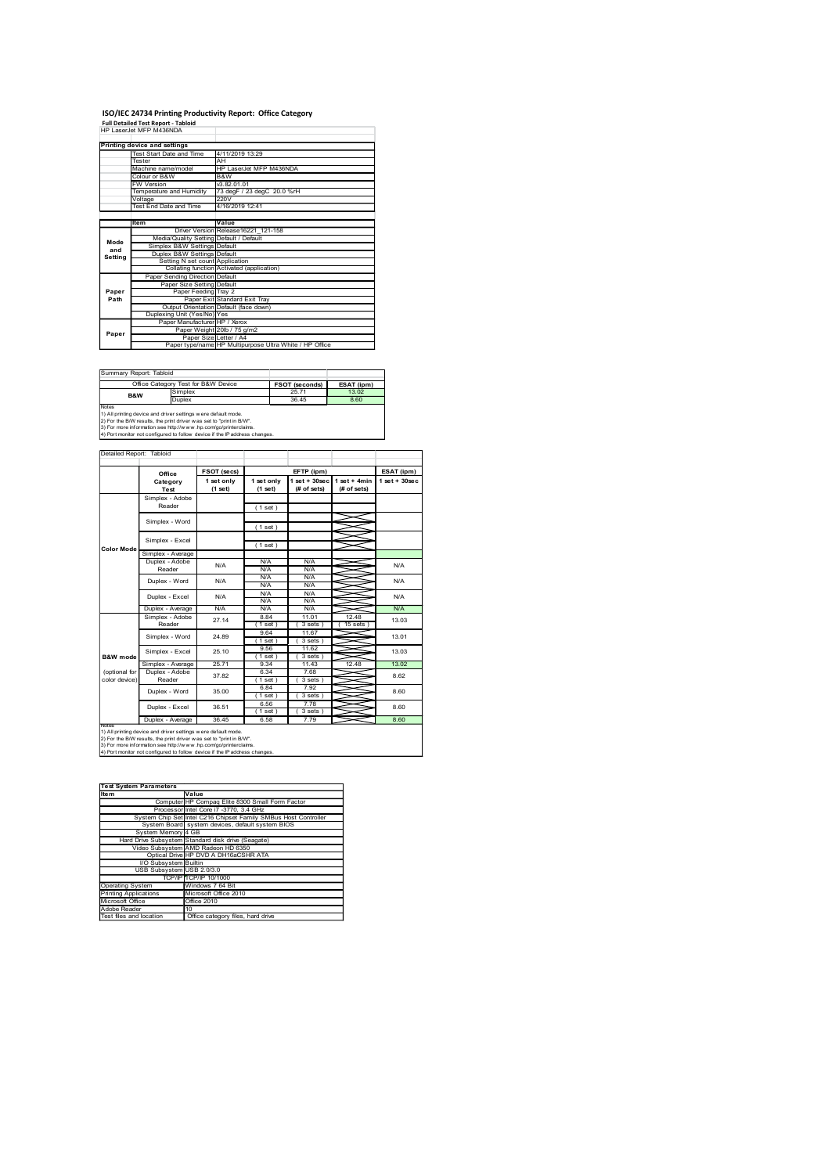### ISO/IEC 24734 Printing Productivity Report: Office Category<br>Full Detailed Test Report - Tabloid<br>HP LaserJet MFP M438NDA

|                        | ISO/IEC 24734 Printing Productivity Report: Office Category                                                                                                                                                                                |                                                                                                                                                                               |                               |                                                                            |                                                             |                                |
|------------------------|--------------------------------------------------------------------------------------------------------------------------------------------------------------------------------------------------------------------------------------------|-------------------------------------------------------------------------------------------------------------------------------------------------------------------------------|-------------------------------|----------------------------------------------------------------------------|-------------------------------------------------------------|--------------------------------|
|                        | Full Detailed Test Report - Tabloid<br>HP LaserJet MFP M436NDA                                                                                                                                                                             |                                                                                                                                                                               |                               |                                                                            |                                                             |                                |
|                        | <b>Printing device and settings<br/>Test Start Date and</b><br>ester                                                                                                                                                                       | 4/11/2019 13:29<br>Αŀ                                                                                                                                                         |                               |                                                                            |                                                             |                                |
|                        | HP LaserJet MFP M436NDA<br>B&W<br>v3.82.01.01<br>Aachine name/model<br>olour or B&W                                                                                                                                                        |                                                                                                                                                                               |                               |                                                                            |                                                             |                                |
|                        | W Version                                                                                                                                                                                                                                  |                                                                                                                                                                               |                               |                                                                            |                                                             |                                |
|                        | emperature and Humidity<br>/oltage<br>'est End Date and Time'                                                                                                                                                                              | 4/16/2019 12:41                                                                                                                                                               | 73 degF / 23 degC 20.0 %rH    |                                                                            |                                                             |                                |
|                        | Item                                                                                                                                                                                                                                       | <b>Driver Version</b>                                                                                                                                                         | Value<br>Release16221_121-158 |                                                                            |                                                             |                                |
|                        | Simplex B&W Settings Default<br>Duplex B&W Settings Default                                                                                                                                                                                | Media/Quality Setting Default / Default                                                                                                                                       |                               |                                                                            |                                                             |                                |
| Mode<br>and<br>Setting | Setting N set count Application<br>Collating function Activated<br>Paper Sending Direction Default                                                                                                                                         |                                                                                                                                                                               | (application)                 |                                                                            |                                                             |                                |
| Paper<br>Path          |                                                                                                                                                                                                                                            | Paper Size Setting Default<br>Paper Feeding Tray 2<br>Paper Exit Standard Exit Tray                                                                                           |                               |                                                                            |                                                             |                                |
|                        | Dup                                                                                                                                                                                                                                        | Output Orientation Default (face down)<br>xing Unit (Yes/No) Yes                                                                                                              |                               |                                                                            |                                                             |                                |
| Paper                  |                                                                                                                                                                                                                                            | Rexing Unit (Yes/No) Yes<br>Paper Manufacturer HP / Xerox<br>Paper Weight 20lb / 75 g/m2<br>Paper Size Letter / A4<br>Paper type/name HP Multipurpose Ultra White / HP Office |                               |                                                                            |                                                             |                                |
|                        | Summary Report: Tabloid                                                                                                                                                                                                                    |                                                                                                                                                                               |                               |                                                                            |                                                             |                                |
|                        | Office Category Test for B&W Device<br>implex<br><b>B&amp;W</b>                                                                                                                                                                            |                                                                                                                                                                               |                               | FSOT (seconds)<br>36.45                                                    | ESAT (ipm)<br>8.60                                          |                                |
| Notes                  | Duplex                                                                                                                                                                                                                                     |                                                                                                                                                                               |                               |                                                                            |                                                             |                                |
|                        | Notes<br>1) All printing device and driver settings were default mode.<br>2) For the BMV results, the print driver was set to "print in BW".<br>3) For more information see http://www.hp.com/go/printerclaims.<br>4) Port monitor not con |                                                                                                                                                                               |                               |                                                                            |                                                             |                                |
|                        | Detailed Report: Tabloid                                                                                                                                                                                                                   |                                                                                                                                                                               |                               |                                                                            |                                                             |                                |
|                        | Office<br>Category<br>Test                                                                                                                                                                                                                 | FSOT (secs)<br>$1set only (1set)$                                                                                                                                             | $1 set only(1 set)$           | EFTP (ipm)<br>$\frac{1 \text{ set} + 30 \text{ sec}}{(t \text{ of sets})}$ | $\frac{1 \text{ set } + 4 \text{min}}{(\text{ff of sets})}$ | ESAT (ipm)<br>$1 set + 30 sec$ |
|                        | Simplex - Adobe<br>Reader                                                                                                                                                                                                                  |                                                                                                                                                                               | (1 set)                       |                                                                            |                                                             |                                |
|                        | Simplex - Word                                                                                                                                                                                                                             |                                                                                                                                                                               | (1 set)                       |                                                                            | չ<br>≤                                                      |                                |
| Color Mod              | Simplex - Excel<br>Simplex - Average                                                                                                                                                                                                       |                                                                                                                                                                               | (1 set)                       |                                                                            | ⋚                                                           |                                |
|                        | Duplex - Adobe<br>Reader<br>Duplex - Word                                                                                                                                                                                                  | $\mathsf{N}/\mathsf{A}$<br>$\mathsf{N}/\mathsf{A}$                                                                                                                            | N/A<br>N/A<br>$N/A$<br>$N/A$  | N/A<br>N/A<br>$N/A$<br>$N/A$                                               | ⇒<br>⇒<br>≤                                                 | N/A<br>N/A                     |

| ひょうかい インフィー・エー アートリーン |  |  |
|-----------------------|--|--|

|                                                                                                                | ISO/IEC 24734 Printing Productivity Report: Office Category                                                                                                                                                                                                                            |                                                                                     |                                           |                                                                                   |                                                                                                                                                 |                |
|----------------------------------------------------------------------------------------------------------------|----------------------------------------------------------------------------------------------------------------------------------------------------------------------------------------------------------------------------------------------------------------------------------------|-------------------------------------------------------------------------------------|-------------------------------------------|-----------------------------------------------------------------------------------|-------------------------------------------------------------------------------------------------------------------------------------------------|----------------|
|                                                                                                                | Full Detailed Test Report - Tabloid<br>HP LaserJet MFP M436NDA                                                                                                                                                                                                                         |                                                                                     |                                           |                                                                                   |                                                                                                                                                 |                |
|                                                                                                                | Printing device and settings<br>The Start Date and Tim<br>Test Start Date an                                                                                                                                                                                                           | 4/11/2019 13:29                                                                     |                                           |                                                                                   |                                                                                                                                                 |                |
|                                                                                                                | Tester<br>Machine name/model                                                                                                                                                                                                                                                           | AH                                                                                  | HP LaserJet MFP M436NDA                   |                                                                                   |                                                                                                                                                 |                |
|                                                                                                                | lour or B&W<br>V Version                                                                                                                                                                                                                                                               | B&W                                                                                 | v3.82.01.01<br>73 degF / 23 degC 20.0 %rH |                                                                                   |                                                                                                                                                 |                |
|                                                                                                                | emperature and Humidity<br>oltage<br>ist End Date and Time                                                                                                                                                                                                                             | 220V<br>4/16/2019 12:41                                                             |                                           |                                                                                   |                                                                                                                                                 |                |
|                                                                                                                |                                                                                                                                                                                                                                                                                        | Value                                                                               |                                           |                                                                                   |                                                                                                                                                 |                |
| Mode                                                                                                           |                                                                                                                                                                                                                                                                                        | Driver Version Release16221_121-158                                                 |                                           |                                                                                   |                                                                                                                                                 |                |
| mode<br>and<br>Setting                                                                                         | Media/Quality Setting Default / Default<br>Simplex B&W Settings Default<br>Duplex B&W Settings Default                                                                                                                                                                                 |                                                                                     |                                           |                                                                                   |                                                                                                                                                 |                |
|                                                                                                                | Setting N set count Application<br>Collating function Activated (application)<br>Paper Sending Direction Default                                                                                                                                                                       |                                                                                     |                                           |                                                                                   |                                                                                                                                                 |                |
| Paper<br>Path                                                                                                  |                                                                                                                                                                                                                                                                                        | Paper Size Setting Default<br>Paper Feeding Tray 2<br>Paper Exit Standard Exit Tray |                                           |                                                                                   |                                                                                                                                                 |                |
|                                                                                                                | Output Orientation Default (face down)<br>Duplexing Unit (Yes/No) Yes                                                                                                                                                                                                                  |                                                                                     |                                           |                                                                                   |                                                                                                                                                 |                |
|                                                                                                                |                                                                                                                                                                                                                                                                                        | Manufacturer HP / Xerox<br>Paper Weight 20lb / 75 g/m2                              |                                           |                                                                                   |                                                                                                                                                 |                |
| Paper                                                                                                          |                                                                                                                                                                                                                                                                                        |                                                                                     |                                           | Paper Size Letter / A4<br>Paper type/name HP Multipurpose Ultra White / HP Office |                                                                                                                                                 |                |
|                                                                                                                |                                                                                                                                                                                                                                                                                        |                                                                                     |                                           |                                                                                   |                                                                                                                                                 |                |
|                                                                                                                | Summary Report: Tabloid<br>Office Category Test for B&W Device                                                                                                                                                                                                                         |                                                                                     |                                           | FSOT (seconds)                                                                    | ESAT (ipm)                                                                                                                                      |                |
| <b>B&amp;W</b>                                                                                                 | mplex<br>Duplex                                                                                                                                                                                                                                                                        |                                                                                     |                                           | 36.45                                                                             | 8.60                                                                                                                                            |                |
| Notes                                                                                                          |                                                                                                                                                                                                                                                                                        |                                                                                     |                                           |                                                                                   |                                                                                                                                                 |                |
|                                                                                                                | were<br>1) All printing device and driver settings were default mode.<br>2) For the BM results, the print driver was set to "print in BW".<br>3) For more information see http://www.hp.com/go/printercialms.<br>4) Port monitor not c                                                 |                                                                                     |                                           |                                                                                   |                                                                                                                                                 |                |
| Detailed Report: Tabloid                                                                                       |                                                                                                                                                                                                                                                                                        |                                                                                     |                                           |                                                                                   |                                                                                                                                                 |                |
|                                                                                                                | Office                                                                                                                                                                                                                                                                                 | FSOT (secs)                                                                         |                                           | EFTP (ipm)                                                                        |                                                                                                                                                 | ESAT (ipm)     |
|                                                                                                                | Category<br>Test                                                                                                                                                                                                                                                                       | $\begin{array}{c} 1 \text{ set only} \\ (1 \text{ set}) \end{array}$                | 1 set only<br>(1 set)                     |                                                                                   | $\begin{array}{c c} \n1 \text{ set } +30 \text{ sec} & 1 \text{ set } +4 \text{min} \\ \n\text{(# of sets)} & \text{(# of sets)} \n\end{array}$ | $1 set + 30se$ |
|                                                                                                                | Simplex - Adobe<br>Reader                                                                                                                                                                                                                                                              |                                                                                     | (1 set)                                   |                                                                                   |                                                                                                                                                 |                |
|                                                                                                                | Simplex - Word                                                                                                                                                                                                                                                                         |                                                                                     | (1 set)                                   |                                                                                   |                                                                                                                                                 |                |
|                                                                                                                | Simplex - Excel                                                                                                                                                                                                                                                                        |                                                                                     |                                           |                                                                                   | ⋚<br>$=$                                                                                                                                        |                |
| <b>Color Mod</b>                                                                                               | - Average                                                                                                                                                                                                                                                                              |                                                                                     | (1 set)                                   |                                                                                   |                                                                                                                                                 |                |
|                                                                                                                | Duplex - Adobe<br>Reader                                                                                                                                                                                                                                                               | <b>N/A</b>                                                                          | <b>N/A</b><br><b>N/A</b>                  | N/A<br>N/A                                                                        | ≤<br>X                                                                                                                                          | N/A            |
|                                                                                                                | Duplex - Word                                                                                                                                                                                                                                                                          | N/A                                                                                 | N/A<br>N/A                                | $\frac{N}{A}$<br>N/A                                                              |                                                                                                                                                 | N/A            |
|                                                                                                                | Duplex - Excel<br>Duplex - Averag                                                                                                                                                                                                                                                      | N/A<br>N/A                                                                          | <b>N/A</b><br>N/A                         | N/A<br>N/A                                                                        | ≤                                                                                                                                               | N/A<br>N/A     |
|                                                                                                                | Simplex - Adobe<br>Reader                                                                                                                                                                                                                                                              | 27.14                                                                               | 8.84<br>$(1$ set                          | 11.01<br>(3 sets)                                                                 | 12.48<br>(15 sets)                                                                                                                              | 13.03          |
|                                                                                                                | Simplex - Word                                                                                                                                                                                                                                                                         | 24.89                                                                               | 9.64<br>$(1$ set                          | $\frac{11.67}{(3 \text{ sets})}$                                                  | ▓                                                                                                                                               | 13.01          |
| B&W mod                                                                                                        | Simplex - Excel                                                                                                                                                                                                                                                                        | 25.10                                                                               | $\frac{9.56}{(1.55)}$                     | $\frac{11.62}{(3 \text{ sets})}$                                                  | ═                                                                                                                                               | 13.03          |
| (optional for                                                                                                  | Simplex - Average<br>Duplex - Adol<br>Reader                                                                                                                                                                                                                                           | 25.71<br>37.82                                                                      | 9.34<br>6.34                              | 11.43<br>7.68                                                                     | 12.48                                                                                                                                           | 13.02<br>8.62  |
| color device                                                                                                   | Duplex - Word                                                                                                                                                                                                                                                                          | 35.00                                                                               | (1 set)<br>$\frac{6.84}{(1 \text{ set})}$ | (3 sets)                                                                          | ∽<br>X                                                                                                                                          | 8.60           |
|                                                                                                                | Duplex - Excel                                                                                                                                                                                                                                                                         | 36.51                                                                               | 6.56                                      | $\frac{7.92}{(3 \text{ sets})}$                                                   |                                                                                                                                                 | 8.60           |
|                                                                                                                | Duplex - Average                                                                                                                                                                                                                                                                       | 36.45                                                                               | $(1 set)$<br>6.58                         | $(3 \text{ sets})$<br>7.79                                                        |                                                                                                                                                 | 8.60           |
|                                                                                                                | $\frac{1000}{1000}$ $\frac{1000}{1000}$ $\frac{1000}{1000}$ $\frac{1000}{1000}$ $\frac{1000}{1000}$ $\frac{1000}{1000}$ $\frac{1000}{1000}$ $\frac{1000}{1000}$ $\frac{1000}{1000}$ $\frac{1000}{1000}$ $\frac{1000}{1000}$ $\frac{1000}{1000}$ $\frac{1000}{1000}$ $\frac{1000}{1000$ |                                                                                     |                                           |                                                                                   |                                                                                                                                                 |                |
|                                                                                                                |                                                                                                                                                                                                                                                                                        |                                                                                     |                                           |                                                                                   |                                                                                                                                                 |                |
|                                                                                                                |                                                                                                                                                                                                                                                                                        |                                                                                     |                                           |                                                                                   |                                                                                                                                                 |                |
|                                                                                                                | Test System Parameters<br>Item                                                                                                                                                                                                                                                         |                                                                                     |                                           |                                                                                   |                                                                                                                                                 |                |
|                                                                                                                | Im Parameters<br>Computer HP Compaq Elite 8300 Small Form Factor<br>Processor Intel Core 17 -3770, 3.4 GHz<br>System Chip Set Intel C216 Chipset Family SMBus Host Controller                                                                                                          |                                                                                     |                                           |                                                                                   |                                                                                                                                                 |                |
|                                                                                                                | System Board system devices, default system BIO!<br>System Memory 4 GB                                                                                                                                                                                                                 |                                                                                     |                                           |                                                                                   |                                                                                                                                                 |                |
|                                                                                                                | Hard Drive Subsyster<br>ie Subsystem Standard disk drive (Seagate)<br>Io Subsystem AMD Radeon HD 6350<br>Optical Drive HP DVD A DH16aCSHR ATA<br>Video Subsyster                                                                                                                       |                                                                                     |                                           |                                                                                   |                                                                                                                                                 |                |
|                                                                                                                | I/O Subsystem Builtin                                                                                                                                                                                                                                                                  |                                                                                     |                                           |                                                                                   |                                                                                                                                                 |                |
|                                                                                                                | USB Subsystem                                                                                                                                                                                                                                                                          | USB 2.0/3.0<br><b>TCP/IP 10/1000</b><br>Windows 7 64 Bit                            |                                           |                                                                                   |                                                                                                                                                 |                |
| TO<br>Operating System<br>Printing Applications<br>Microsoft Office<br>Adobe Reader<br>Test files and location |                                                                                                                                                                                                                                                                                        | icrosoft Office 2010<br>fice 2010                                                   |                                           |                                                                                   |                                                                                                                                                 |                |
|                                                                                                                |                                                                                                                                                                                                                                                                                        | Office category files, hard drive                                                   |                                           |                                                                                   |                                                                                                                                                 |                |
|                                                                                                                |                                                                                                                                                                                                                                                                                        |                                                                                     |                                           |                                                                                   |                                                                                                                                                 |                |
|                                                                                                                |                                                                                                                                                                                                                                                                                        |                                                                                     |                                           |                                                                                   |                                                                                                                                                 |                |
|                                                                                                                |                                                                                                                                                                                                                                                                                        |                                                                                     |                                           |                                                                                   |                                                                                                                                                 |                |
|                                                                                                                |                                                                                                                                                                                                                                                                                        |                                                                                     |                                           |                                                                                   |                                                                                                                                                 |                |
|                                                                                                                |                                                                                                                                                                                                                                                                                        |                                                                                     |                                           |                                                                                   |                                                                                                                                                 |                |
|                                                                                                                |                                                                                                                                                                                                                                                                                        |                                                                                     |                                           |                                                                                   |                                                                                                                                                 |                |
|                                                                                                                |                                                                                                                                                                                                                                                                                        |                                                                                     |                                           |                                                                                   |                                                                                                                                                 |                |

| <b>Test System Parameters</b> |                                                                 |
|-------------------------------|-----------------------------------------------------------------|
| Item                          | Value                                                           |
|                               | Computer HP Compag Elite 8300 Small Form Factor                 |
|                               | Processor Intel Core i7 -3770, 3.4 GHz                          |
|                               | System Chip Set Intel C216 Chipset Family SMBus Host Controller |
|                               | System Board system devices, default system BIOS                |
| System Memory 4 GB            |                                                                 |
|                               | Hard Drive Subsystem Standard disk drive (Seagate)              |
|                               | Video Subsystem AMD Radeon HD 6350                              |
|                               | Optical Drive HP DVD A DH16aCSHR ATA                            |
| I/O Subsystem Builtin         |                                                                 |
| USB Subsystem USB 2.0/3.0     |                                                                 |
|                               | TCP/IP TCP/IP 10/1000                                           |
| Operating System              | Windows 7 64 Bit                                                |
| Printing Applications         | Microsoft Office 2010                                           |
| Microsoft Office              | Office 2010                                                     |
| Adobe Reader                  | 10                                                              |
| Test files and location       | Office category files, hard drive                               |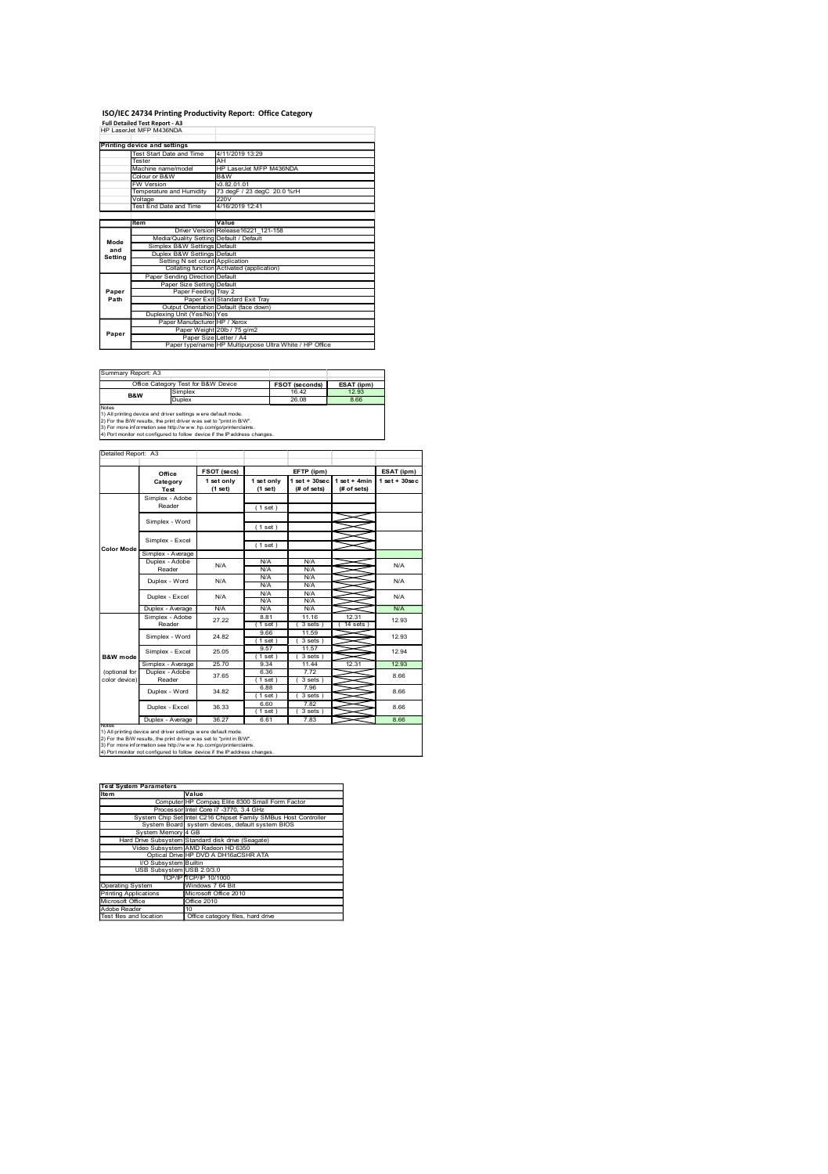### ISO/IEC 24734 Printing Productivity Report: Office Category<br>Full Detailed Test Report - A3<br>HP LaserJet MFP M438NDA

|                        | ISO/IEC 24734 Printing Productivity Report: Office Category                                                                                                                                                                                   |                                                                                                                                                                               |                                                                             |                                                              |                                                             |                  |
|------------------------|-----------------------------------------------------------------------------------------------------------------------------------------------------------------------------------------------------------------------------------------------|-------------------------------------------------------------------------------------------------------------------------------------------------------------------------------|-----------------------------------------------------------------------------|--------------------------------------------------------------|-------------------------------------------------------------|------------------|
|                        |                                                                                                                                                                                                                                               |                                                                                                                                                                               |                                                                             |                                                              |                                                             |                  |
|                        | Full Detailed Test Report - A3                                                                                                                                                                                                                |                                                                                                                                                                               |                                                                             |                                                              |                                                             |                  |
|                        | <b>Printing device and settings<br/>Test Start Date and</b><br>ester                                                                                                                                                                          | 4/11/2019 13:29<br>Αŀ                                                                                                                                                         |                                                                             |                                                              |                                                             |                  |
|                        | Aachine name/model<br>olour or B&W<br>W Version<br>emperature and Humidity                                                                                                                                                                    |                                                                                                                                                                               | HP LaserJet MFP M436NDA<br>B&W<br>v3.82.01.01<br>73 degF / 23 degC 20.0 %rH |                                                              |                                                             |                  |
|                        | /oltage<br>'est End Date and Time'                                                                                                                                                                                                            | 220V<br>4/16/2019 12:41                                                                                                                                                       |                                                                             |                                                              |                                                             |                  |
|                        | Item                                                                                                                                                                                                                                          | <b>Driver Version</b><br>Media/Quality Setting Default / Default                                                                                                              | Value<br>Release16221_121-158                                               |                                                              |                                                             |                  |
| Mode<br>and<br>Setting | Simplex B&W Settings Default<br>Duplex B&W Settings Default                                                                                                                                                                                   |                                                                                                                                                                               | ed (application)                                                            |                                                              |                                                             |                  |
|                        | Setting N set count Application<br>Collating function Activated<br>Paper Sending Direction Default                                                                                                                                            |                                                                                                                                                                               |                                                                             |                                                              |                                                             |                  |
| Paper<br>Path          | Dup                                                                                                                                                                                                                                           | Paper Size Setting Default<br>Paper Feeding Tray 2<br>Paper Exit Standard Exit Tray<br>Output Orientation Default (face down)<br>xing Unit (Yes/No) Yes                       |                                                                             |                                                              |                                                             |                  |
| Paper                  |                                                                                                                                                                                                                                               | Rexing Unit (Yes/No) Yes<br>Paper Manufacturer HP / Xerox<br>Paper Weight 20lb / 75 g/m2<br>Paper Size Letter / A4<br>Paper type/name HP Multipurpose Ultra White / HP Office |                                                                             |                                                              |                                                             |                  |
|                        |                                                                                                                                                                                                                                               |                                                                                                                                                                               |                                                                             |                                                              |                                                             |                  |
| Summary Report: A3     | <b>B&amp;W</b>                                                                                                                                                                                                                                |                                                                                                                                                                               |                                                                             | FSOT (seconds)<br>26.08                                      | ESAT (ipm)<br>8.66                                          |                  |
|                        | Office Category Test for B&W Device<br>B&W Simplex<br>Duplex                                                                                                                                                                                  |                                                                                                                                                                               |                                                                             |                                                              |                                                             |                  |
|                        | UUUPREX<br>Notes<br>2) For the BIW results, the print driver was set to "print in BIW".<br>2) For the BIW results, the print driver was set to "print in BIW".<br>3) For more information see http://www.hp.comgo/printerclaims.<br>4) Por mo |                                                                                                                                                                               |                                                                             |                                                              |                                                             |                  |
| Detailed Report: A3    |                                                                                                                                                                                                                                               | FSOT (secs)                                                                                                                                                                   |                                                                             | EFTP (ipm)                                                   |                                                             | ESAT (ipm)       |
|                        | Office<br>Category<br>Test<br>Simplex - Adobe                                                                                                                                                                                                 | $1set only (1set)$                                                                                                                                                            | $1 set only(1 set)$                                                         | $\frac{1 \text{ set} + 30 \text{ sec}}{(t \text{ of sets})}$ | $\frac{1 \text{ set } + 4 \text{min}}{(\text{ff of sets})}$ | $1 set + 30 sec$ |
|                        | Reader<br>Simplex - Word                                                                                                                                                                                                                      |                                                                                                                                                                               | (1 set)<br>(1 set)                                                          |                                                              | ᆇ                                                           |                  |
| Color Mod              | Simplex - Excel<br>Simplex - Average                                                                                                                                                                                                          |                                                                                                                                                                               | (1 set)                                                                     |                                                              | ≋<br>⋚                                                      |                  |
|                        | Duplex - Adobe<br>Reader<br>Duplex - Word                                                                                                                                                                                                     | $\mathsf{N}/\mathsf{A}$<br>$\mathsf{N}/\mathsf{A}$                                                                                                                            | N/A<br>N/A<br>$N/A$<br>$N/A$                                                | N/A<br>N/A<br>$N/A$<br>$N/A$                                 | ⇒<br>⇒<br>≤                                                 | N/A<br>N/A       |

| ISO/IEC 24734 Printing Productivity Report: Office Category<br>Test Start Date an<br>4/11/2019 13:29<br>Tester<br>AH<br>HP LaserJet MFP M436NDA<br>Machine name/model<br>lour or B&W<br>B&W<br>v3.82.01.01<br>73 degF / 23 degC 20.0 %rH<br>V Version<br>emperature and Humidity<br>oltage<br>ist End Date and Time<br>220V<br>4/16/2019 12:41<br>Value<br>Driver Version Release16221_121-158<br>Media/Quality Setting Default / Default<br>Simplex B&W Settings Default<br>Duplex B&W Settings Default<br>Mode<br>mode<br>and<br>Setting<br>Setting N set count Application<br>Collating function Activated (application)<br>Paper Sending Direction Default<br>Paper Size Setting Default<br>Paper<br>Path<br>Paper Feeding Tray 2<br>Paper Exit Standard Exit Tray<br>Output Orientation Default (face down)<br>Duplexing Unit (Yes/No) Yes<br>Manufacturer HP / Xerox<br>Paper Weight 20lb / 75 g/m2<br>Paper<br>Paper Size Letter / A4<br>Paper type/name HP Multipurpose Ultra White / HP Office<br>Office Category Test for B&W Device<br>FSOT (seconds)<br>mplex<br><b>B&amp;W</b><br>Duplex<br>26.08<br>FSOT (secs)<br>EFTP (ipm)<br>Office<br>Category<br>1 set only<br>$\begin{array}{c} 1 \text{ set only} \\ (1 \text{ set}) \end{array}$<br>(1 set)<br>Test<br>Simplex - Adobe<br>Reader<br>(1 set)<br>Simplex - Word<br>(1 set)<br>Simplex - Excel<br>(1 set)<br>- Average<br>plex<br>Duplex - Adobe<br><b>N/A</b><br>N/A<br><b>N/A</b><br>Reader<br><b>N/A</b><br>N/A<br>$\frac{N}{A}$<br>N/A<br>N/A<br>Duplex - Word<br>N/A<br>N/A<br>Duplex - Excel<br>N/A<br><b>N/A</b><br>N/A<br>Duplex - Average<br>N/A<br>N/A<br>N/A<br>11.16<br>8.81<br>Simplex - Adobe<br>27.22<br>Reader<br>$(1$ set<br>(3 sets)<br>9.66<br>$\frac{11.59}{(3 \text{ sets})}$<br>Simplex - Word<br>24.82<br>$(1$ set<br>$\frac{9.57}{(1.55)}$<br>$\frac{11.57}{(3 \text{ sets})}$<br>25.05<br>Simplex - Excel<br>25.70<br>Simplex - Average<br>9.34<br>11.44<br>(optional for<br>Duplex - Adol<br>Reader<br>6.36<br>7.72<br>37.65<br>color device<br>(1 set)<br>(3 sets)<br>$6.88$<br>(1 set<br>$\frac{7.96}{(3 \text{ sets})}$<br>34.82<br>Duplex - Word<br>6.60<br>36.33<br>Duplex - Excel<br>$(1 set)$<br>6.61<br>(3 sets)<br>Duplex - Average<br>36.27<br>7.83<br>Im Parameters<br>Computer HP Compaq Elite 8300 Small Form Factor<br>Processor Intel Core 17 -3770, 3.4 GHz<br>System Chip Set Intel C216 Chipset Family SMBus Host Controller<br>System Board system devices, default system BIO<br>System Memory 4 GB<br>Hard Drive Subsyster<br>ie Subsystem Standard disk drive (Seagate)<br>Io Subsystem AMD Radeon HD 6350<br>Optical Drive HP DVD A DH16aCSHR ATA<br>Video Subsyster<br>I/O Subsystem Builtin<br>USB 2.0/3.0<br>USB Subsystem<br><b>TCP/IP 10/1000</b><br>Windows 7 64 Bit<br>icrosoft Office 2010<br>fice 2010<br>Office category files, hard drive | ESAT (ipm)<br>12.93<br>8.66<br>ESAT (ipm)<br>$\begin{array}{c c} \n1 \text{ set } +30 \text{ sec} & 1 \text{ set } +4 \text{min} \\ \n\text{(# of sets)} & \text{(# of sets)} \n\end{array}$<br>$1$ set + $30$ se<br>⋚<br>$=$<br>≤<br>N/A<br>X<br>N/A<br>N/A<br>≤<br>N/A<br>12.31<br>12.93<br>(14 sets)<br>⋚<br>12.93<br>⋝<br>12.94<br>12.31<br>12.93<br>8.66<br>∽<br>X<br>8.66<br>8.66<br>8.66 |  |  |  |  |
|---------------------------------------------------------------------------------------------------------------------------------------------------------------------------------------------------------------------------------------------------------------------------------------------------------------------------------------------------------------------------------------------------------------------------------------------------------------------------------------------------------------------------------------------------------------------------------------------------------------------------------------------------------------------------------------------------------------------------------------------------------------------------------------------------------------------------------------------------------------------------------------------------------------------------------------------------------------------------------------------------------------------------------------------------------------------------------------------------------------------------------------------------------------------------------------------------------------------------------------------------------------------------------------------------------------------------------------------------------------------------------------------------------------------------------------------------------------------------------------------------------------------------------------------------------------------------------------------------------------------------------------------------------------------------------------------------------------------------------------------------------------------------------------------------------------------------------------------------------------------------------------------------------------------------------------------------------------------------------------------------------------------------------------------------------------------------------------------------------------------------------------------------------------------------------------------------------------------------------------------------------------------------------------------------------------------------------------------------------------------------------------------------------------------------------------------------------------------------------------------------------------------------------------------------------------------------------------------------------------------------------------------------------------------------------------------------------------------------------------------------------------------------------------------------------------------------------------------------------------------------|-------------------------------------------------------------------------------------------------------------------------------------------------------------------------------------------------------------------------------------------------------------------------------------------------------------------------------------------------------------------------------------------------|--|--|--|--|
| Full Detailed Test Report - A3<br>HP LaserJet MFP M436NDA<br>Printing device and settings<br>Summary Report: A3<br>Notes<br>recomes<br>1) All printing device and driver settings were default mode.<br>2) For the BM results, the print driver was set to "print in BW".<br>3) For more information see http://www.hp.com/go/printerolaims.<br>4) Port monitor not co<br>Detailed Report: A3<br><b>Color Mod</b><br>B&W mod                                                                                                                                                                                                                                                                                                                                                                                                                                                                                                                                                                                                                                                                                                                                                                                                                                                                                                                                                                                                                                                                                                                                                                                                                                                                                                                                                                                                                                                                                                                                                                                                                                                                                                                                                                                                                                                                                                                                                                                                                                                                                                                                                                                                                                                                                                                                                                                                                                              |                                                                                                                                                                                                                                                                                                                                                                                                 |  |  |  |  |
| $\frac{1000}{1000}$ $\frac{1000}{1000}$ $\frac{1000}{1000}$ $\frac{1000}{1000}$ $\frac{1000}{1000}$ $\frac{1000}{1000}$ $\frac{1000}{1000}$ $\frac{1000}{1000}$ $\frac{1000}{1000}$ $\frac{1000}{1000}$ $\frac{1000}{1000}$ $\frac{1000}{1000}$ $\frac{1000}{1000}$ $\frac{1000}{1000$<br>Test System Parameters<br>Item<br>TO<br>Operating System<br>Printing Applications<br>Microsoft Office<br>Adobe Reader<br>Test files and location                                                                                                                                                                                                                                                                                                                                                                                                                                                                                                                                                                                                                                                                                                                                                                                                                                                                                                                                                                                                                                                                                                                                                                                                                                                                                                                                                                                                                                                                                                                                                                                                                                                                                                                                                                                                                                                                                                                                                                                                                                                                                                                                                                                                                                                                                                                                                                                                                                |                                                                                                                                                                                                                                                                                                                                                                                                 |  |  |  |  |
|                                                                                                                                                                                                                                                                                                                                                                                                                                                                                                                                                                                                                                                                                                                                                                                                                                                                                                                                                                                                                                                                                                                                                                                                                                                                                                                                                                                                                                                                                                                                                                                                                                                                                                                                                                                                                                                                                                                                                                                                                                                                                                                                                                                                                                                                                                                                                                                                                                                                                                                                                                                                                                                                                                                                                                                                                                                                           |                                                                                                                                                                                                                                                                                                                                                                                                 |  |  |  |  |
|                                                                                                                                                                                                                                                                                                                                                                                                                                                                                                                                                                                                                                                                                                                                                                                                                                                                                                                                                                                                                                                                                                                                                                                                                                                                                                                                                                                                                                                                                                                                                                                                                                                                                                                                                                                                                                                                                                                                                                                                                                                                                                                                                                                                                                                                                                                                                                                                                                                                                                                                                                                                                                                                                                                                                                                                                                                                           |                                                                                                                                                                                                                                                                                                                                                                                                 |  |  |  |  |
|                                                                                                                                                                                                                                                                                                                                                                                                                                                                                                                                                                                                                                                                                                                                                                                                                                                                                                                                                                                                                                                                                                                                                                                                                                                                                                                                                                                                                                                                                                                                                                                                                                                                                                                                                                                                                                                                                                                                                                                                                                                                                                                                                                                                                                                                                                                                                                                                                                                                                                                                                                                                                                                                                                                                                                                                                                                                           |                                                                                                                                                                                                                                                                                                                                                                                                 |  |  |  |  |
|                                                                                                                                                                                                                                                                                                                                                                                                                                                                                                                                                                                                                                                                                                                                                                                                                                                                                                                                                                                                                                                                                                                                                                                                                                                                                                                                                                                                                                                                                                                                                                                                                                                                                                                                                                                                                                                                                                                                                                                                                                                                                                                                                                                                                                                                                                                                                                                                                                                                                                                                                                                                                                                                                                                                                                                                                                                                           |                                                                                                                                                                                                                                                                                                                                                                                                 |  |  |  |  |
|                                                                                                                                                                                                                                                                                                                                                                                                                                                                                                                                                                                                                                                                                                                                                                                                                                                                                                                                                                                                                                                                                                                                                                                                                                                                                                                                                                                                                                                                                                                                                                                                                                                                                                                                                                                                                                                                                                                                                                                                                                                                                                                                                                                                                                                                                                                                                                                                                                                                                                                                                                                                                                                                                                                                                                                                                                                                           |                                                                                                                                                                                                                                                                                                                                                                                                 |  |  |  |  |
|                                                                                                                                                                                                                                                                                                                                                                                                                                                                                                                                                                                                                                                                                                                                                                                                                                                                                                                                                                                                                                                                                                                                                                                                                                                                                                                                                                                                                                                                                                                                                                                                                                                                                                                                                                                                                                                                                                                                                                                                                                                                                                                                                                                                                                                                                                                                                                                                                                                                                                                                                                                                                                                                                                                                                                                                                                                                           |                                                                                                                                                                                                                                                                                                                                                                                                 |  |  |  |  |
|                                                                                                                                                                                                                                                                                                                                                                                                                                                                                                                                                                                                                                                                                                                                                                                                                                                                                                                                                                                                                                                                                                                                                                                                                                                                                                                                                                                                                                                                                                                                                                                                                                                                                                                                                                                                                                                                                                                                                                                                                                                                                                                                                                                                                                                                                                                                                                                                                                                                                                                                                                                                                                                                                                                                                                                                                                                                           |                                                                                                                                                                                                                                                                                                                                                                                                 |  |  |  |  |
|                                                                                                                                                                                                                                                                                                                                                                                                                                                                                                                                                                                                                                                                                                                                                                                                                                                                                                                                                                                                                                                                                                                                                                                                                                                                                                                                                                                                                                                                                                                                                                                                                                                                                                                                                                                                                                                                                                                                                                                                                                                                                                                                                                                                                                                                                                                                                                                                                                                                                                                                                                                                                                                                                                                                                                                                                                                                           |                                                                                                                                                                                                                                                                                                                                                                                                 |  |  |  |  |
|                                                                                                                                                                                                                                                                                                                                                                                                                                                                                                                                                                                                                                                                                                                                                                                                                                                                                                                                                                                                                                                                                                                                                                                                                                                                                                                                                                                                                                                                                                                                                                                                                                                                                                                                                                                                                                                                                                                                                                                                                                                                                                                                                                                                                                                                                                                                                                                                                                                                                                                                                                                                                                                                                                                                                                                                                                                                           |                                                                                                                                                                                                                                                                                                                                                                                                 |  |  |  |  |
|                                                                                                                                                                                                                                                                                                                                                                                                                                                                                                                                                                                                                                                                                                                                                                                                                                                                                                                                                                                                                                                                                                                                                                                                                                                                                                                                                                                                                                                                                                                                                                                                                                                                                                                                                                                                                                                                                                                                                                                                                                                                                                                                                                                                                                                                                                                                                                                                                                                                                                                                                                                                                                                                                                                                                                                                                                                                           |                                                                                                                                                                                                                                                                                                                                                                                                 |  |  |  |  |
|                                                                                                                                                                                                                                                                                                                                                                                                                                                                                                                                                                                                                                                                                                                                                                                                                                                                                                                                                                                                                                                                                                                                                                                                                                                                                                                                                                                                                                                                                                                                                                                                                                                                                                                                                                                                                                                                                                                                                                                                                                                                                                                                                                                                                                                                                                                                                                                                                                                                                                                                                                                                                                                                                                                                                                                                                                                                           |                                                                                                                                                                                                                                                                                                                                                                                                 |  |  |  |  |
|                                                                                                                                                                                                                                                                                                                                                                                                                                                                                                                                                                                                                                                                                                                                                                                                                                                                                                                                                                                                                                                                                                                                                                                                                                                                                                                                                                                                                                                                                                                                                                                                                                                                                                                                                                                                                                                                                                                                                                                                                                                                                                                                                                                                                                                                                                                                                                                                                                                                                                                                                                                                                                                                                                                                                                                                                                                                           |                                                                                                                                                                                                                                                                                                                                                                                                 |  |  |  |  |
|                                                                                                                                                                                                                                                                                                                                                                                                                                                                                                                                                                                                                                                                                                                                                                                                                                                                                                                                                                                                                                                                                                                                                                                                                                                                                                                                                                                                                                                                                                                                                                                                                                                                                                                                                                                                                                                                                                                                                                                                                                                                                                                                                                                                                                                                                                                                                                                                                                                                                                                                                                                                                                                                                                                                                                                                                                                                           |                                                                                                                                                                                                                                                                                                                                                                                                 |  |  |  |  |
|                                                                                                                                                                                                                                                                                                                                                                                                                                                                                                                                                                                                                                                                                                                                                                                                                                                                                                                                                                                                                                                                                                                                                                                                                                                                                                                                                                                                                                                                                                                                                                                                                                                                                                                                                                                                                                                                                                                                                                                                                                                                                                                                                                                                                                                                                                                                                                                                                                                                                                                                                                                                                                                                                                                                                                                                                                                                           |                                                                                                                                                                                                                                                                                                                                                                                                 |  |  |  |  |
|                                                                                                                                                                                                                                                                                                                                                                                                                                                                                                                                                                                                                                                                                                                                                                                                                                                                                                                                                                                                                                                                                                                                                                                                                                                                                                                                                                                                                                                                                                                                                                                                                                                                                                                                                                                                                                                                                                                                                                                                                                                                                                                                                                                                                                                                                                                                                                                                                                                                                                                                                                                                                                                                                                                                                                                                                                                                           |                                                                                                                                                                                                                                                                                                                                                                                                 |  |  |  |  |
|                                                                                                                                                                                                                                                                                                                                                                                                                                                                                                                                                                                                                                                                                                                                                                                                                                                                                                                                                                                                                                                                                                                                                                                                                                                                                                                                                                                                                                                                                                                                                                                                                                                                                                                                                                                                                                                                                                                                                                                                                                                                                                                                                                                                                                                                                                                                                                                                                                                                                                                                                                                                                                                                                                                                                                                                                                                                           |                                                                                                                                                                                                                                                                                                                                                                                                 |  |  |  |  |
|                                                                                                                                                                                                                                                                                                                                                                                                                                                                                                                                                                                                                                                                                                                                                                                                                                                                                                                                                                                                                                                                                                                                                                                                                                                                                                                                                                                                                                                                                                                                                                                                                                                                                                                                                                                                                                                                                                                                                                                                                                                                                                                                                                                                                                                                                                                                                                                                                                                                                                                                                                                                                                                                                                                                                                                                                                                                           |                                                                                                                                                                                                                                                                                                                                                                                                 |  |  |  |  |
|                                                                                                                                                                                                                                                                                                                                                                                                                                                                                                                                                                                                                                                                                                                                                                                                                                                                                                                                                                                                                                                                                                                                                                                                                                                                                                                                                                                                                                                                                                                                                                                                                                                                                                                                                                                                                                                                                                                                                                                                                                                                                                                                                                                                                                                                                                                                                                                                                                                                                                                                                                                                                                                                                                                                                                                                                                                                           |                                                                                                                                                                                                                                                                                                                                                                                                 |  |  |  |  |
|                                                                                                                                                                                                                                                                                                                                                                                                                                                                                                                                                                                                                                                                                                                                                                                                                                                                                                                                                                                                                                                                                                                                                                                                                                                                                                                                                                                                                                                                                                                                                                                                                                                                                                                                                                                                                                                                                                                                                                                                                                                                                                                                                                                                                                                                                                                                                                                                                                                                                                                                                                                                                                                                                                                                                                                                                                                                           |                                                                                                                                                                                                                                                                                                                                                                                                 |  |  |  |  |
|                                                                                                                                                                                                                                                                                                                                                                                                                                                                                                                                                                                                                                                                                                                                                                                                                                                                                                                                                                                                                                                                                                                                                                                                                                                                                                                                                                                                                                                                                                                                                                                                                                                                                                                                                                                                                                                                                                                                                                                                                                                                                                                                                                                                                                                                                                                                                                                                                                                                                                                                                                                                                                                                                                                                                                                                                                                                           |                                                                                                                                                                                                                                                                                                                                                                                                 |  |  |  |  |
|                                                                                                                                                                                                                                                                                                                                                                                                                                                                                                                                                                                                                                                                                                                                                                                                                                                                                                                                                                                                                                                                                                                                                                                                                                                                                                                                                                                                                                                                                                                                                                                                                                                                                                                                                                                                                                                                                                                                                                                                                                                                                                                                                                                                                                                                                                                                                                                                                                                                                                                                                                                                                                                                                                                                                                                                                                                                           |                                                                                                                                                                                                                                                                                                                                                                                                 |  |  |  |  |
|                                                                                                                                                                                                                                                                                                                                                                                                                                                                                                                                                                                                                                                                                                                                                                                                                                                                                                                                                                                                                                                                                                                                                                                                                                                                                                                                                                                                                                                                                                                                                                                                                                                                                                                                                                                                                                                                                                                                                                                                                                                                                                                                                                                                                                                                                                                                                                                                                                                                                                                                                                                                                                                                                                                                                                                                                                                                           |                                                                                                                                                                                                                                                                                                                                                                                                 |  |  |  |  |
|                                                                                                                                                                                                                                                                                                                                                                                                                                                                                                                                                                                                                                                                                                                                                                                                                                                                                                                                                                                                                                                                                                                                                                                                                                                                                                                                                                                                                                                                                                                                                                                                                                                                                                                                                                                                                                                                                                                                                                                                                                                                                                                                                                                                                                                                                                                                                                                                                                                                                                                                                                                                                                                                                                                                                                                                                                                                           |                                                                                                                                                                                                                                                                                                                                                                                                 |  |  |  |  |
|                                                                                                                                                                                                                                                                                                                                                                                                                                                                                                                                                                                                                                                                                                                                                                                                                                                                                                                                                                                                                                                                                                                                                                                                                                                                                                                                                                                                                                                                                                                                                                                                                                                                                                                                                                                                                                                                                                                                                                                                                                                                                                                                                                                                                                                                                                                                                                                                                                                                                                                                                                                                                                                                                                                                                                                                                                                                           |                                                                                                                                                                                                                                                                                                                                                                                                 |  |  |  |  |
|                                                                                                                                                                                                                                                                                                                                                                                                                                                                                                                                                                                                                                                                                                                                                                                                                                                                                                                                                                                                                                                                                                                                                                                                                                                                                                                                                                                                                                                                                                                                                                                                                                                                                                                                                                                                                                                                                                                                                                                                                                                                                                                                                                                                                                                                                                                                                                                                                                                                                                                                                                                                                                                                                                                                                                                                                                                                           |                                                                                                                                                                                                                                                                                                                                                                                                 |  |  |  |  |
|                                                                                                                                                                                                                                                                                                                                                                                                                                                                                                                                                                                                                                                                                                                                                                                                                                                                                                                                                                                                                                                                                                                                                                                                                                                                                                                                                                                                                                                                                                                                                                                                                                                                                                                                                                                                                                                                                                                                                                                                                                                                                                                                                                                                                                                                                                                                                                                                                                                                                                                                                                                                                                                                                                                                                                                                                                                                           |                                                                                                                                                                                                                                                                                                                                                                                                 |  |  |  |  |
|                                                                                                                                                                                                                                                                                                                                                                                                                                                                                                                                                                                                                                                                                                                                                                                                                                                                                                                                                                                                                                                                                                                                                                                                                                                                                                                                                                                                                                                                                                                                                                                                                                                                                                                                                                                                                                                                                                                                                                                                                                                                                                                                                                                                                                                                                                                                                                                                                                                                                                                                                                                                                                                                                                                                                                                                                                                                           |                                                                                                                                                                                                                                                                                                                                                                                                 |  |  |  |  |
|                                                                                                                                                                                                                                                                                                                                                                                                                                                                                                                                                                                                                                                                                                                                                                                                                                                                                                                                                                                                                                                                                                                                                                                                                                                                                                                                                                                                                                                                                                                                                                                                                                                                                                                                                                                                                                                                                                                                                                                                                                                                                                                                                                                                                                                                                                                                                                                                                                                                                                                                                                                                                                                                                                                                                                                                                                                                           |                                                                                                                                                                                                                                                                                                                                                                                                 |  |  |  |  |
|                                                                                                                                                                                                                                                                                                                                                                                                                                                                                                                                                                                                                                                                                                                                                                                                                                                                                                                                                                                                                                                                                                                                                                                                                                                                                                                                                                                                                                                                                                                                                                                                                                                                                                                                                                                                                                                                                                                                                                                                                                                                                                                                                                                                                                                                                                                                                                                                                                                                                                                                                                                                                                                                                                                                                                                                                                                                           |                                                                                                                                                                                                                                                                                                                                                                                                 |  |  |  |  |
|                                                                                                                                                                                                                                                                                                                                                                                                                                                                                                                                                                                                                                                                                                                                                                                                                                                                                                                                                                                                                                                                                                                                                                                                                                                                                                                                                                                                                                                                                                                                                                                                                                                                                                                                                                                                                                                                                                                                                                                                                                                                                                                                                                                                                                                                                                                                                                                                                                                                                                                                                                                                                                                                                                                                                                                                                                                                           |                                                                                                                                                                                                                                                                                                                                                                                                 |  |  |  |  |
|                                                                                                                                                                                                                                                                                                                                                                                                                                                                                                                                                                                                                                                                                                                                                                                                                                                                                                                                                                                                                                                                                                                                                                                                                                                                                                                                                                                                                                                                                                                                                                                                                                                                                                                                                                                                                                                                                                                                                                                                                                                                                                                                                                                                                                                                                                                                                                                                                                                                                                                                                                                                                                                                                                                                                                                                                                                                           |                                                                                                                                                                                                                                                                                                                                                                                                 |  |  |  |  |
|                                                                                                                                                                                                                                                                                                                                                                                                                                                                                                                                                                                                                                                                                                                                                                                                                                                                                                                                                                                                                                                                                                                                                                                                                                                                                                                                                                                                                                                                                                                                                                                                                                                                                                                                                                                                                                                                                                                                                                                                                                                                                                                                                                                                                                                                                                                                                                                                                                                                                                                                                                                                                                                                                                                                                                                                                                                                           |                                                                                                                                                                                                                                                                                                                                                                                                 |  |  |  |  |
|                                                                                                                                                                                                                                                                                                                                                                                                                                                                                                                                                                                                                                                                                                                                                                                                                                                                                                                                                                                                                                                                                                                                                                                                                                                                                                                                                                                                                                                                                                                                                                                                                                                                                                                                                                                                                                                                                                                                                                                                                                                                                                                                                                                                                                                                                                                                                                                                                                                                                                                                                                                                                                                                                                                                                                                                                                                                           |                                                                                                                                                                                                                                                                                                                                                                                                 |  |  |  |  |
|                                                                                                                                                                                                                                                                                                                                                                                                                                                                                                                                                                                                                                                                                                                                                                                                                                                                                                                                                                                                                                                                                                                                                                                                                                                                                                                                                                                                                                                                                                                                                                                                                                                                                                                                                                                                                                                                                                                                                                                                                                                                                                                                                                                                                                                                                                                                                                                                                                                                                                                                                                                                                                                                                                                                                                                                                                                                           |                                                                                                                                                                                                                                                                                                                                                                                                 |  |  |  |  |
|                                                                                                                                                                                                                                                                                                                                                                                                                                                                                                                                                                                                                                                                                                                                                                                                                                                                                                                                                                                                                                                                                                                                                                                                                                                                                                                                                                                                                                                                                                                                                                                                                                                                                                                                                                                                                                                                                                                                                                                                                                                                                                                                                                                                                                                                                                                                                                                                                                                                                                                                                                                                                                                                                                                                                                                                                                                                           |                                                                                                                                                                                                                                                                                                                                                                                                 |  |  |  |  |
|                                                                                                                                                                                                                                                                                                                                                                                                                                                                                                                                                                                                                                                                                                                                                                                                                                                                                                                                                                                                                                                                                                                                                                                                                                                                                                                                                                                                                                                                                                                                                                                                                                                                                                                                                                                                                                                                                                                                                                                                                                                                                                                                                                                                                                                                                                                                                                                                                                                                                                                                                                                                                                                                                                                                                                                                                                                                           |                                                                                                                                                                                                                                                                                                                                                                                                 |  |  |  |  |
|                                                                                                                                                                                                                                                                                                                                                                                                                                                                                                                                                                                                                                                                                                                                                                                                                                                                                                                                                                                                                                                                                                                                                                                                                                                                                                                                                                                                                                                                                                                                                                                                                                                                                                                                                                                                                                                                                                                                                                                                                                                                                                                                                                                                                                                                                                                                                                                                                                                                                                                                                                                                                                                                                                                                                                                                                                                                           |                                                                                                                                                                                                                                                                                                                                                                                                 |  |  |  |  |
|                                                                                                                                                                                                                                                                                                                                                                                                                                                                                                                                                                                                                                                                                                                                                                                                                                                                                                                                                                                                                                                                                                                                                                                                                                                                                                                                                                                                                                                                                                                                                                                                                                                                                                                                                                                                                                                                                                                                                                                                                                                                                                                                                                                                                                                                                                                                                                                                                                                                                                                                                                                                                                                                                                                                                                                                                                                                           |                                                                                                                                                                                                                                                                                                                                                                                                 |  |  |  |  |
|                                                                                                                                                                                                                                                                                                                                                                                                                                                                                                                                                                                                                                                                                                                                                                                                                                                                                                                                                                                                                                                                                                                                                                                                                                                                                                                                                                                                                                                                                                                                                                                                                                                                                                                                                                                                                                                                                                                                                                                                                                                                                                                                                                                                                                                                                                                                                                                                                                                                                                                                                                                                                                                                                                                                                                                                                                                                           |                                                                                                                                                                                                                                                                                                                                                                                                 |  |  |  |  |
|                                                                                                                                                                                                                                                                                                                                                                                                                                                                                                                                                                                                                                                                                                                                                                                                                                                                                                                                                                                                                                                                                                                                                                                                                                                                                                                                                                                                                                                                                                                                                                                                                                                                                                                                                                                                                                                                                                                                                                                                                                                                                                                                                                                                                                                                                                                                                                                                                                                                                                                                                                                                                                                                                                                                                                                                                                                                           |                                                                                                                                                                                                                                                                                                                                                                                                 |  |  |  |  |
|                                                                                                                                                                                                                                                                                                                                                                                                                                                                                                                                                                                                                                                                                                                                                                                                                                                                                                                                                                                                                                                                                                                                                                                                                                                                                                                                                                                                                                                                                                                                                                                                                                                                                                                                                                                                                                                                                                                                                                                                                                                                                                                                                                                                                                                                                                                                                                                                                                                                                                                                                                                                                                                                                                                                                                                                                                                                           |                                                                                                                                                                                                                                                                                                                                                                                                 |  |  |  |  |
|                                                                                                                                                                                                                                                                                                                                                                                                                                                                                                                                                                                                                                                                                                                                                                                                                                                                                                                                                                                                                                                                                                                                                                                                                                                                                                                                                                                                                                                                                                                                                                                                                                                                                                                                                                                                                                                                                                                                                                                                                                                                                                                                                                                                                                                                                                                                                                                                                                                                                                                                                                                                                                                                                                                                                                                                                                                                           |                                                                                                                                                                                                                                                                                                                                                                                                 |  |  |  |  |
|                                                                                                                                                                                                                                                                                                                                                                                                                                                                                                                                                                                                                                                                                                                                                                                                                                                                                                                                                                                                                                                                                                                                                                                                                                                                                                                                                                                                                                                                                                                                                                                                                                                                                                                                                                                                                                                                                                                                                                                                                                                                                                                                                                                                                                                                                                                                                                                                                                                                                                                                                                                                                                                                                                                                                                                                                                                                           |                                                                                                                                                                                                                                                                                                                                                                                                 |  |  |  |  |
|                                                                                                                                                                                                                                                                                                                                                                                                                                                                                                                                                                                                                                                                                                                                                                                                                                                                                                                                                                                                                                                                                                                                                                                                                                                                                                                                                                                                                                                                                                                                                                                                                                                                                                                                                                                                                                                                                                                                                                                                                                                                                                                                                                                                                                                                                                                                                                                                                                                                                                                                                                                                                                                                                                                                                                                                                                                                           |                                                                                                                                                                                                                                                                                                                                                                                                 |  |  |  |  |
|                                                                                                                                                                                                                                                                                                                                                                                                                                                                                                                                                                                                                                                                                                                                                                                                                                                                                                                                                                                                                                                                                                                                                                                                                                                                                                                                                                                                                                                                                                                                                                                                                                                                                                                                                                                                                                                                                                                                                                                                                                                                                                                                                                                                                                                                                                                                                                                                                                                                                                                                                                                                                                                                                                                                                                                                                                                                           |                                                                                                                                                                                                                                                                                                                                                                                                 |  |  |  |  |
|                                                                                                                                                                                                                                                                                                                                                                                                                                                                                                                                                                                                                                                                                                                                                                                                                                                                                                                                                                                                                                                                                                                                                                                                                                                                                                                                                                                                                                                                                                                                                                                                                                                                                                                                                                                                                                                                                                                                                                                                                                                                                                                                                                                                                                                                                                                                                                                                                                                                                                                                                                                                                                                                                                                                                                                                                                                                           |                                                                                                                                                                                                                                                                                                                                                                                                 |  |  |  |  |
|                                                                                                                                                                                                                                                                                                                                                                                                                                                                                                                                                                                                                                                                                                                                                                                                                                                                                                                                                                                                                                                                                                                                                                                                                                                                                                                                                                                                                                                                                                                                                                                                                                                                                                                                                                                                                                                                                                                                                                                                                                                                                                                                                                                                                                                                                                                                                                                                                                                                                                                                                                                                                                                                                                                                                                                                                                                                           |                                                                                                                                                                                                                                                                                                                                                                                                 |  |  |  |  |
|                                                                                                                                                                                                                                                                                                                                                                                                                                                                                                                                                                                                                                                                                                                                                                                                                                                                                                                                                                                                                                                                                                                                                                                                                                                                                                                                                                                                                                                                                                                                                                                                                                                                                                                                                                                                                                                                                                                                                                                                                                                                                                                                                                                                                                                                                                                                                                                                                                                                                                                                                                                                                                                                                                                                                                                                                                                                           |                                                                                                                                                                                                                                                                                                                                                                                                 |  |  |  |  |
|                                                                                                                                                                                                                                                                                                                                                                                                                                                                                                                                                                                                                                                                                                                                                                                                                                                                                                                                                                                                                                                                                                                                                                                                                                                                                                                                                                                                                                                                                                                                                                                                                                                                                                                                                                                                                                                                                                                                                                                                                                                                                                                                                                                                                                                                                                                                                                                                                                                                                                                                                                                                                                                                                                                                                                                                                                                                           |                                                                                                                                                                                                                                                                                                                                                                                                 |  |  |  |  |
|                                                                                                                                                                                                                                                                                                                                                                                                                                                                                                                                                                                                                                                                                                                                                                                                                                                                                                                                                                                                                                                                                                                                                                                                                                                                                                                                                                                                                                                                                                                                                                                                                                                                                                                                                                                                                                                                                                                                                                                                                                                                                                                                                                                                                                                                                                                                                                                                                                                                                                                                                                                                                                                                                                                                                                                                                                                                           |                                                                                                                                                                                                                                                                                                                                                                                                 |  |  |  |  |
|                                                                                                                                                                                                                                                                                                                                                                                                                                                                                                                                                                                                                                                                                                                                                                                                                                                                                                                                                                                                                                                                                                                                                                                                                                                                                                                                                                                                                                                                                                                                                                                                                                                                                                                                                                                                                                                                                                                                                                                                                                                                                                                                                                                                                                                                                                                                                                                                                                                                                                                                                                                                                                                                                                                                                                                                                                                                           |                                                                                                                                                                                                                                                                                                                                                                                                 |  |  |  |  |
|                                                                                                                                                                                                                                                                                                                                                                                                                                                                                                                                                                                                                                                                                                                                                                                                                                                                                                                                                                                                                                                                                                                                                                                                                                                                                                                                                                                                                                                                                                                                                                                                                                                                                                                                                                                                                                                                                                                                                                                                                                                                                                                                                                                                                                                                                                                                                                                                                                                                                                                                                                                                                                                                                                                                                                                                                                                                           |                                                                                                                                                                                                                                                                                                                                                                                                 |  |  |  |  |
|                                                                                                                                                                                                                                                                                                                                                                                                                                                                                                                                                                                                                                                                                                                                                                                                                                                                                                                                                                                                                                                                                                                                                                                                                                                                                                                                                                                                                                                                                                                                                                                                                                                                                                                                                                                                                                                                                                                                                                                                                                                                                                                                                                                                                                                                                                                                                                                                                                                                                                                                                                                                                                                                                                                                                                                                                                                                           |                                                                                                                                                                                                                                                                                                                                                                                                 |  |  |  |  |
|                                                                                                                                                                                                                                                                                                                                                                                                                                                                                                                                                                                                                                                                                                                                                                                                                                                                                                                                                                                                                                                                                                                                                                                                                                                                                                                                                                                                                                                                                                                                                                                                                                                                                                                                                                                                                                                                                                                                                                                                                                                                                                                                                                                                                                                                                                                                                                                                                                                                                                                                                                                                                                                                                                                                                                                                                                                                           |                                                                                                                                                                                                                                                                                                                                                                                                 |  |  |  |  |
|                                                                                                                                                                                                                                                                                                                                                                                                                                                                                                                                                                                                                                                                                                                                                                                                                                                                                                                                                                                                                                                                                                                                                                                                                                                                                                                                                                                                                                                                                                                                                                                                                                                                                                                                                                                                                                                                                                                                                                                                                                                                                                                                                                                                                                                                                                                                                                                                                                                                                                                                                                                                                                                                                                                                                                                                                                                                           |                                                                                                                                                                                                                                                                                                                                                                                                 |  |  |  |  |
|                                                                                                                                                                                                                                                                                                                                                                                                                                                                                                                                                                                                                                                                                                                                                                                                                                                                                                                                                                                                                                                                                                                                                                                                                                                                                                                                                                                                                                                                                                                                                                                                                                                                                                                                                                                                                                                                                                                                                                                                                                                                                                                                                                                                                                                                                                                                                                                                                                                                                                                                                                                                                                                                                                                                                                                                                                                                           |                                                                                                                                                                                                                                                                                                                                                                                                 |  |  |  |  |

| <b>Test System Parameters</b> |                                                                 |  |  |  |  |  |
|-------------------------------|-----------------------------------------------------------------|--|--|--|--|--|
| Item                          | Value                                                           |  |  |  |  |  |
|                               | Computer HP Compag Elite 8300 Small Form Factor                 |  |  |  |  |  |
|                               | Processor Intel Core i7 -3770, 3.4 GHz                          |  |  |  |  |  |
|                               | System Chip Set Intel C216 Chipset Family SMBus Host Controller |  |  |  |  |  |
|                               | System Board system devices, default system BIOS                |  |  |  |  |  |
| System Memory 4 GB            |                                                                 |  |  |  |  |  |
|                               | Hard Drive Subsystem Standard disk drive (Seagate)              |  |  |  |  |  |
|                               | Video Subsystem AMD Radeon HD 6350                              |  |  |  |  |  |
|                               | Optical Drive HP DVD A DH16aCSHR ATA                            |  |  |  |  |  |
| I/O Subsystem Builtin         |                                                                 |  |  |  |  |  |
| USB Subsystem USB 2.0/3.0     |                                                                 |  |  |  |  |  |
|                               | TCP/IP TCP/IP 10/1000                                           |  |  |  |  |  |
| Operating System              | Windows 7 64 Bit                                                |  |  |  |  |  |
| Printing Applications         | Microsoft Office 2010                                           |  |  |  |  |  |
| Microsoft Office              | Office 2010                                                     |  |  |  |  |  |
| Adobe Reader                  | 10                                                              |  |  |  |  |  |
| World William and Expedition  | CONTRACTOR CONTRACTOR CONTRACTOR                                |  |  |  |  |  |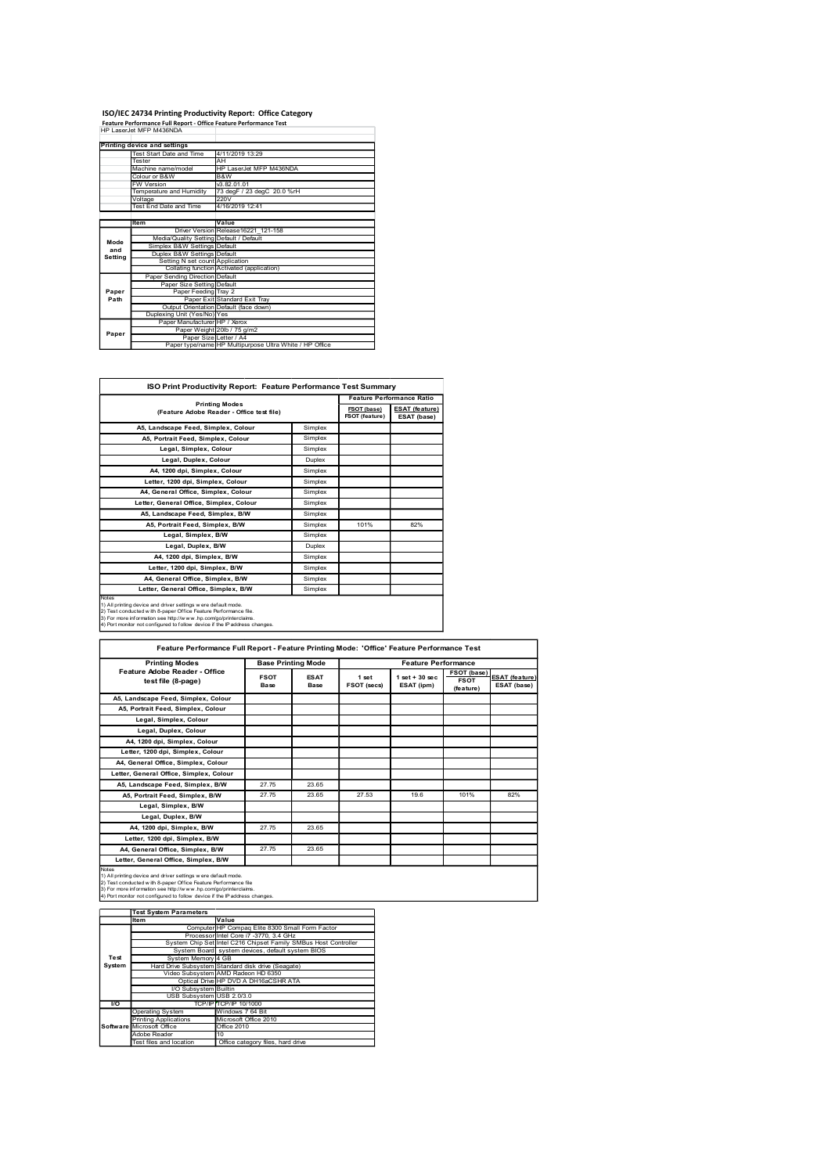#### ISO/IEC 24734 Printing Productivity Report: Office Category<br>Feature Performance Full Report - Office Feature Performance Test<br>HP LaserJet MFP M438NDA

|             | ISO/IEC 24734 Printing Productivity Report: Office Category<br>Feature Performance Full Report - Office Feature Performance Test<br>HP LaserJet MFP M436NDA |                                                                                   |                    |                |                                             |
|-------------|-------------------------------------------------------------------------------------------------------------------------------------------------------------|-----------------------------------------------------------------------------------|--------------------|----------------|---------------------------------------------|
|             | <b>Printing device and settings</b>                                                                                                                         |                                                                                   |                    |                |                                             |
|             | Test Start Date and Time<br>Tester<br>Machine name/model                                                                                                    | 4/11/2019 13:29<br>AH <sup>-</sup><br>HP LaserJet MFP M436NDA                     |                    |                |                                             |
|             | Colour or B&W<br><b>W</b> Version                                                                                                                           | B&W<br>V3.82.01.01                                                                |                    |                |                                             |
|             | Temperature and Humidity<br>Voltage<br>Test End Date and Time                                                                                               | 73 degF / 23 degC 20.0 %rH<br>220V<br>4/16/2019 12:41                             |                    |                |                                             |
|             | Item                                                                                                                                                        | Value<br>Driver Version Release16221_121-158                                      |                    |                |                                             |
| Mode<br>and | Media/Quality Setting Default / Default                                                                                                                     |                                                                                   |                    |                |                                             |
| Setting     | Simplex B&W Settings Default<br>Duplex B&W Settings Default                                                                                                 |                                                                                   |                    |                |                                             |
| Paper       | Setting N set count Application<br>Collating function Activated (application)<br>Paper Sending Direction Default<br>Paper Size Setting Default              |                                                                                   |                    |                |                                             |
| Path        |                                                                                                                                                             | Paper Feeding Tray 2<br>Paper Exit Standard Exit Tray                             |                    |                |                                             |
|             | Output Orientation Default (face down)<br>Duplexing Unit (Yes/No) Yes<br>Paper Manufacturer HP / Xerox                                                      | Paper Weight 20lb / 75 g/m2                                                       |                    |                |                                             |
| Paper       |                                                                                                                                                             | Paper Size Letter / A4<br>Paper type/name HP Multipurpose Ultra White / HP Office |                    |                |                                             |
|             |                                                                                                                                                             |                                                                                   |                    |                |                                             |
|             |                                                                                                                                                             | ISO Print Productivity Report: Feature Performance Test Summary                   |                    |                |                                             |
|             |                                                                                                                                                             | <b>Printing Modes</b><br>(Feature Adobe Reader - Office test file)                |                    | FSOT (base)    | Feature Performance Ratio<br>ESAT (feature) |
|             | A5, Landscape Feed, Simplex, Colour                                                                                                                         |                                                                                   | Simplex            | FSOT (feature) | ESAT (base)                                 |
|             | A5, Portrait Feed, Simplex, Colour<br>Legal, Simplex, Colour                                                                                                |                                                                                   | Simplex<br>Simplex |                |                                             |

| ISO Print Productivity Report: Feature Performance Test Summary |  |
|-----------------------------------------------------------------|--|

|                | ISO/IEC 24734 Printing Productivity Report: Office Category                                                                                  |                                           |                           |                    |                                      |                                      |                                   |                |
|----------------|----------------------------------------------------------------------------------------------------------------------------------------------|-------------------------------------------|---------------------------|--------------------|--------------------------------------|--------------------------------------|-----------------------------------|----------------|
|                | Feature Performance Full Report - Office Feature Performance Test<br>HP LaserJet MFP M436NDA                                                 |                                           |                           |                    |                                      |                                      |                                   |                |
|                |                                                                                                                                              |                                           |                           |                    |                                      |                                      |                                   |                |
|                | <b>Printing device and settings</b><br>Test Start Date and Time                                                                              | 4/11/2019 13:29                           |                           |                    |                                      |                                      |                                   |                |
|                | Tester<br>Machine name/model                                                                                                                 | AH<br>HP LaserJet MFP M436NDA             |                           |                    |                                      |                                      |                                   |                |
|                | Colour or B&W                                                                                                                                | B&W                                       |                           |                    |                                      |                                      |                                   |                |
|                | W Version<br>Femperature and Humidity                                                                                                        | V3.82.01.01<br>73 degF / 23 degC 20.0 %rH |                           |                    |                                      |                                      |                                   |                |
|                | Voltage<br>Test End Date and Time                                                                                                            | 220V<br>4/16/2019 12:41                   |                           |                    |                                      |                                      |                                   |                |
|                |                                                                                                                                              |                                           |                           |                    |                                      |                                      |                                   |                |
|                | Item<br>Driver Version Release16221 121-158                                                                                                  | Value                                     |                           |                    |                                      |                                      |                                   |                |
| Mode           | Media/Quality Setting Default / Default<br>Simplex B&W Settings Default                                                                      |                                           |                           |                    |                                      |                                      |                                   |                |
| and<br>Setting | Duplex B&W Settings Default                                                                                                                  |                                           |                           |                    |                                      |                                      |                                   |                |
|                | Setting N set count Application<br>Collating function Activated (application)                                                                |                                           |                           |                    |                                      |                                      |                                   |                |
|                | Paper Sending Direction Default<br>Paper Size Setting Default                                                                                |                                           |                           |                    |                                      |                                      |                                   |                |
| Paper<br>Path  | Paper Feeding Tray 2                                                                                                                         | Paper Exit Standard Exit Tray             |                           |                    |                                      |                                      |                                   |                |
|                | Output Orientation Default (face down)<br>Duplexing Unit (Yes/No) Yes                                                                        |                                           |                           |                    |                                      |                                      |                                   |                |
|                | Paper Manufacturer HP / Xerox                                                                                                                |                                           |                           |                    |                                      |                                      |                                   |                |
| Paper          | Paper Weight 20lb / 75 g/m2                                                                                                                  |                                           |                           |                    |                                      |                                      |                                   |                |
|                | Paper Size Letter / A4<br>Paper type/name HP Multipurpose Ultra White / HP Office                                                            |                                           |                           |                    |                                      |                                      |                                   |                |
|                |                                                                                                                                              |                                           |                           |                    |                                      |                                      |                                   |                |
|                |                                                                                                                                              |                                           |                           |                    |                                      |                                      |                                   |                |
|                | ISO Print Productivity Report: Feature Performance Test Summary                                                                              |                                           |                           |                    |                                      |                                      |                                   |                |
|                | <b>Printing Modes</b>                                                                                                                        |                                           |                           |                    |                                      | <b>Feature Performance Ratio</b>     |                                   |                |
|                | (Feature Adobe Reader - Office test file)                                                                                                    |                                           |                           |                    | FSOT (base)<br><b>FSOT</b> (feature) | <b>ESAT (feature)</b><br>ESAT (base) |                                   |                |
|                | A5, Landscape Feed, Simplex, Colour                                                                                                          |                                           |                           | Simplex            |                                      |                                      |                                   |                |
|                | A5, Portrait Feed, Simplex, Colour                                                                                                           |                                           |                           | Simplex            |                                      |                                      |                                   |                |
|                | Legal, Simplex, Colour                                                                                                                       |                                           |                           | Simplex            |                                      |                                      |                                   |                |
|                | Legal, Duplex, Colour<br>A4, 1200 dpi, Simplex, Colour                                                                                       |                                           |                           | Duplex<br>Simplex  |                                      |                                      |                                   |                |
|                | Letter, 1200 dpi, Simplex, Colour                                                                                                            |                                           |                           | Simplex            |                                      |                                      |                                   |                |
|                | A4, General Office, Simplex, Colour                                                                                                          |                                           |                           | Simplex            |                                      |                                      |                                   |                |
|                | Letter, General Office, Simplex, Colour                                                                                                      |                                           |                           | Simplex            |                                      |                                      |                                   |                |
|                | A5, Landscape Feed, Simplex, B/W                                                                                                             |                                           |                           | Simplex            |                                      |                                      |                                   |                |
|                | A5, Portrait Feed, Simplex, B/W<br>Legal, Simplex, B/W                                                                                       |                                           |                           | Simplex<br>Simplex | 101%                                 | 82%                                  |                                   |                |
|                | Legal, Duplex, B/W                                                                                                                           |                                           |                           | Duplex             |                                      |                                      |                                   |                |
|                | A4, 1200 dpi, Simplex, B/W                                                                                                                   |                                           |                           | Simplex            |                                      |                                      |                                   |                |
|                | Letter, 1200 dpi, Simplex, B/W                                                                                                               |                                           |                           | Simplex            |                                      |                                      |                                   |                |
|                | A4, General Office, Simplex, B/W<br>Letter, General Office, Simplex, B/W                                                                     |                                           |                           | Simplex            |                                      |                                      |                                   |                |
|                |                                                                                                                                              |                                           |                           | Simplex            |                                      |                                      |                                   |                |
|                | 1) All printing device and driver settings were default mode.<br>2) Test conducted with 8-paper Office Feature Performance file.             |                                           |                           |                    |                                      |                                      |                                   |                |
|                | 3) For more information see http://www.hp.com/go/printerclaims.<br>4) Port monitor not configured to follow device if the P address changes. |                                           |                           |                    |                                      |                                      |                                   |                |
|                |                                                                                                                                              |                                           |                           |                    |                                      |                                      |                                   |                |
|                | Feature Performance Full Report - Feature Printing Mode: 'Office' Feature Performance Test                                                   |                                           |                           |                    |                                      |                                      |                                   |                |
|                | <b>Printing Modes</b>                                                                                                                        |                                           | <b>Base Printing Mode</b> |                    |                                      | <b>Feature Performance</b>           |                                   |                |
|                | Feature Adobe Reader - Office<br>test file (8-page)                                                                                          |                                           | <b>FSOT</b>               | <b>ESAT</b>        | 1 set                                | $1$ set + $30$ sec                   | <b>FSOT (base)</b><br><b>FSOT</b> | ESAT (feature) |
|                |                                                                                                                                              |                                           | Base                      | Base               | FSOT (secs)                          | ESAT (ipm)                           | (feature)                         | ESAT (base)    |
|                | A5, Landscape Feed, Simplex, Colour                                                                                                          |                                           |                           |                    |                                      |                                      |                                   |                |
|                |                                                                                                                                              |                                           |                           |                    |                                      |                                      |                                   |                |
|                | A5, Portrait Feed, Simplex, Colour                                                                                                           |                                           |                           |                    |                                      |                                      |                                   |                |
|                | Legal, Simplex, Colour                                                                                                                       |                                           |                           |                    |                                      |                                      |                                   |                |
|                | Legal, Duplex, Colour<br>A4, 1200 dpi, Simplex, Colour                                                                                       |                                           |                           |                    |                                      |                                      |                                   |                |

|                  |                                                                                                                                                                                                               | Collating function Activated (application)      |                           |                                      |                                                                          |
|------------------|---------------------------------------------------------------------------------------------------------------------------------------------------------------------------------------------------------------|-------------------------------------------------|---------------------------|--------------------------------------|--------------------------------------------------------------------------|
|                  | Paper Sending Direction Default                                                                                                                                                                               |                                                 |                           |                                      |                                                                          |
| Paper            | Paper Size Setting Default                                                                                                                                                                                    |                                                 |                           |                                      |                                                                          |
| Path             | Paper Feeding Tray 2<br>Paper Exit Standard Exit Tray                                                                                                                                                         |                                                 |                           |                                      |                                                                          |
|                  |                                                                                                                                                                                                               |                                                 |                           |                                      |                                                                          |
|                  | Output Orientation Default (face down)<br>Duplexing Unit (Yes/No) Yes<br>Paper Manufacturer HP / Xerox<br>Paper Weight 201b / 75 g/m2                                                                         |                                                 |                           |                                      |                                                                          |
| Paper            | Paper Size Letter / A4<br>Paper type/name HP Multipurpose Ultra White / HP Office                                                                                                                             |                                                 |                           |                                      |                                                                          |
|                  |                                                                                                                                                                                                               |                                                 |                           |                                      |                                                                          |
|                  |                                                                                                                                                                                                               |                                                 |                           |                                      |                                                                          |
|                  | ISO Print Productivity Report: Feature Performance Test Summary                                                                                                                                               |                                                 |                           |                                      |                                                                          |
|                  | <b>Printing Modes</b><br>(Feature Adobe Reader - Office test file)                                                                                                                                            |                                                 |                           | <b>FSOT</b> (base)<br>FSOT (feature) | <b>Feature Performance Ratio</b><br><b>ESAT</b> (feature)<br>ESAT (base) |
|                  | A5, Landscape Feed, Simplex, Colour                                                                                                                                                                           |                                                 | Simplex                   |                                      |                                                                          |
|                  | A5. Portrait Feed, Simplex, Colour                                                                                                                                                                            |                                                 | Simplex                   |                                      |                                                                          |
|                  | Legal, Simplex, Colour<br>Legal, Duplex, Colour                                                                                                                                                               |                                                 | Simplex<br>Duplex         |                                      |                                                                          |
|                  | A4, 1200 dpi, Simplex, Colour                                                                                                                                                                                 |                                                 | Simplex                   |                                      |                                                                          |
|                  | Letter, 1200 dpi, Simplex, Colour                                                                                                                                                                             |                                                 | Simplex                   |                                      |                                                                          |
|                  | A4. General Office, Simplex, Colour                                                                                                                                                                           |                                                 | Simplex                   |                                      |                                                                          |
|                  | Letter, General Office, Simplex, Colour                                                                                                                                                                       |                                                 | Simplex                   |                                      |                                                                          |
|                  | A5, Landscape Feed, Simplex, B/W                                                                                                                                                                              |                                                 | Simplex                   |                                      |                                                                          |
|                  | A5. Portrait Feed, Simplex, B/W<br>Legal, Simplex, B/W                                                                                                                                                        |                                                 | Simplex<br>Simplex        | 101%                                 | 82%                                                                      |
|                  | Legal, Duplex, B/W                                                                                                                                                                                            |                                                 | Duplex                    |                                      |                                                                          |
|                  | A4, 1200 dpi, Simplex, B/W                                                                                                                                                                                    |                                                 | Simplex                   |                                      |                                                                          |
|                  | Letter, 1200 dpi, Simplex, B/W                                                                                                                                                                                |                                                 | Simplex                   |                                      |                                                                          |
|                  | A4. General Office, Simplex, B/W                                                                                                                                                                              |                                                 | Simplex                   |                                      |                                                                          |
|                  | Letter, General Office, Simplex, B/W                                                                                                                                                                          |                                                 | Simplex                   |                                      |                                                                          |
|                  | ) All printing device and driver settings were default mode.                                                                                                                                                  |                                                 |                           |                                      |                                                                          |
|                  | ) Test conducted with 8-paper Office Feature Performance file.<br>I) Test conducted with 8-paper Office Feature Performance file.<br>I) Port monitor not configured to follow device if the Paddress changes. |                                                 |                           |                                      |                                                                          |
|                  |                                                                                                                                                                                                               |                                                 |                           |                                      |                                                                          |
|                  |                                                                                                                                                                                                               |                                                 |                           |                                      |                                                                          |
|                  | Feature Performance Full Report - Feature Printing Mode: 'Office' Feature Performance Test                                                                                                                    |                                                 |                           |                                      |                                                                          |
|                  | <b>Printing Modes</b><br>Feature Adobe Reader - Office                                                                                                                                                        |                                                 | <b>Base Printing Mode</b> |                                      | <b>Feature Performance</b>                                               |
|                  | test file (8-page)                                                                                                                                                                                            | <b>FSOT</b>                                     | <b>ESAT</b>               | 1 set                                | $1 set + 30 sec$                                                         |
|                  |                                                                                                                                                                                                               | Base                                            | Base                      | FSOT (secs)                          | ESAT (ipm)                                                               |
|                  | A5, Landscape Feed, Simplex, Colour<br>A5, Portrait Feed, Simplex, Colour                                                                                                                                     |                                                 |                           |                                      |                                                                          |
|                  | Legal, Simplex, Colour                                                                                                                                                                                        |                                                 |                           |                                      |                                                                          |
|                  | Legal, Duplex, Colour                                                                                                                                                                                         |                                                 |                           |                                      |                                                                          |
|                  | A4, 1200 dpi, Simplex, Colour                                                                                                                                                                                 |                                                 |                           |                                      |                                                                          |
|                  | Letter, 1200 dpi, Simplex, Colour                                                                                                                                                                             |                                                 |                           |                                      |                                                                          |
|                  |                                                                                                                                                                                                               |                                                 |                           |                                      |                                                                          |
|                  | A4, General Office, Simplex, Colour                                                                                                                                                                           |                                                 |                           |                                      |                                                                          |
|                  | Letter, General Office, Simplex, Colour                                                                                                                                                                       |                                                 | 23.65                     |                                      |                                                                          |
|                  | A5. Landscape Feed, Simplex, B/W                                                                                                                                                                              | 27.75                                           |                           |                                      |                                                                          |
|                  | A5, Portrait Feed, Simplex, B/W                                                                                                                                                                               | 27.75                                           | 23.65                     | 27.53                                | 19.6                                                                     |
|                  | Legal, Simplex, B/W                                                                                                                                                                                           |                                                 |                           |                                      |                                                                          |
|                  | Legal, Duplex, B/W                                                                                                                                                                                            | 27.75                                           | 23.65                     |                                      |                                                                          |
|                  | A4, 1200 dpi, Simplex, B/W<br>Letter, 1200 dpi, Simplex, B/W                                                                                                                                                  |                                                 |                           |                                      |                                                                          |
|                  | A4, General Office, Simplex, B/W                                                                                                                                                                              | 27.75                                           | 23.65                     |                                      |                                                                          |
|                  | Letter, General Office, Simplex, B/W                                                                                                                                                                          |                                                 |                           |                                      |                                                                          |
|                  | All printing device and driver settings were default mode.                                                                                                                                                    |                                                 |                           |                                      |                                                                          |
|                  | Test conducted with 8-paper Office Feature Performance file                                                                                                                                                   |                                                 |                           |                                      |                                                                          |
|                  | sy reaccuration see http://www.hp.com/go/printerclaims.<br>3) For more information see http://www.hp.com/go/printerclaims.<br>4) Port monitor not configured to follow device if the P address changes        |                                                 |                           |                                      |                                                                          |
|                  | <b>Test System Parameters</b>                                                                                                                                                                                 |                                                 |                           |                                      |                                                                          |
|                  | Value<br>Item                                                                                                                                                                                                 |                                                 |                           |                                      |                                                                          |
|                  |                                                                                                                                                                                                               | Computer HP Compaq Elite 8300 Small Form Factor |                           |                                      |                                                                          |
|                  | Processor Intel Core i7 -3770, 3.4 GHz<br>System Chip Set Intel C216 Chipset Family SMBus Host Controlle                                                                                                      |                                                 |                           |                                      |                                                                          |
| Test             | System Board system devices, default system BIOS<br>System Memory 4 GB                                                                                                                                        |                                                 |                           |                                      |                                                                          |
| System           |                                                                                                                                                                                                               |                                                 |                           |                                      |                                                                          |
|                  | Hard Drive Subsystem Standard disk drive (Seagate)<br>Video Subsystem AMD Radeon HD 6350<br>Optical Drive HP DVD A DH16aCSHR ATA                                                                              |                                                 |                           |                                      |                                                                          |
|                  | VO Subsystem<br>USB Subsystem                                                                                                                                                                                 | Builtin<br>USB 2.0/3.0                          |                           |                                      |                                                                          |
| $\overline{1/O}$ |                                                                                                                                                                                                               | CP/IP 10/1000                                   |                           |                                      |                                                                          |
|                  | perating System<br>rinting Applications                                                                                                                                                                       | /indows 7 64 Bit<br>Microsoft Office 2010       |                           |                                      |                                                                          |
|                  | licrosoft Office                                                                                                                                                                                              | Office 2010                                     |                           |                                      |                                                                          |
|                  |                                                                                                                                                                                                               |                                                 |                           |                                      |                                                                          |
|                  | Adobe Reader<br>Test files and location                                                                                                                                                                       | Office category files, hard drive               |                           |                                      |                                                                          |
|                  |                                                                                                                                                                                                               |                                                 |                           |                                      |                                                                          |
|                  |                                                                                                                                                                                                               |                                                 |                           |                                      |                                                                          |
|                  |                                                                                                                                                                                                               |                                                 |                           |                                      |                                                                          |
|                  |                                                                                                                                                                                                               |                                                 |                           |                                      |                                                                          |

|        | <b>Test System Parameters</b> |                                                                 |  |
|--------|-------------------------------|-----------------------------------------------------------------|--|
|        | Item                          | Value                                                           |  |
|        |                               | Computer HP Compaq Elite 8300 Small Form Factor                 |  |
|        |                               | Processor Intel Core i7 -3770. 3.4 GHz                          |  |
|        |                               | System Chip Set Intel C216 Chipset Family SMBus Host Controller |  |
|        |                               | System Board system devices, default system BIOS                |  |
| Test   | System Memory 4 GB            |                                                                 |  |
| System |                               | Hard Drive Subsystem Standard disk drive (Seagate)              |  |
|        |                               | Video Subsystem AMD Radeon HD 6350                              |  |
|        |                               | Optical Drive HP DVD A DH16aCSHR ATA                            |  |
|        | VO Subsystem Builtin          |                                                                 |  |
|        | USB Subsystem USB 2.0/3.0     |                                                                 |  |
| I/O    |                               | TCP/IPTCP/IP 10/1000                                            |  |
|        | Operating System              | Windows 7 64 Bit                                                |  |
|        | Printing Applications         | Microsoft Office 2010                                           |  |
|        | Software Microsoft Office     | Office 2010                                                     |  |
|        | Adobe Reader                  | 10                                                              |  |
|        | Test files and location       | Office category files, hard drive                               |  |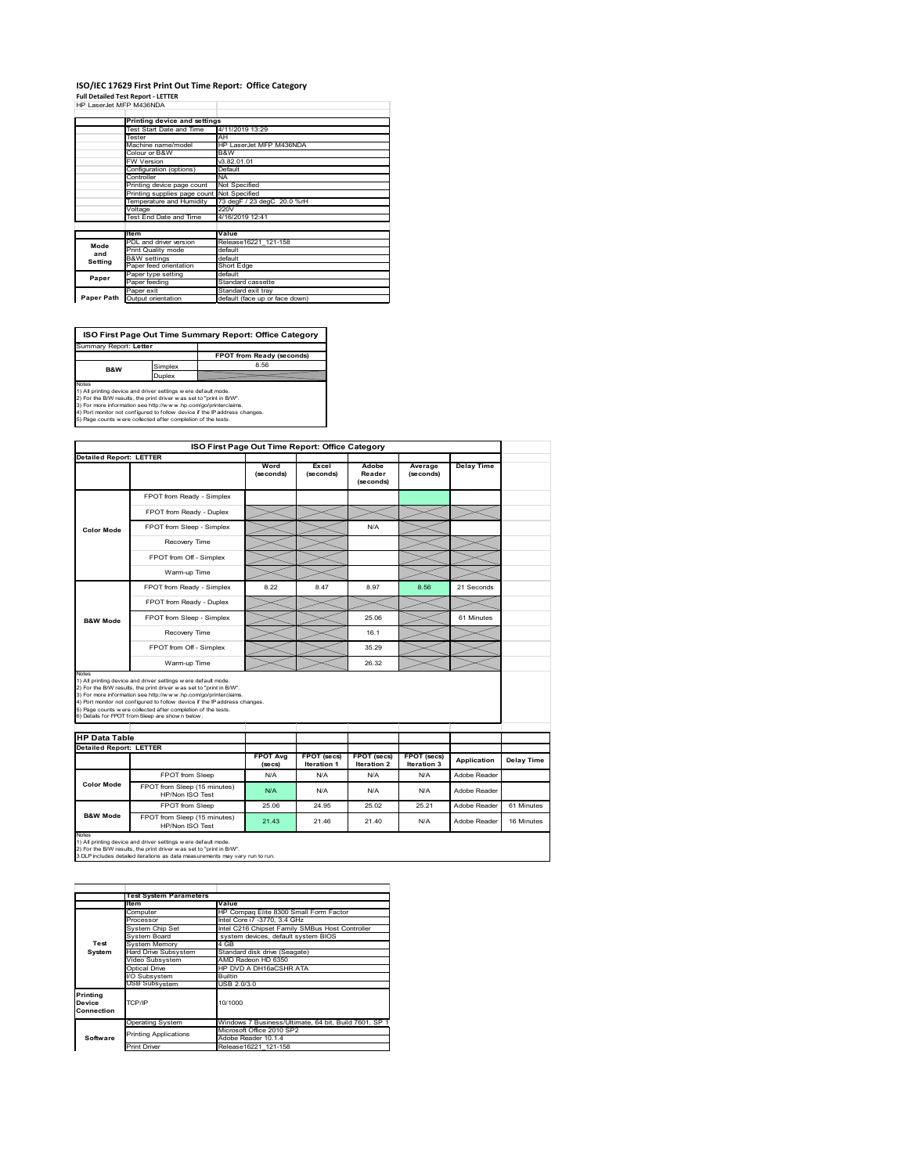#### **ISO/IEC 17629 First Print Out Time Report: Office Category Full Detailed Test Report ‐ LETTER** HP LaserJet MFP M436NDA

|            | Printing device and settings               |                                |
|------------|--------------------------------------------|--------------------------------|
|            | Test Start Date and Time                   | 4/11/2019 13:29                |
|            | Tester                                     | AH                             |
|            | Machine name/model                         | HP LaserJet MFP M436NDA        |
|            | Colour or B&W                              | B&W                            |
|            | <b>FW Version</b>                          | V3.82.01.01                    |
|            | Configuration (options)                    | Default                        |
|            | Controller                                 | <b>NA</b>                      |
|            | Printing device page count                 | Not Specified                  |
|            | Printing supplies page count Not Specified |                                |
|            | Temperature and Humidity                   | 73 degF / 23 degC 20.0 %rH     |
|            | Voltage                                    | 220V                           |
|            | Test End Date and Time                     | 4/16/2019 12:41                |
|            |                                            |                                |
|            | <b>Item</b>                                | Value                          |
| Mode       | PDL and driver version                     | Release16221 121-158           |
| and        | Print Quality mode                         | default                        |
| Setting    | <b>B&amp;W</b> settings                    | default                        |
|            | Paper feed orientation                     | Short Edge                     |
| Paper      | Paper type setting                         | default                        |
|            | Paper feeding                              | Standard cassette              |
|            | Paper exit                                 | Standard exit tray             |
| Paper Path | Output orientation                         | default (face up or face down) |

| ISO First Page Out Time Summary Report: Office Category                                                                                                                                                                                                                                                                                                                 |         |                           |  |  |
|-------------------------------------------------------------------------------------------------------------------------------------------------------------------------------------------------------------------------------------------------------------------------------------------------------------------------------------------------------------------------|---------|---------------------------|--|--|
| Summary Report: Letter                                                                                                                                                                                                                                                                                                                                                  |         |                           |  |  |
|                                                                                                                                                                                                                                                                                                                                                                         |         | FPOT from Ready (seconds) |  |  |
| <b>B&amp;W</b>                                                                                                                                                                                                                                                                                                                                                          | Simplex | 8.56                      |  |  |
|                                                                                                                                                                                                                                                                                                                                                                         | Duplex  |                           |  |  |
| <b>Notes</b><br>1) All printing device and driver settings w ere default mode.<br>2) For the B/W results, the print driver was set to "print in B/W".<br>3) For more information see http://www.hp.com/go/printerclaims.<br>4) Port monitor not configured to follow device if the IP address changes.<br>5) Page counts w ere collected after completion of the tests. |         |                           |  |  |

**ISO First Page Out Time Report: Office Category Detailed Report: LETTER Delay Time Word (seconds) Excel (seconds) Adobe Reader Average (seconds)** (second FPOT from Ready - Simplex FPOT from Ready - Duplex  $\asymp$  $>\!<$ FPOT from Sleep - Simplex N/A **Color Mode** Recovery Time ╰  $\gg$ FPOT from Off - Simplex  $\!>\!$  $\lessgtr$  $\overline{\varkappa}$  $\overline{\times}$ Warm-up Time  $\overline{\phantom{0}}$ FPOT from Ready - Simplex 8.22 8.47 8.97 8.56 21 Seconds FPOT from Ready - Duplex FPOT from Sleep - Simplex 25.06 61 Minutes **B&W Mode** Recovery Time Recovery Time 16.1<br>The Theory Time 16.1<br>36.29  $\gg$  $\prec$  $\iff$ FPOT from Off - Simplex 35.29  $\equiv$ Warm-up Time 26.32 Notes<br>1) All printing device and driver settings were default mode.<br>2) For the BMV results, the print driver was set to "print in BMV".<br>3) For more information see http://www.hp.com/golprinterclaims.<br>4) Port monitor not co **HP Data Table Detailed Report: LETTER FPOT Avg FPOT (secs) Iteration 1 FPOT (secs) Iteration 2 FPOT (secs) Iteration 3 Application Delay Time (secs)** FPOT from Sleep N/A N/A N/A N/A N/A Adobe Reader **Color Mode** FPOT from Sleep (15 minutes) HP/Non ISO Test N/A N/A N/A N/A Adobe Reader FPOT from Sleep 25.06 24.95 25.02 25.21 Adobe Reader 61 Minutes **B&W Mode** FPOT from Sleep (15 minutes) HP/Non ISO Test 21.43 21.46 21.40 N/A Adobe Reader 16 Minutes

Notes<br>1) All printing device and driver settings w ere default mode.<br>2) For the B/W results, the print driver w as set to "print in B/W".<br>3 DLP includes detailed iterations as data measurements may vary run to run.

|                                  | <b>Test System Parameters</b> |                                                       |  |  |
|----------------------------------|-------------------------------|-------------------------------------------------------|--|--|
|                                  | ltem                          | Value                                                 |  |  |
|                                  | Computer                      | HP Compaq Elite 8300 Small Form Factor                |  |  |
|                                  | Processor                     | Intel Core i7 -3770, 3.4 GHz                          |  |  |
|                                  | System Chip Set               | Intel C216 Chipset Family SMBus Host Controller       |  |  |
|                                  | System Board                  | system devices, default system BIOS                   |  |  |
| Test                             | <b>System Memory</b>          | 4 GB                                                  |  |  |
| System                           | Hard Drive Subsystem          | Standard disk drive (Seagate)                         |  |  |
|                                  | Video Subsystem               | AMD Radeon HD 6350                                    |  |  |
|                                  | Optical Drive                 | HP DVD A DH16aCSHR ATA                                |  |  |
|                                  | I/O Subsystem                 | <b>Builtin</b>                                        |  |  |
|                                  | <b>USB Subsystem</b>          | USB 2.0/3.0                                           |  |  |
| Printing<br>Device<br>Connection | TCP/IP                        | 10/1000                                               |  |  |
|                                  | <b>Operating System</b>       | Windows 7 Business/Ultimate, 64 bit, Build 7601, SP 1 |  |  |
|                                  | <b>Printing Applications</b>  | Microsoft Office 2010 SP2                             |  |  |
| Software                         |                               | Adobe Reader 10.1.4                                   |  |  |
|                                  | <b>Print Driver</b>           | Release16221 121-158                                  |  |  |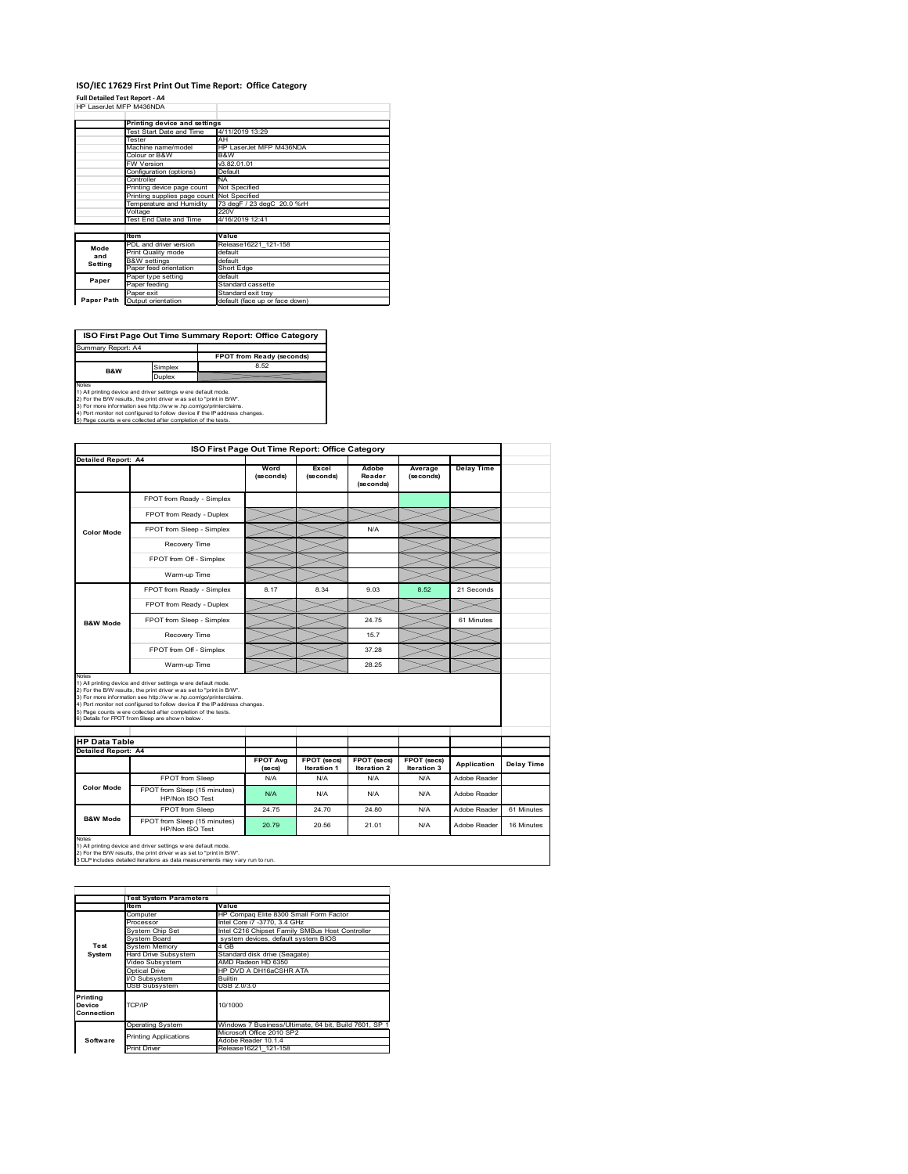#### **ISO/IEC 17629 First Print Out Time Report: Office Category**  $\overline{\phantom{a}}$

**Full Detailed Test Report ‐ A4** HP LaserJet MFP M436NDA

|            | Printing device and settings               |                                |  |  |  |
|------------|--------------------------------------------|--------------------------------|--|--|--|
|            | Test Start Date and Time                   | 4/11/2019 13:29                |  |  |  |
|            | Tester                                     | AH                             |  |  |  |
|            | Machine name/model                         | HP LaserJet MFP M436NDA        |  |  |  |
|            | Colour or B&W                              | B&W                            |  |  |  |
|            | FW Version                                 | V3.82.01.01                    |  |  |  |
|            | Configuration (options)                    | Default                        |  |  |  |
|            | Controller                                 | <b>NA</b>                      |  |  |  |
|            | Printing device page count                 | Not Specified                  |  |  |  |
|            | Printing supplies page count Not Specified |                                |  |  |  |
|            | Temperature and Humidity                   | 73 degF / 23 degC 20.0 %rH     |  |  |  |
|            | Voltage                                    | 220V                           |  |  |  |
|            | Test End Date and Time                     | 4/16/2019 12:41                |  |  |  |
|            |                                            |                                |  |  |  |
|            | Item                                       | Value                          |  |  |  |
| Mode       | PDL and driver version                     | Release16221 121-158           |  |  |  |
| and        | Print Quality mode                         | default                        |  |  |  |
| Setting    | <b>B&amp;W</b> settings                    | default                        |  |  |  |
|            | Paper feed orientation                     | Short Edge                     |  |  |  |
| Paper      | Paper type setting                         | default                        |  |  |  |
|            | Paper feeding                              | Standard cassette              |  |  |  |
|            | Paper exit                                 | Standard exit tray             |  |  |  |
| Paper Path | Output orientation                         | default (face up or face down) |  |  |  |
|            |                                            |                                |  |  |  |

Ť.

| ISO First Page Out Time Summary Report: Office Category                                                                                        |         |                           |  |  |
|------------------------------------------------------------------------------------------------------------------------------------------------|---------|---------------------------|--|--|
| Summary Report: A4                                                                                                                             |         |                           |  |  |
|                                                                                                                                                |         | FPOT from Ready (seconds) |  |  |
| <b>B&amp;W</b>                                                                                                                                 | Simplex | 8.52                      |  |  |
|                                                                                                                                                | Duplex  |                           |  |  |
| Notes<br>1) All printing device and driver settings w ere default mode.<br>2) For the B/W results, the print driver was set to "print in B/W". |         |                           |  |  |
| 3) For more information see http://www.hp.com/go/printerclaims.<br>4) Port monitor not configured to follow device if the IP address changes.  |         |                           |  |  |
| 5) Page counts w ere collected after completion of the tests.                                                                                  |         |                           |  |  |

4) Port monitor not configured to follow device if the IP address changes. 5) Page counts w ere collected after completion of the tests.

|                            | <b>Detailed Report: A4</b>                                                                                                                                                                                                                                                                                                                |                            |                            |                              |                                   |                    |                   |
|----------------------------|-------------------------------------------------------------------------------------------------------------------------------------------------------------------------------------------------------------------------------------------------------------------------------------------------------------------------------------------|----------------------------|----------------------------|------------------------------|-----------------------------------|--------------------|-------------------|
|                            |                                                                                                                                                                                                                                                                                                                                           | Word<br>(seconds)          | Excel<br>(seconds)         | Adobe<br>Reader<br>(seconds) | Average<br>(seconds)              | Delay Time         |                   |
|                            | FPOT from Ready - Simplex                                                                                                                                                                                                                                                                                                                 |                            |                            |                              |                                   |                    |                   |
| Color Mode                 | FPOT from Ready - Duplex                                                                                                                                                                                                                                                                                                                  |                            |                            |                              |                                   |                    |                   |
|                            | FPOT from Sleep - Simplex                                                                                                                                                                                                                                                                                                                 |                            |                            | N/A                          |                                   |                    |                   |
|                            | Recovery Time                                                                                                                                                                                                                                                                                                                             |                            |                            |                              |                                   |                    |                   |
|                            | FPOT from Off - Simplex                                                                                                                                                                                                                                                                                                                   |                            |                            |                              |                                   |                    |                   |
|                            | Warm-up Time                                                                                                                                                                                                                                                                                                                              |                            |                            |                              |                                   |                    |                   |
| <b>B&amp;W Mode</b>        | FPOT from Ready - Simplex                                                                                                                                                                                                                                                                                                                 | 8.17                       | 8.34                       | 9.03                         | 8.52                              | 21 Seconds         |                   |
|                            | FPOT from Ready - Duplex                                                                                                                                                                                                                                                                                                                  |                            |                            |                              |                                   |                    |                   |
|                            | FPOT from Sleep - Simplex                                                                                                                                                                                                                                                                                                                 |                            |                            | 24.75                        |                                   | 61 Minutes         |                   |
|                            | Recovery Time                                                                                                                                                                                                                                                                                                                             |                            |                            | 15.7                         |                                   |                    |                   |
|                            | FPOT from Off - Simplex                                                                                                                                                                                                                                                                                                                   |                            |                            | 37.28                        |                                   |                    |                   |
|                            |                                                                                                                                                                                                                                                                                                                                           |                            |                            |                              |                                   |                    |                   |
| Notes                      | Warm-up Time<br>1) All printing device and driver settings w ere default mode.                                                                                                                                                                                                                                                            |                            |                            | 28.25                        |                                   |                    |                   |
|                            | 2) For the B/W results, the print driver was set to "print in B/W".<br>3) For more information see http://www.hp.com/go/printerclaims.<br>4) Port monitor not configured to follow device if the IP address changes.<br>5) Page counts w ere collected after completion of the tests.<br>6) Details for FPOT from Sleep are show n below. |                            |                            |                              |                                   |                    |                   |
| <b>HP Data Table</b>       |                                                                                                                                                                                                                                                                                                                                           |                            |                            |                              |                                   |                    |                   |
| <b>Detailed Report: A4</b> |                                                                                                                                                                                                                                                                                                                                           | <b>FPOT Avg</b><br>(se cs) | FPOT (secs)<br>Iteration 1 | FPOT (secs)<br>Iteration 2   | <b>FPOT</b> (secs)<br>Iteration 3 | <b>Application</b> |                   |
|                            | FPOT from Sleep                                                                                                                                                                                                                                                                                                                           | N/A                        | N/A                        | N/A                          | N/A                               | Adobe Reader       | <b>Delay Time</b> |
| <b>Color Mode</b>          | FPOT from Sleep (15 minutes)<br>HP/Non ISO Test                                                                                                                                                                                                                                                                                           | N/A                        | N/A                        | N/A                          | N/A                               | Adobe Reader       |                   |
| <b>B&amp;W Mode</b>        | FPOT from Sleep                                                                                                                                                                                                                                                                                                                           | 24 75                      | 24 70                      | 24 80                        | N/A                               | Adobe Reader       | 61 Minutes        |

1) All printing device and driver settings w ere default mode.<br>2) For the B/W results, the print driver w as set to "print in B/W".<br>3 DLP includes detailed iterations as data measurements may vary run to run.

|                                  | <b>Test System Parameters</b> |                                                       |  |  |  |  |
|----------------------------------|-------------------------------|-------------------------------------------------------|--|--|--|--|
|                                  | ltem                          | Value                                                 |  |  |  |  |
|                                  | Computer                      | HP Compag Elite 8300 Small Form Factor                |  |  |  |  |
|                                  | Processor                     | Intel Core i7 -3770, 3.4 GHz                          |  |  |  |  |
|                                  | System Chip Set               | Intel C216 Chipset Family SMBus Host Controller       |  |  |  |  |
|                                  | System Board                  | system devices, default system BIOS                   |  |  |  |  |
| Test                             | <b>System Memory</b>          | 4 GB                                                  |  |  |  |  |
| System                           | Hard Drive Subsystem          | Standard disk drive (Seagate)                         |  |  |  |  |
|                                  | Video Subsystem               | AMD Radeon HD 6350                                    |  |  |  |  |
|                                  | Optical Drive                 | HP DVD A DH16aCSHR ATA                                |  |  |  |  |
|                                  | I/O Subsystem                 | <b>Builtin</b>                                        |  |  |  |  |
|                                  | <b>USB Subsystem</b>          | USB 2.0/3.0                                           |  |  |  |  |
| Printing<br>Device<br>Connection | TCP/IP                        | 10/1000                                               |  |  |  |  |
|                                  | <b>Operating System</b>       | Windows 7 Business/Ultimate, 64 bit, Build 7601, SP 1 |  |  |  |  |
|                                  | <b>Printing Applications</b>  | Microsoft Office 2010 SP2                             |  |  |  |  |
| Software                         |                               | Adobe Reader 10.1.4                                   |  |  |  |  |
|                                  | <b>Print Driver</b>           | Release16221 121-158                                  |  |  |  |  |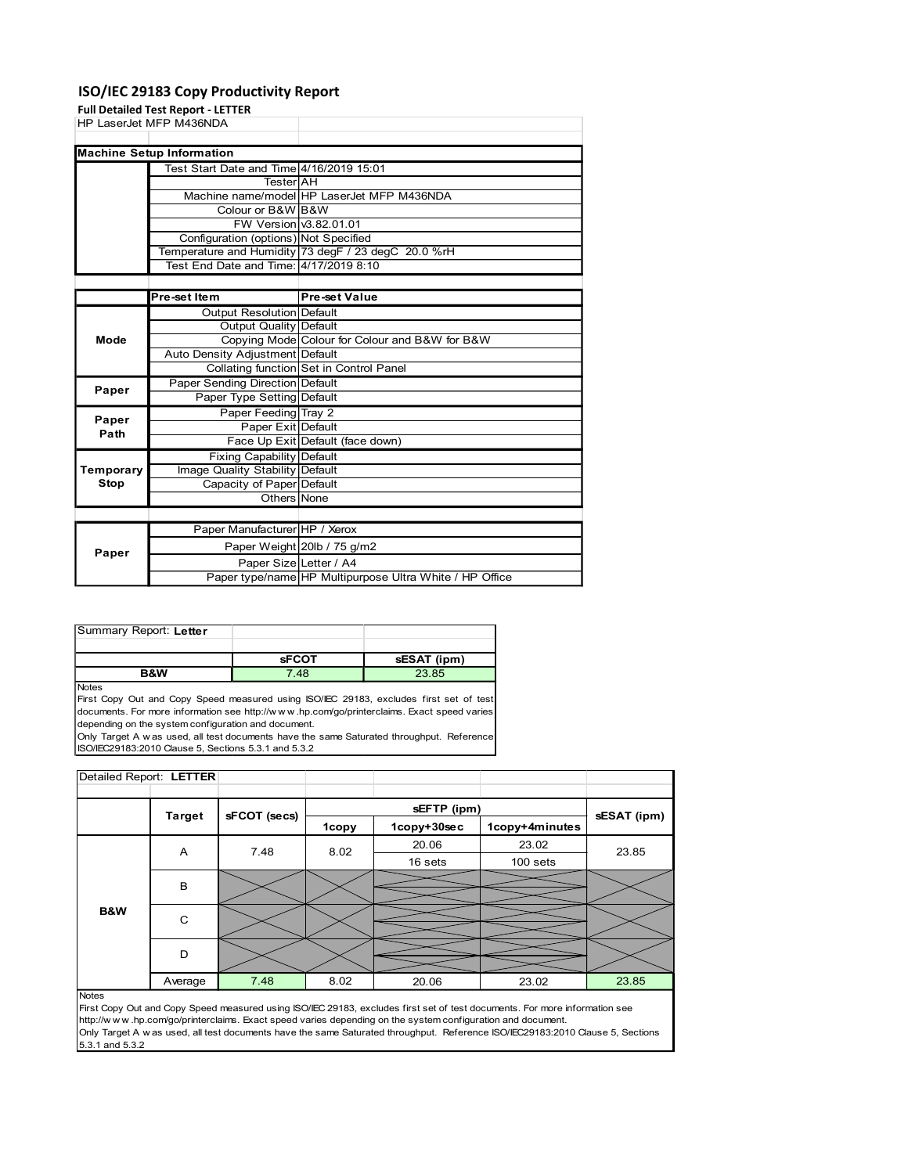#### ISO/IEC 29183 Copy Productivity Report

#### Full Detailed Test Report - LETTER

|               | ISO/IEC 29183 Copy Productivity Report    |                                                                                   |
|---------------|-------------------------------------------|-----------------------------------------------------------------------------------|
|               | <b>Full Detailed Test Report - LETTER</b> |                                                                                   |
|               | HP LaserJet MFP M436NDA                   |                                                                                   |
|               | <b>Machine Setup Information</b>          |                                                                                   |
|               | Test Start Date and Time 4/16/2019 15:01  |                                                                                   |
|               | Tester AH                                 |                                                                                   |
|               |                                           | Machine name/model HP LaserJet MFP M436NDA                                        |
|               | Colour or B&W B&W                         |                                                                                   |
|               |                                           |                                                                                   |
|               |                                           |                                                                                   |
|               | FW Version 3.82.01.01                     |                                                                                   |
|               | Configuration (options) Not Specified     |                                                                                   |
|               | Test End Date and Time: 4/17/2019 8:10    | Temperature and Humidity 73 degF / 23 degC 20.0 %rH                               |
|               |                                           |                                                                                   |
|               | Pre-set Item                              | <b>Pre-set Value</b>                                                              |
|               | <b>Output Resolution Default</b>          |                                                                                   |
|               | <b>Output Quality Default</b>             |                                                                                   |
| Mode          |                                           | Copying Mode Colour for Colour and B&W for B&W                                    |
|               | Auto Density Adjustment Default           |                                                                                   |
|               |                                           | Collating function Set in Control Panel                                           |
|               | Paper Sending Direction Default           |                                                                                   |
| Paper         | Paper Type Setting Default                |                                                                                   |
|               | Paper Feeding Tray 2                      |                                                                                   |
| Paper<br>Path | Paper Exit Default                        |                                                                                   |
|               |                                           | Face Up Exit Default (face down)                                                  |
|               | Fixing Capability Default                 |                                                                                   |
| Temporary     | Image Quality Stability Default           |                                                                                   |
| <b>Stop</b>   | Capacity of Paper Default                 |                                                                                   |
|               | Others None                               |                                                                                   |
|               |                                           |                                                                                   |
|               | Paper Manufacturer HP / Xerox             |                                                                                   |
| Paper         |                                           | Paper Weight 20lb / 75 g/m2                                                       |
|               |                                           | Paper Size Letter / A4<br>Paper type/name HP Multipurpose Ultra White / HP Office |

|                         |                | Test Start Date and Time 4/16/2019 15:01             |                                                         |                                                                                            |                |             |
|-------------------------|----------------|------------------------------------------------------|---------------------------------------------------------|--------------------------------------------------------------------------------------------|----------------|-------------|
|                         |                | Tester AH                                            |                                                         |                                                                                            |                |             |
|                         |                | Machine name/model HP LaserJet MFP M436NDA           |                                                         |                                                                                            |                |             |
|                         |                | Colour or B&W B&W                                    |                                                         |                                                                                            |                |             |
|                         |                | FW Version v3.82.01.01                               |                                                         |                                                                                            |                |             |
|                         |                | Configuration (options) Not Specified                |                                                         |                                                                                            |                |             |
|                         |                | Temperature and Humidity 73 degF / 23 degC 20.0 %rH  |                                                         |                                                                                            |                |             |
|                         |                | Test End Date and Time: 4/17/2019 8:10               |                                                         |                                                                                            |                |             |
|                         |                |                                                      |                                                         |                                                                                            |                |             |
|                         | Pre-set Item   |                                                      | <b>Pre-set Value</b>                                    |                                                                                            |                |             |
|                         |                | <b>Output Resolution Default</b>                     |                                                         |                                                                                            |                |             |
|                         |                | <b>Output Quality Default</b>                        |                                                         |                                                                                            |                |             |
| Mode                    |                |                                                      |                                                         | Copying Mode Colour for Colour and B&W for B&W                                             |                |             |
|                         |                | Auto Density Adjustment Default                      |                                                         |                                                                                            |                |             |
|                         |                | Collating function Set in Control Panel              |                                                         |                                                                                            |                |             |
|                         |                | Paper Sending Direction Default                      |                                                         |                                                                                            |                |             |
| Paper                   |                | Paper Type Setting Default                           |                                                         |                                                                                            |                |             |
|                         |                | Paper Feeding Tray 2                                 |                                                         |                                                                                            |                |             |
| Paper                   |                | Paper Exit Default                                   |                                                         |                                                                                            |                |             |
| Path                    |                | Face Up Exit Default (face down)                     |                                                         |                                                                                            |                |             |
|                         |                |                                                      |                                                         |                                                                                            |                |             |
|                         |                | Fixing Capability Default                            |                                                         |                                                                                            |                |             |
| Temporary               |                | Image Quality Stability Default                      |                                                         |                                                                                            |                |             |
| Stop                    |                | Capacity of Paper Default                            |                                                         |                                                                                            |                |             |
|                         |                | Others None                                          |                                                         |                                                                                            |                |             |
|                         |                |                                                      |                                                         |                                                                                            |                |             |
|                         |                | Paper Manufacturer HP / Xerox                        |                                                         |                                                                                            |                |             |
|                         |                | Paper Weight 20lb / 75 g/m2                          |                                                         |                                                                                            |                |             |
| Paper                   |                |                                                      | Paper Size Letter / A4                                  |                                                                                            |                |             |
|                         |                |                                                      | Paper type/name HP Multipurpose Ultra White / HP Office |                                                                                            |                |             |
|                         |                |                                                      |                                                         |                                                                                            |                |             |
|                         |                |                                                      |                                                         |                                                                                            |                |             |
|                         |                |                                                      |                                                         |                                                                                            |                |             |
| Summary Report: Letter  |                |                                                      |                                                         |                                                                                            |                |             |
|                         |                |                                                      |                                                         |                                                                                            |                |             |
|                         |                | <b>sFCOT</b>                                         |                                                         | sESAT (ipm)                                                                                |                |             |
|                         | <b>B&amp;W</b> | 7.48                                                 |                                                         | 23.85                                                                                      |                |             |
| <b>Notes</b>            |                |                                                      |                                                         |                                                                                            |                |             |
|                         |                |                                                      |                                                         | First Copy Out and Copy Speed measured using ISO/IEC 29183, excludes first set of test     |                |             |
|                         |                |                                                      |                                                         | documents. For more information see http://www.hp.com/go/printerclaims. Exact speed varies |                |             |
|                         |                | depending on the system configuration and document.  |                                                         |                                                                                            |                |             |
|                         |                |                                                      |                                                         | Only Target A was used, all test documents have the same Saturated throughput. Reference   |                |             |
|                         |                | ISO/IEC29183:2010 Clause 5, Sections 5.3.1 and 5.3.2 |                                                         |                                                                                            |                |             |
| Detailed Report: LETTER |                |                                                      |                                                         |                                                                                            |                |             |
|                         |                |                                                      |                                                         |                                                                                            |                |             |
|                         |                |                                                      |                                                         | sEFTP (ipm)                                                                                |                |             |
|                         | <b>Target</b>  | sFCOT (secs)                                         | 1copy                                                   | 1copv+30sec                                                                                | 1copy+4minutes | sESAT (ipm) |
|                         |                |                                                      |                                                         |                                                                                            |                |             |

| Summary Report: Letter |              |             |
|------------------------|--------------|-------------|
|                        |              |             |
|                        | <b>SFCOT</b> | sESAT (ipm) |
| <b>B&amp;W</b>         | 7.48         | 23.85       |

|                         |               | Face Up Exit Default (face down)                                                                            |       |                                                                                          |                |             |
|-------------------------|---------------|-------------------------------------------------------------------------------------------------------------|-------|------------------------------------------------------------------------------------------|----------------|-------------|
|                         |               | Fixing Capability Default                                                                                   |       |                                                                                          |                |             |
| Temporary               |               | Image Quality Stability Default                                                                             |       |                                                                                          |                |             |
| Stop                    |               | Capacity of Paper Default                                                                                   |       |                                                                                          |                |             |
|                         |               | Others None                                                                                                 |       |                                                                                          |                |             |
|                         |               | Paper Manufacturer HP / Xerox                                                                               |       |                                                                                          |                |             |
|                         |               | Paper Weight 20lb / 75 g/m2                                                                                 |       |                                                                                          |                |             |
| Paper                   |               | Paper Size Letter / A4                                                                                      |       |                                                                                          |                |             |
|                         |               |                                                                                                             |       | Paper type/name HP Multipurpose Ultra White / HP Office                                  |                |             |
|                         |               |                                                                                                             |       |                                                                                          |                |             |
| Summary Report: Letter  |               |                                                                                                             |       |                                                                                          |                |             |
|                         |               | <b>SFCOT</b>                                                                                                |       | sESAT (ipm)                                                                              |                |             |
|                         | B&W           | 7.48                                                                                                        |       | 23.85                                                                                    |                |             |
|                         |               | depending on the system configuration and document.<br>ISO/IEC29183:2010 Clause 5, Sections 5.3.1 and 5.3.2 |       | Only Target A was used, all test documents have the same Saturated throughput. Reference |                |             |
| Detailed Report: LETTER |               |                                                                                                             |       |                                                                                          |                |             |
|                         |               |                                                                                                             |       | sEFTP (ipm)                                                                              |                |             |
|                         | <b>Target</b> | sFCOT (secs)                                                                                                | 1copy | 1copy+30sec                                                                              | 1copy+4minutes | sESAT (ipm) |
|                         |               |                                                                                                             |       | 20.06                                                                                    | 23.02          |             |
|                         | A             | 7.48                                                                                                        | 8.02  | 16 sets                                                                                  | $100$ sets     | 23.85       |
|                         | В             |                                                                                                             |       |                                                                                          |                |             |
| B&W                     | C             |                                                                                                             |       |                                                                                          |                |             |
|                         | D             |                                                                                                             |       |                                                                                          |                |             |
|                         | Average       | 7.48                                                                                                        | 8.02  | 20.06                                                                                    | 23.02          | 23.85       |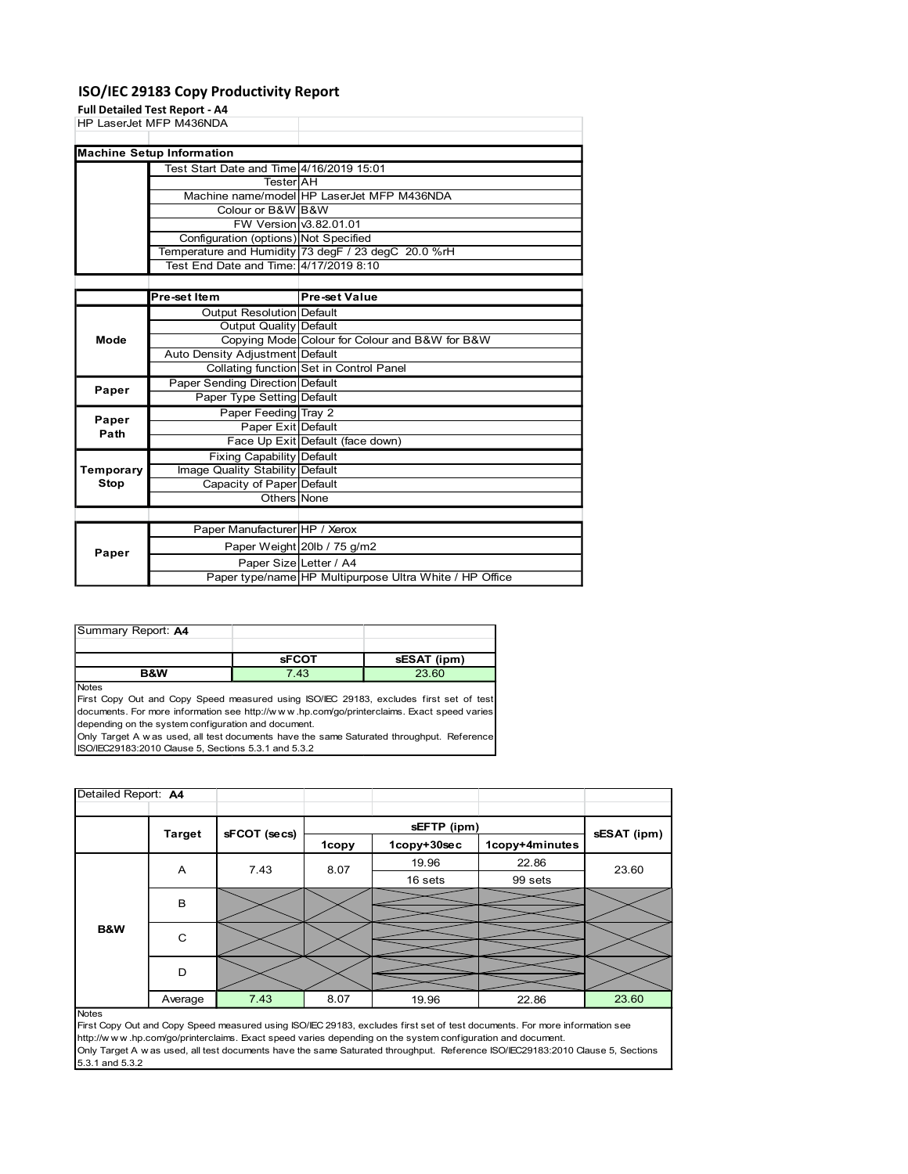#### ISO/IEC 29183 Copy Productivity Report

#### Full Detailed Test Report - A4

|                    | ISO/IEC 29183 Copy Productivity Report     |                                                         |
|--------------------|--------------------------------------------|---------------------------------------------------------|
|                    | Full Detailed Test Report - A4             |                                                         |
|                    | HP LaserJet MFP M436NDA                    |                                                         |
|                    |                                            |                                                         |
|                    | <b>Machine Setup Information</b>           |                                                         |
|                    | Test Start Date and Time 4/16/2019 15:01   |                                                         |
|                    | Tester AH                                  |                                                         |
|                    |                                            | Machine name/model HP LaserJet MFP M436NDA              |
|                    | Colour or B&W B&W                          |                                                         |
|                    | FW Version 3.82.01.01                      |                                                         |
|                    | Configuration (options) Not Specified      |                                                         |
|                    |                                            | Temperature and Humidity 73 degF / 23 degC 20.0 %rH     |
|                    | Test End Date and Time: 4/17/2019 8:10     |                                                         |
|                    |                                            |                                                         |
|                    | Pre-set Item                               | <b>Pre-set Value</b>                                    |
|                    | Output Resolution Default                  |                                                         |
|                    | <b>Output Quality Default</b>              |                                                         |
| Mode               |                                            | Copying Mode Colour for Colour and B&W for B&W          |
|                    | Auto Density Adjustment Default            |                                                         |
|                    |                                            | Collating function Set in Control Panel                 |
| Paper              | Paper Sending Direction Default            |                                                         |
|                    | Paper Type Setting Default                 |                                                         |
| Paper              | Paper Feeding Tray 2<br>Paper Exit Default |                                                         |
| Path               |                                            | Face Up Exit Default (face down)                        |
|                    | Fixing Capability Default                  |                                                         |
| Temporary          | Image Quality Stability Default            |                                                         |
| <b>Stop</b>        | Capacity of Paper Default                  |                                                         |
|                    | Others None                                |                                                         |
|                    |                                            |                                                         |
|                    | Paper Manufacturer HP / Xerox              |                                                         |
|                    |                                            | Paper Weight 20lb / 75 g/m2                             |
|                    |                                            |                                                         |
| Paper              |                                            |                                                         |
|                    | Paper Size Letter / A4                     |                                                         |
|                    |                                            | Paper type/name HP Multipurpose Ultra White / HP Office |
|                    |                                            |                                                         |
| Summary Report: A4 |                                            |                                                         |

|                     |                                                      | <b>Tester</b> AH                         |                                         |                                                                                            |  |
|---------------------|------------------------------------------------------|------------------------------------------|-----------------------------------------|--------------------------------------------------------------------------------------------|--|
|                     |                                                      |                                          |                                         | Machine name/model HP LaserJet MFP M436NDA                                                 |  |
|                     |                                                      | Colour or B&W B&W                        |                                         |                                                                                            |  |
|                     |                                                      | FW Version 3.82.01.01                    |                                         |                                                                                            |  |
|                     |                                                      |                                          | Configuration (options) Not Specified   |                                                                                            |  |
|                     |                                                      |                                          |                                         | Temperature and Humidity 73 degF / 23 degC 20.0 %rH                                        |  |
|                     |                                                      |                                          | Test End Date and Time: 4/17/2019 8:10  |                                                                                            |  |
|                     |                                                      |                                          |                                         |                                                                                            |  |
|                     | Pre-set Item                                         |                                          | <b>Pre-set Value</b>                    |                                                                                            |  |
|                     |                                                      | Output Resolution Default                |                                         |                                                                                            |  |
|                     |                                                      | Output Quality Default                   |                                         |                                                                                            |  |
| Mode                |                                                      |                                          |                                         | Copying Mode Colour for Colour and B&W for B&W                                             |  |
|                     |                                                      | Auto Density Adjustment Default          |                                         |                                                                                            |  |
|                     |                                                      |                                          | Collating function Set in Control Panel |                                                                                            |  |
|                     |                                                      | Paper Sending Direction Default          |                                         |                                                                                            |  |
| Paper               |                                                      | Paper Type Setting Default               |                                         |                                                                                            |  |
|                     |                                                      |                                          |                                         |                                                                                            |  |
| Paper               |                                                      | Paper Feeding Tray 2                     |                                         |                                                                                            |  |
| Path                |                                                      | Paper Exit Default                       | Face Up Exit Default (face down)        |                                                                                            |  |
|                     |                                                      |                                          |                                         |                                                                                            |  |
|                     |                                                      | <b>Fixing Capability Default</b>         |                                         |                                                                                            |  |
| Temporary           |                                                      | Image Quality Stability Default          |                                         |                                                                                            |  |
| <b>Stop</b>         |                                                      | Capacity of Paper Default<br>Others None |                                         |                                                                                            |  |
|                     |                                                      |                                          |                                         |                                                                                            |  |
|                     |                                                      |                                          |                                         |                                                                                            |  |
|                     |                                                      | Paper Manufacturer HP / Xerox            |                                         |                                                                                            |  |
| Paper               |                                                      |                                          | Paper Weight 20lb / 75 g/m2             |                                                                                            |  |
|                     |                                                      | Paper Size Letter / A4                   |                                         |                                                                                            |  |
|                     |                                                      |                                          |                                         | Paper type/name HP Multipurpose Ultra White / HP Office                                    |  |
|                     |                                                      |                                          |                                         |                                                                                            |  |
| Summary Report: A4  |                                                      |                                          |                                         |                                                                                            |  |
|                     |                                                      |                                          |                                         |                                                                                            |  |
|                     |                                                      | <b>sFCOT</b>                             |                                         | sESAT (ipm)                                                                                |  |
|                     | <b>B&amp;W</b>                                       | 7.43                                     |                                         | 23.60                                                                                      |  |
| <b>Notes</b>        |                                                      |                                          |                                         |                                                                                            |  |
|                     |                                                      |                                          |                                         | First Copy Out and Copy Speed measured using ISO/IEC 29183, excludes first set of test     |  |
|                     |                                                      |                                          |                                         | documents. For more information see http://www.hp.com/go/printerclaims. Exact speed varies |  |
|                     | depending on the system configuration and document.  |                                          |                                         |                                                                                            |  |
|                     |                                                      |                                          |                                         | Only Target A was used, all test documents have the same Saturated throughput. Reference   |  |
|                     | ISO/IEC29183:2010 Clause 5, Sections 5.3.1 and 5.3.2 |                                          |                                         |                                                                                            |  |
|                     |                                                      |                                          |                                         |                                                                                            |  |
|                     |                                                      |                                          |                                         |                                                                                            |  |
| Detailed Report: A4 |                                                      |                                          |                                         |                                                                                            |  |
|                     |                                                      |                                          |                                         |                                                                                            |  |
|                     |                                                      |                                          |                                         | sEFTP (ipm)                                                                                |  |
|                     |                                                      |                                          |                                         |                                                                                            |  |

| Summary Report: A4 |              |             |
|--------------------|--------------|-------------|
|                    |              |             |
|                    | <b>sFCOT</b> | sESAT (ipm) |
| <b>B&amp;W</b>     | 7.43         | 23.60       |

| Temporary           |                |                                                      |       |                                                                                                            |                                                                                                                                |             |
|---------------------|----------------|------------------------------------------------------|-------|------------------------------------------------------------------------------------------------------------|--------------------------------------------------------------------------------------------------------------------------------|-------------|
|                     |                | <b>Fixing Capability Default</b>                     |       |                                                                                                            |                                                                                                                                |             |
|                     |                | Image Quality Stability Default                      |       |                                                                                                            |                                                                                                                                |             |
| <b>Stop</b>         |                | Capacity of Paper Default                            |       |                                                                                                            |                                                                                                                                |             |
|                     |                | Others None                                          |       |                                                                                                            |                                                                                                                                |             |
|                     |                |                                                      |       |                                                                                                            |                                                                                                                                |             |
|                     |                | Paper Manufacturer HP / Xerox                        |       |                                                                                                            |                                                                                                                                |             |
| Paper               |                | Paper Weight 20lb / 75 g/m2                          |       |                                                                                                            |                                                                                                                                |             |
|                     |                | Paper Size Letter / A4                               |       |                                                                                                            |                                                                                                                                |             |
|                     |                |                                                      |       | Paper type/name HP Multipurpose Ultra White / HP Office                                                    |                                                                                                                                |             |
|                     |                |                                                      |       |                                                                                                            |                                                                                                                                |             |
|                     |                |                                                      |       |                                                                                                            |                                                                                                                                |             |
| Summary Report: A4  |                |                                                      |       |                                                                                                            |                                                                                                                                |             |
|                     |                |                                                      |       |                                                                                                            |                                                                                                                                |             |
|                     | <b>B&amp;W</b> | <b>SFCOT</b><br>7.43                                 |       | sESAT (ipm)<br>23.60                                                                                       |                                                                                                                                |             |
| Notes               |                |                                                      |       |                                                                                                            |                                                                                                                                |             |
|                     |                |                                                      |       | First Copy Out and Copy Speed measured using ISO/IEC 29183, excludes first set of test                     |                                                                                                                                |             |
|                     |                |                                                      |       | documents. For more information see http://www.hp.com/go/printerclaims. Exact speed varies                 |                                                                                                                                |             |
|                     |                | depending on the system configuration and document.  |       | Only Target A was used, all test documents have the same Saturated throughput. Reference                   |                                                                                                                                |             |
|                     |                | ISO/IEC29183:2010 Clause 5, Sections 5.3.1 and 5.3.2 |       |                                                                                                            |                                                                                                                                |             |
|                     |                |                                                      |       |                                                                                                            |                                                                                                                                |             |
|                     |                |                                                      |       |                                                                                                            |                                                                                                                                |             |
| Detailed Report: A4 |                |                                                      |       |                                                                                                            |                                                                                                                                |             |
|                     |                |                                                      |       |                                                                                                            |                                                                                                                                |             |
|                     |                | sFCOT (secs)                                         |       | sEFTP (ipm)                                                                                                |                                                                                                                                | sESAT (ipm) |
|                     |                |                                                      |       |                                                                                                            |                                                                                                                                |             |
|                     | <b>Target</b>  |                                                      | 1copy | 1copy+30sec                                                                                                | 1copy+4minutes                                                                                                                 |             |
|                     |                |                                                      |       | 19.96                                                                                                      | 22.86                                                                                                                          |             |
|                     | Α              | 7.43                                                 | 8.07  |                                                                                                            |                                                                                                                                | 23.60       |
|                     |                |                                                      |       | 16 sets                                                                                                    | 99 sets                                                                                                                        |             |
|                     | В              |                                                      |       |                                                                                                            |                                                                                                                                |             |
|                     |                |                                                      |       |                                                                                                            |                                                                                                                                |             |
| B&W                 | $\mathbf C$    |                                                      |       |                                                                                                            |                                                                                                                                |             |
|                     |                |                                                      |       |                                                                                                            |                                                                                                                                |             |
|                     | D              |                                                      |       |                                                                                                            |                                                                                                                                |             |
|                     |                |                                                      |       |                                                                                                            |                                                                                                                                |             |
|                     | Average        | 7.43                                                 | 8.07  | 19.96                                                                                                      | 22.86                                                                                                                          | 23.60       |
| <b>Notes</b>        |                |                                                      |       |                                                                                                            |                                                                                                                                |             |
|                     |                |                                                      |       |                                                                                                            | First Copy Out and Copy Speed measured using ISO/IEC 29183, excludes first set of test documents. For more information see     |             |
|                     |                |                                                      |       | http://www.hp.com/go/printerclaims. Exact speed varies depending on the system configuration and document. | Only Target A w as used, all test documents have the same Saturated throughput. Reference ISO/IEC29183:2010 Clause 5, Sections |             |
| 5.3.1 and 5.3.2     |                |                                                      |       |                                                                                                            |                                                                                                                                |             |
|                     |                |                                                      |       |                                                                                                            |                                                                                                                                |             |
|                     |                |                                                      |       |                                                                                                            |                                                                                                                                |             |
|                     |                |                                                      |       |                                                                                                            |                                                                                                                                |             |
|                     |                |                                                      |       |                                                                                                            |                                                                                                                                |             |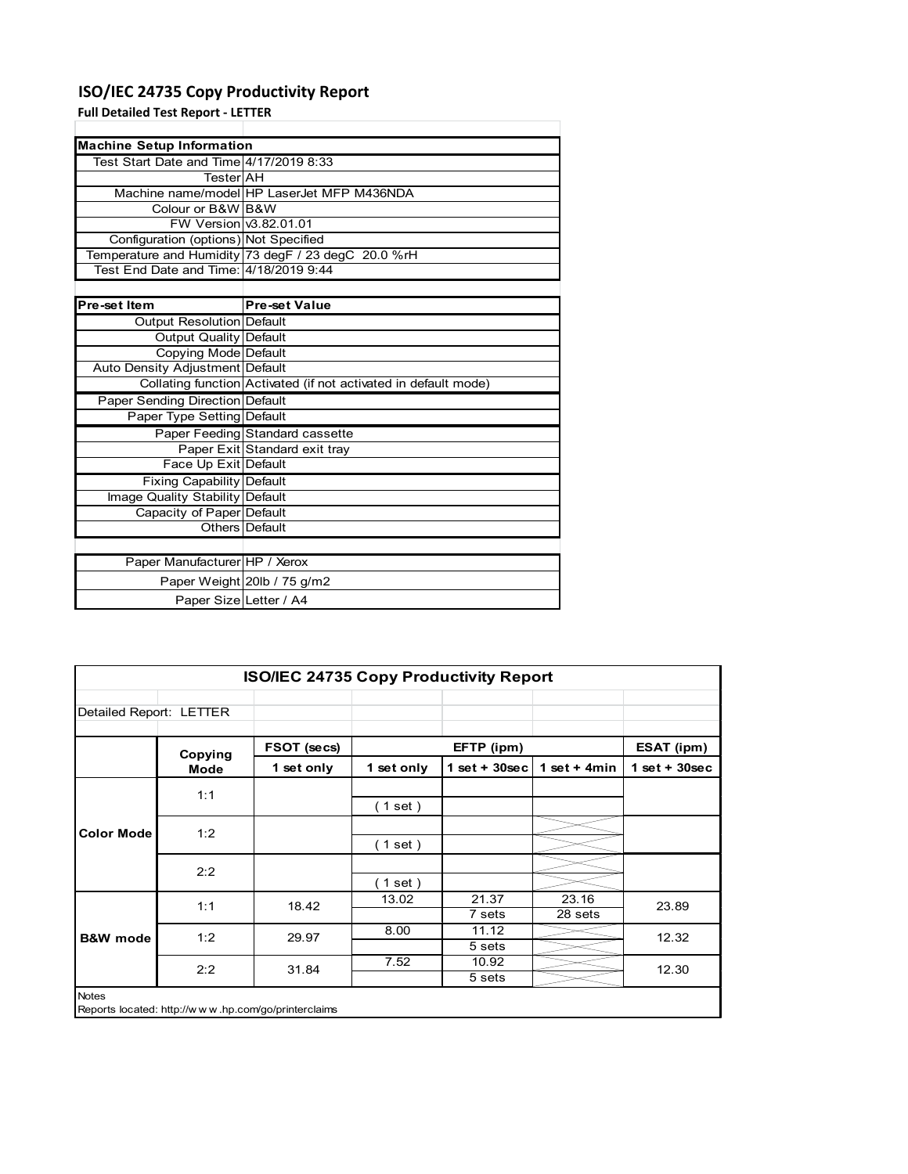### **ISO/IEC 24735 Copy Productivity Report**

**Full Detailed Test Report ‐ LETTER**

|                                         | <b>Machine Setup Information</b>                                |  |  |  |  |  |  |  |
|-----------------------------------------|-----------------------------------------------------------------|--|--|--|--|--|--|--|
| Test Start Date and Time 4/17/2019 8:33 |                                                                 |  |  |  |  |  |  |  |
| TesterIAH                               |                                                                 |  |  |  |  |  |  |  |
|                                         | Machine name/model HP LaserJet MFP M436NDA                      |  |  |  |  |  |  |  |
| Colour or B&W B&W                       |                                                                 |  |  |  |  |  |  |  |
| FW Version v3.82.01.01                  |                                                                 |  |  |  |  |  |  |  |
| Configuration (options) Not Specified   |                                                                 |  |  |  |  |  |  |  |
|                                         | Temperature and Humidity 73 degF / 23 degC 20.0 %rH             |  |  |  |  |  |  |  |
| Test End Date and Time: 4/18/2019 9:44  |                                                                 |  |  |  |  |  |  |  |
|                                         |                                                                 |  |  |  |  |  |  |  |
| Pre-set Item                            | <b>Pre-set Value</b>                                            |  |  |  |  |  |  |  |
| Output Resolution Default               |                                                                 |  |  |  |  |  |  |  |
| <b>Output Quality Default</b>           |                                                                 |  |  |  |  |  |  |  |
| Copying Mode Default                    |                                                                 |  |  |  |  |  |  |  |
| Auto Density Adjustment Default         |                                                                 |  |  |  |  |  |  |  |
|                                         | Collating function Activated (if not activated in default mode) |  |  |  |  |  |  |  |
| Paper Sending Direction Default         |                                                                 |  |  |  |  |  |  |  |
| Paper Type Setting Default              |                                                                 |  |  |  |  |  |  |  |
|                                         | Paper Feeding Standard cassette                                 |  |  |  |  |  |  |  |
|                                         | Paper Exit Standard exit tray                                   |  |  |  |  |  |  |  |
| Face Up Exit Default                    |                                                                 |  |  |  |  |  |  |  |
| <b>Fixing Capability Default</b>        |                                                                 |  |  |  |  |  |  |  |
| Image Quality Stability Default         |                                                                 |  |  |  |  |  |  |  |
| Capacity of Paper Default               |                                                                 |  |  |  |  |  |  |  |
|                                         | Others Default                                                  |  |  |  |  |  |  |  |
|                                         |                                                                 |  |  |  |  |  |  |  |
| Paper Manufacturer HP / Xerox           |                                                                 |  |  |  |  |  |  |  |
|                                         | Paper Weight 20lb / 75 g/m2                                     |  |  |  |  |  |  |  |
| Paper Size Letter / A4                  |                                                                 |  |  |  |  |  |  |  |

| <b>ISO/IEC 24735 Copy Productivity Report</b> |         |                                                     |            |                  |                  |                 |  |  |
|-----------------------------------------------|---------|-----------------------------------------------------|------------|------------------|------------------|-----------------|--|--|
| Detailed Report: LETTER                       |         |                                                     |            |                  |                  |                 |  |  |
|                                               | Copying | FSOT (secs)                                         |            | EFTP (ipm)       |                  | ESAT (ipm)      |  |  |
|                                               | Mode    | 1 set only                                          | 1 set only | 1 set + $30$ sec | 1 set + $4min$   | $1$ set + 30sec |  |  |
|                                               | 1:1     |                                                     | (1 set)    |                  |                  |                 |  |  |
| <b>Color Mode</b>                             | 1:2     |                                                     | (1 set)    |                  |                  |                 |  |  |
|                                               | 2:2     |                                                     | $1$ set)   |                  |                  |                 |  |  |
|                                               | 1:1     | 18.42                                               | 13.02      | 21.37<br>7 sets  | 23.16<br>28 sets | 23.89           |  |  |
| <b>B&amp;W</b> mode                           | 1:2     | 29.97                                               | 8.00       | 11.12<br>5 sets  |                  | 12.32           |  |  |
|                                               | 2:2     | 31.84                                               | 7.52       | 10.92<br>5 sets  |                  | 12.30           |  |  |
| <b>Notes</b>                                  |         | Reports located: http://www.hp.com/go/printerclaims |            |                  |                  |                 |  |  |

Reports located: http://w w w .hp.com/go/printerclaims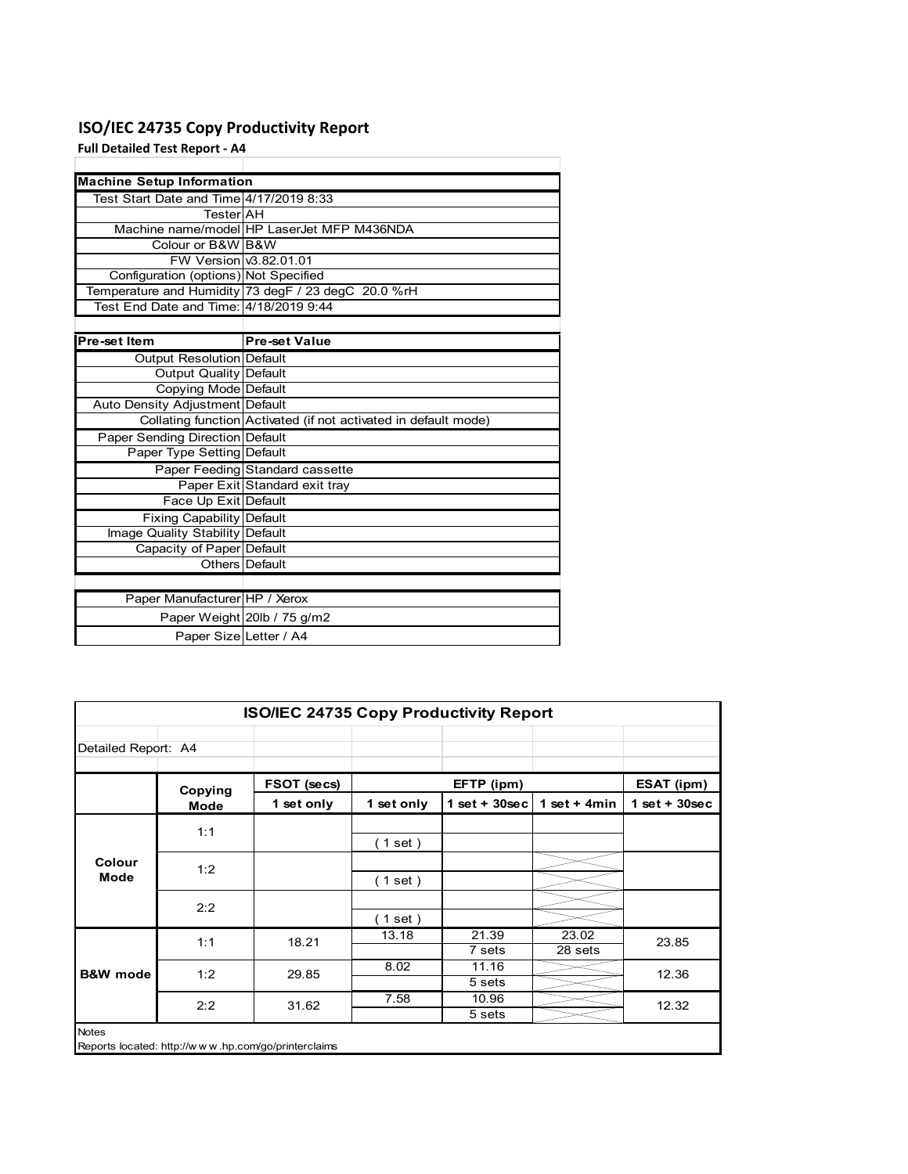### **ISO/IEC 24735 Copy Productivity Report**

**Full Detailed Test Report ‐ A4**

|                                         | <b>Machine Setup Information</b>                                |  |  |  |  |  |  |
|-----------------------------------------|-----------------------------------------------------------------|--|--|--|--|--|--|
| Test Start Date and Time 4/17/2019 8:33 |                                                                 |  |  |  |  |  |  |
| TesterlAH                               |                                                                 |  |  |  |  |  |  |
|                                         | Machine name/model HP LaserJet MFP M436NDA                      |  |  |  |  |  |  |
| Colour or B&W B&W                       |                                                                 |  |  |  |  |  |  |
| FW Version v3.82.01.01                  |                                                                 |  |  |  |  |  |  |
| Configuration (options) Not Specified   |                                                                 |  |  |  |  |  |  |
|                                         | Temperature and Humidity 73 degF / 23 degC 20.0 %rH             |  |  |  |  |  |  |
| Test End Date and Time: 4/18/2019 9:44  |                                                                 |  |  |  |  |  |  |
|                                         |                                                                 |  |  |  |  |  |  |
| Pre-set Item                            | <b>Pre-set Value</b>                                            |  |  |  |  |  |  |
| Output Resolution Default               |                                                                 |  |  |  |  |  |  |
| <b>Output Quality Default</b>           |                                                                 |  |  |  |  |  |  |
| Copying Mode Default                    |                                                                 |  |  |  |  |  |  |
| Auto Density Adjustment Default         |                                                                 |  |  |  |  |  |  |
|                                         | Collating function Activated (if not activated in default mode) |  |  |  |  |  |  |
| Paper Sending Direction Default         |                                                                 |  |  |  |  |  |  |
| Paper Type Setting Default              |                                                                 |  |  |  |  |  |  |
|                                         | Paper Feeding Standard cassette                                 |  |  |  |  |  |  |
|                                         | Paper Exit Standard exit tray                                   |  |  |  |  |  |  |
| Face Up Exit Default                    |                                                                 |  |  |  |  |  |  |
| <b>Fixing Capability Default</b>        |                                                                 |  |  |  |  |  |  |
| Image Quality Stability Default         |                                                                 |  |  |  |  |  |  |
| Capacity of Paper Default               |                                                                 |  |  |  |  |  |  |
|                                         | Others   Default                                                |  |  |  |  |  |  |
|                                         |                                                                 |  |  |  |  |  |  |
| Paper Manufacturer HP / Xerox           |                                                                 |  |  |  |  |  |  |
|                                         | Paper Weight 20lb / 75 g/m2                                     |  |  |  |  |  |  |
| Paper Size Letter / A4                  |                                                                 |  |  |  |  |  |  |

|                     | <b>ISO/IEC 24735 Copy Productivity Report</b>       |             |            |                 |                  |                 |  |  |  |
|---------------------|-----------------------------------------------------|-------------|------------|-----------------|------------------|-----------------|--|--|--|
| Detailed Report: A4 |                                                     |             |            |                 |                  |                 |  |  |  |
|                     | Copying                                             | FSOT (secs) |            | EFTP (ipm)      |                  | ESAT (ipm)      |  |  |  |
|                     | Mode                                                | 1 set only  | 1 set only | $1$ set + 30sec | 1 set + 4 $min$  | $1$ set + 30sec |  |  |  |
| Colour<br>Mode      | 1:1                                                 |             | (1 set)    |                 |                  |                 |  |  |  |
|                     | 1:2                                                 |             | (1 set)    |                 |                  |                 |  |  |  |
|                     | 2:2                                                 |             | (1 set)    |                 |                  |                 |  |  |  |
| <b>B&amp;W</b> mode | 1:1                                                 | 18.21       | 13.18      | 21.39<br>7 sets | 23.02<br>28 sets | 23.85           |  |  |  |
|                     | 1:2                                                 | 29.85       | 8.02       | 11.16<br>5 sets |                  | 12.36           |  |  |  |
|                     | 2:2                                                 | 31.62       | 7.58       | 10.96<br>5 sets |                  | 12.32           |  |  |  |
| <b>Notes</b>        | Reports located: http://www.hp.com/go/printerclaims |             |            |                 |                  |                 |  |  |  |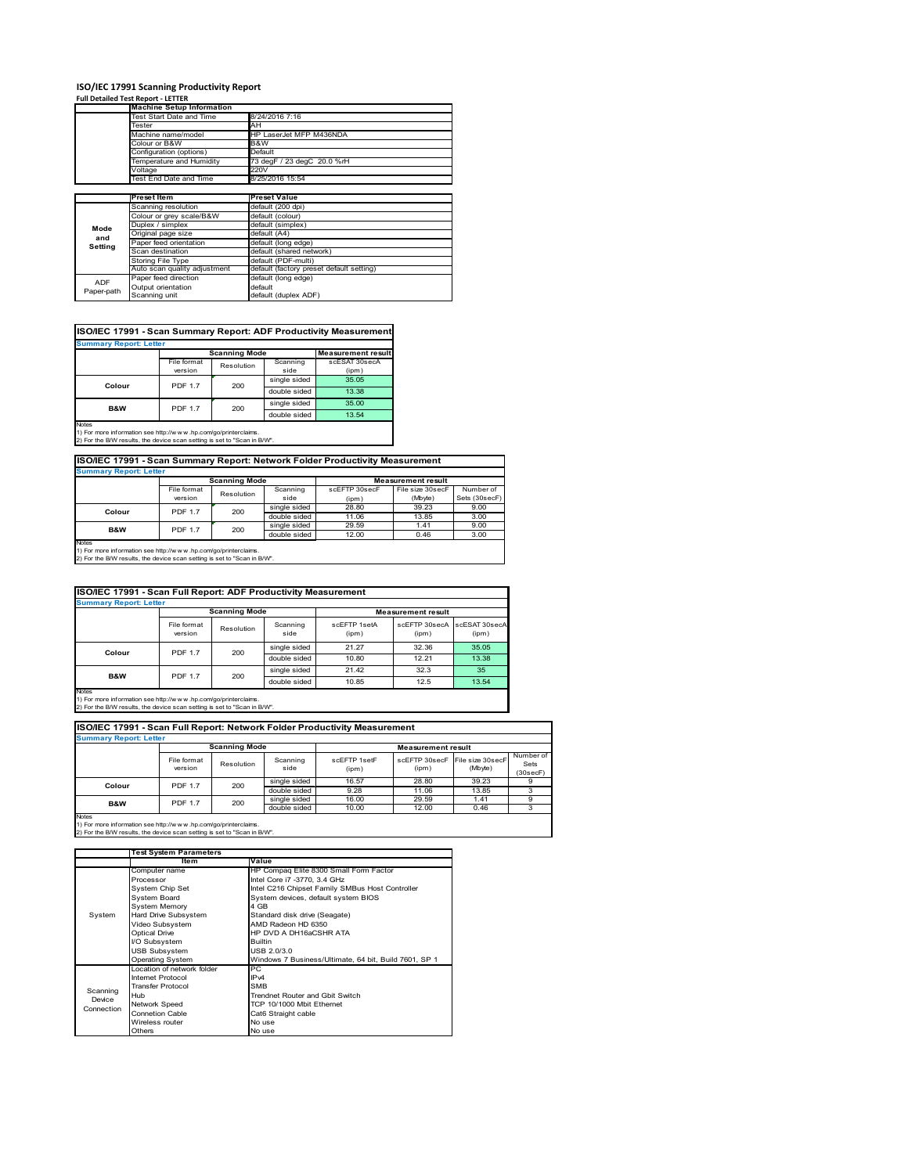# **ISO/IEC 17991 Scanning Productivity Report Full Detailed Test Report ‐ LETTER Machine Setup Information**

|            | <b>Machine Setup Information</b> |                                          |  |  |  |  |
|------------|----------------------------------|------------------------------------------|--|--|--|--|
|            | Fest Start Date and Time         | 8/24/2016 7:16                           |  |  |  |  |
|            | Tester                           | AH                                       |  |  |  |  |
|            | Machine name/model               | HP LaserJet MFP M436NDA                  |  |  |  |  |
|            | Colour or B&W                    | B&W                                      |  |  |  |  |
|            | Configuration (options)          | Default                                  |  |  |  |  |
|            | Temperature and Humidity         | 73 degF / 23 degC 20.0 %rH               |  |  |  |  |
|            | Voltage                          | 220V                                     |  |  |  |  |
|            | Test End Date and Time           | 8/25/2016 15:54                          |  |  |  |  |
|            |                                  |                                          |  |  |  |  |
|            | <b>Preset Item</b>               | <b>Preset Value</b>                      |  |  |  |  |
|            | Scanning resolution              | default (200 dpi)                        |  |  |  |  |
|            | Colour or grey scale/B&W         | default (colour)                         |  |  |  |  |
| Mode       | Duplex / simplex                 | default (simplex)                        |  |  |  |  |
| and        | Original page size               | default (A4)                             |  |  |  |  |
|            | Paper feed orientation           | default (long edge)                      |  |  |  |  |
| Setting    | Scan destination                 | default (shared network)                 |  |  |  |  |
|            | <b>Storing File Type</b>         | default (PDF-multi)                      |  |  |  |  |
|            | Auto scan quality adjustment     | default (factory preset default setting) |  |  |  |  |
|            | Paper feed direction             | default (long edge)                      |  |  |  |  |
| <b>ADF</b> | Output orientation               | default                                  |  |  |  |  |
| Paper-path | Scanning unit                    | default (duplex ADF)                     |  |  |  |  |

| <b>Scanning Mode</b><br>File format<br>Scanning<br>scESAT 30secA<br>Resolution<br>version<br>side<br>(ipm)<br>single sided<br>35.05<br><b>PDF 1.7</b><br>200<br>Colour<br>double sided<br>13.38<br>single sided<br>35.00<br><b>PDF 1.7</b><br><b>B&amp;W</b><br>200<br>double sided<br>13.54 | <b>Summary Report: Letter</b> |  |  |                           |
|----------------------------------------------------------------------------------------------------------------------------------------------------------------------------------------------------------------------------------------------------------------------------------------------|-------------------------------|--|--|---------------------------|
|                                                                                                                                                                                                                                                                                              |                               |  |  | <b>Measurement result</b> |
|                                                                                                                                                                                                                                                                                              |                               |  |  |                           |
|                                                                                                                                                                                                                                                                                              |                               |  |  |                           |
|                                                                                                                                                                                                                                                                                              |                               |  |  |                           |
|                                                                                                                                                                                                                                                                                              |                               |  |  |                           |
|                                                                                                                                                                                                                                                                                              |                               |  |  |                           |
|                                                                                                                                                                                                                                                                                              |                               |  |  |                           |

**ISO/IEC 17991 - Scan Summary Report: Network Folder Productivity Measurement**

| <b>Summary Report: Letter</b> |                      |            |              |                           |                  |               |  |
|-------------------------------|----------------------|------------|--------------|---------------------------|------------------|---------------|--|
|                               | <b>Scanning Mode</b> |            |              | <b>Measurement result</b> |                  |               |  |
|                               | File format          | Resolution | Scanning     | scEFTP 30secF             | File size 30secF | Number of     |  |
|                               | version              |            | side         | (ipm)                     | (Mbyte)          | Sets (30secF) |  |
| Colour                        | <b>PDF 1.7</b>       | 200        | single sided | 28.80                     | 39.23            | 9.00          |  |
|                               |                      |            | double sided | 11.06                     | 13.85            | 3.00          |  |
| B&W                           | <b>PDF 1.7</b>       | 200        | single sided | 29.59                     | 1.41             | 9.00          |  |
|                               |                      |            | double sided | 12.00                     | 0.46             | 3.00          |  |
| <b>Notes</b>                  |                      |            |              |                           |                  |               |  |

┓

Notes 1) For more information see http://w w w .hp.com/go/printerclaims. 2) For the B/W results, the device scan setting is set to "Scan in B/W".

| ISO/IEC 17991 - Scan Full Report: ADF Productivity Measurement |                        |                      |                  |                       |                           |                        |  |  |
|----------------------------------------------------------------|------------------------|----------------------|------------------|-----------------------|---------------------------|------------------------|--|--|
| <b>Summary Report: Letter</b>                                  |                        |                      |                  |                       |                           |                        |  |  |
|                                                                |                        | <b>Scanning Mode</b> |                  |                       | <b>Measurement result</b> |                        |  |  |
|                                                                | File format<br>version | Resolution           | Scanning<br>side | scFFTP 1setA<br>(ipm) | scEETP 30secA<br>(ipm)    | scESAT 30secA<br>(ipm) |  |  |
| Colour                                                         | <b>PDF 1.7</b><br>200  |                      | single sided     | 21.27                 | 32.36                     | 35.05                  |  |  |
|                                                                |                        |                      | double sided     | 10.80                 | 12.21                     | 13.38                  |  |  |
| <b>B&amp;W</b>                                                 | <b>PDF 1.7</b>         | 200                  | single sided     | 21.42                 | 32.3                      | 35                     |  |  |
|                                                                |                        |                      | double sided     | 10.85                 | 12.5                      | 13.54                  |  |  |
| <b>Notes</b>                                                   |                        |                      |                  |                       |                           |                        |  |  |

Notes 1) For more information see http://w w w .hp.com/go/printerclaims. 2) For the B/W results, the device scan setting is set to "Scan in B/W".

| ISO/IEC 17991 - Scan Full Report: Network Folder Productivity Measurement |                        |            |                  |                       |                           |                             |                               |  |  |  |
|---------------------------------------------------------------------------|------------------------|------------|------------------|-----------------------|---------------------------|-----------------------------|-------------------------------|--|--|--|
| <b>Summary Report: Letter</b>                                             |                        |            |                  |                       |                           |                             |                               |  |  |  |
|                                                                           | <b>Scanning Mode</b>   |            |                  |                       | <b>Measurement result</b> |                             |                               |  |  |  |
|                                                                           | File format<br>version | Resolution | Scanning<br>side | scFFTP 1setF<br>(ipm) | scEFTP 30secF<br>(ipm)    | File size 30secF<br>(Mbyte) | Number of<br>Sets<br>(30secF) |  |  |  |
| Colour                                                                    | <b>PDF 1.7</b>         | 200        | single sided     | 16.57                 | 28.80                     | 39.23                       |                               |  |  |  |
|                                                                           |                        |            | double sided     | 9.28                  | 11.06                     | 13.85                       |                               |  |  |  |
| <b>B&amp;W</b>                                                            | <b>PDF 1.7</b>         | 200        | single sided     | 16.00                 | 29.59                     | 1.41                        | 9                             |  |  |  |
|                                                                           |                        |            | double sided     | 10.00                 | 12.00                     | 0.46                        |                               |  |  |  |
| <b>Notes</b>                                                              |                        |            |                  |                       |                           |                             |                               |  |  |  |

|            | <b>Test System Parameters</b> |                                                       |  |  |
|------------|-------------------------------|-------------------------------------------------------|--|--|
|            | Item                          | Value                                                 |  |  |
|            | Computer name                 | HP Compaq Elite 8300 Small Form Factor                |  |  |
|            | Processor                     | Intel Core i7 -3770, 3.4 GHz                          |  |  |
|            | System Chip Set               | Intel C216 Chipset Family SMBus Host Controller       |  |  |
|            | <b>System Board</b>           | System devices, default system BIOS                   |  |  |
|            | <b>System Memory</b>          | 4 GB                                                  |  |  |
| System     | Hard Drive Subsystem          | Standard disk drive (Seagate)                         |  |  |
|            | Video Subsystem               | AMD Radeon HD 6350                                    |  |  |
|            | <b>Optical Drive</b>          | HP DVD A DH16aCSHR ATA                                |  |  |
|            | I/O Subsystem                 | <b>Builtin</b>                                        |  |  |
|            | <b>USB Subsystem</b>          | USB 2.0/3.0                                           |  |  |
|            | <b>Operating System</b>       | Windows 7 Business/Ultimate, 64 bit, Build 7601, SP 1 |  |  |
|            | I ocation of network folder   | PC.                                                   |  |  |
|            | Internet Protocol             | IP <sub>v4</sub>                                      |  |  |
| Scanning   | <b>Transfer Protocol</b>      | <b>SMB</b>                                            |  |  |
| Device     | Hub                           | Trendnet Router and Gbit Switch                       |  |  |
| Connection | Network Speed                 | TCP 10/1000 Mbit Ethernet                             |  |  |
|            | <b>Connetion Cable</b>        | Cat6 Straight cable                                   |  |  |
|            | Wireless router               | No use                                                |  |  |
|            | Others                        | No use                                                |  |  |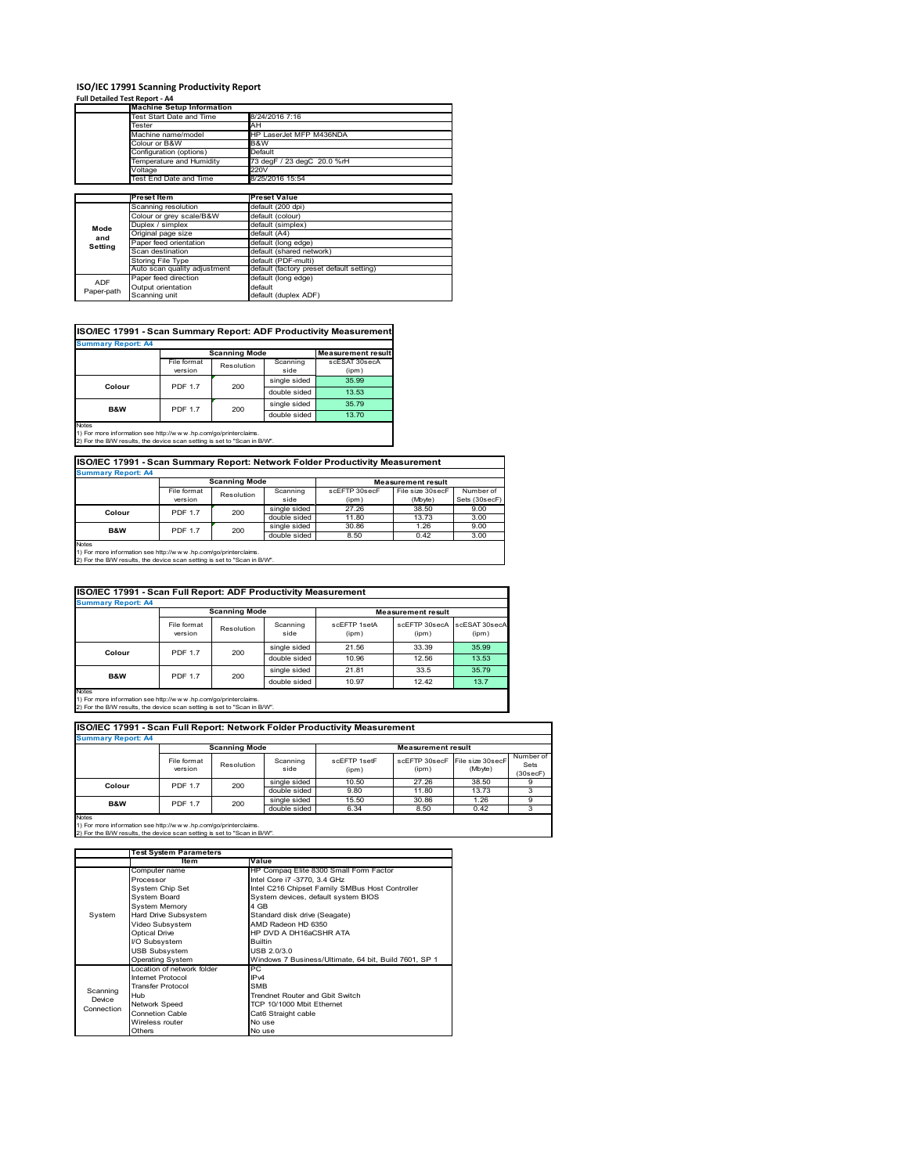# **ISO/IEC 17991 Scanning Productivity Report Full Detailed Test Report ‐ A4 Machine Setup Information**

|                | <b>Machine Setup Information</b> |                                          |  |  |  |  |
|----------------|----------------------------------|------------------------------------------|--|--|--|--|
|                | Test Start Date and Time         | 8/24/2016 7:16                           |  |  |  |  |
|                | Tester                           | AH                                       |  |  |  |  |
|                | Machine name/model               | HP LaserJet MFP M436NDA                  |  |  |  |  |
|                | Colour or B&W                    | B&W                                      |  |  |  |  |
|                | Configuration (options)          | Default                                  |  |  |  |  |
|                | Temperature and Humidity         | 73 degF / 23 degC 20.0 %rH               |  |  |  |  |
|                | Voltage                          | 220V                                     |  |  |  |  |
|                | Test End Date and Time           | 8/25/2016 15:54                          |  |  |  |  |
|                |                                  |                                          |  |  |  |  |
|                | <b>Preset Item</b>               | <b>Preset Value</b>                      |  |  |  |  |
|                | Scanning resolution              | default (200 dpi)                        |  |  |  |  |
|                | Colour or grey scale/B&W         | default (colour)                         |  |  |  |  |
| Mode           | Duplex / simplex                 | default (simplex)                        |  |  |  |  |
|                | Original page size               | default (A4)                             |  |  |  |  |
| and<br>Setting | Paper feed orientation           | default (long edge)                      |  |  |  |  |
|                | Scan destination                 | default (shared network)                 |  |  |  |  |
|                | Storing File Type                | default (PDF-multi)                      |  |  |  |  |
|                | Auto scan quality adjustment     | default (factory preset default setting) |  |  |  |  |
| <b>ADF</b>     | Paper feed direction             | default (long edge)                      |  |  |  |  |
|                | Output orientation               | default                                  |  |  |  |  |
| Paper-path     | Scanning unit                    | default (duplex ADF)                     |  |  |  |  |

| ISO/IEC 17991 - Scan Summary Report: ADF Productivity Measurement |                |                      |              |                           |  |  |  |  |
|-------------------------------------------------------------------|----------------|----------------------|--------------|---------------------------|--|--|--|--|
| <b>Summary Report: A4</b>                                         |                |                      |              |                           |  |  |  |  |
|                                                                   |                | <b>Scanning Mode</b> |              | <b>Measurement result</b> |  |  |  |  |
|                                                                   | File format    | Resolution           | Scanning     | scESAT 30secA             |  |  |  |  |
|                                                                   | version        |                      | side         | (ipm)                     |  |  |  |  |
| Colour                                                            | <b>PDF 1.7</b> | 200                  | single sided | 35.99                     |  |  |  |  |
|                                                                   |                |                      | double sided | 13.53                     |  |  |  |  |
| <b>B&amp;W</b>                                                    | <b>PDF 1.7</b> | 200                  | single sided | 35.79                     |  |  |  |  |
|                                                                   |                |                      | double sided | 13.70                     |  |  |  |  |
| <b>Notes</b>                                                      |                |                      |              |                           |  |  |  |  |

Notes 1) For more information see http://w w w .hp.com/go/printerclaims. 2) For the B/W results, the device scan setting is set to "Scan in B/W".

| ISO/IEC 17991 - Scan Summary Report: Network Folder Productivity Measurement |                |                      |              |               |                           |               |  |
|------------------------------------------------------------------------------|----------------|----------------------|--------------|---------------|---------------------------|---------------|--|
| <b>Summary Report: A4</b>                                                    |                |                      |              |               |                           |               |  |
|                                                                              |                | <b>Scanning Mode</b> |              |               | <b>Measurement result</b> |               |  |
|                                                                              | File format    | Resolution           | Scanning     | scEFTP 30secF | File size 30secF          | Number of     |  |
|                                                                              | version        |                      | side         | (ipm)         | (Mbyte)                   | Sets (30secF) |  |
| Colour                                                                       | <b>PDF 1.7</b> | 200                  | single sided | 27.26         | 38.50                     | 9.00          |  |
|                                                                              |                |                      | double sided | 11.80         | 13.73                     | 3.00          |  |
| <b>B&amp;W</b>                                                               | <b>PDF 1.7</b> | 200                  | single sided | 30.86         | 1.26                      | 9.00          |  |
|                                                                              |                |                      | double sided | 8.50          | 0.42                      | 3.00          |  |

Notes 1) For more information see http://w w w .hp.com/go/printerclaims. 2) For the B/W results, the device scan setting is set to "Scan in B/W".

| ISO/IEC 17991 - Scan Full Report: ADF Productivity Measurement |                        |                      |                  |                       |                           |                        |  |  |
|----------------------------------------------------------------|------------------------|----------------------|------------------|-----------------------|---------------------------|------------------------|--|--|
| <b>Summary Report: A4</b>                                      |                        |                      |                  |                       |                           |                        |  |  |
|                                                                |                        | <b>Scanning Mode</b> |                  |                       | <b>Measurement result</b> |                        |  |  |
|                                                                | File format<br>version | Resolution           | Scanning<br>side | scFFTP 1setA<br>(ipm) | scEFTP 30secA<br>(ipm)    | scESAT 30secA<br>(ipm) |  |  |
| Colour                                                         | 200<br><b>PDF 1.7</b>  |                      | single sided     | 21.56                 | 33.39                     | 35.99                  |  |  |
|                                                                |                        |                      | double sided     | 10.96                 | 12.56                     | 13.53                  |  |  |
|                                                                | <b>PDF 1.7</b>         | 200                  | single sided     | 21.81                 | 33.5                      | 35.79                  |  |  |
| B&W                                                            |                        |                      | double sided     | 10.97                 | 12.42                     | 13.7                   |  |  |
| <b>Notes</b>                                                   |                        |                      |                  |                       |                           |                        |  |  |

Notes 1) For more information see http://w w w .hp.com/go/printerclaims. 2) For the B/W results, the device scan setting is set to "Scan in B/W".

| ISO/IEC 17991 - Scan Full Report: Network Folder Productivity Measurement |                        |                      |                  |                       |                           |                                           |                               |  |  |  |
|---------------------------------------------------------------------------|------------------------|----------------------|------------------|-----------------------|---------------------------|-------------------------------------------|-------------------------------|--|--|--|
| <b>Summary Report: A4</b>                                                 |                        |                      |                  |                       |                           |                                           |                               |  |  |  |
|                                                                           |                        | <b>Scanning Mode</b> |                  |                       | <b>Measurement result</b> |                                           |                               |  |  |  |
|                                                                           | File format<br>version | Resolution           | Scanning<br>side | scFFTP 1setF<br>(ipm) | (ipm)                     | scEFTP 30secF File size 30secF<br>(Mbyte) | Number of<br>Sets<br>(30secF) |  |  |  |
| Colour                                                                    | <b>PDF 1.7</b>         | 200                  | single sided     | 10.50                 | 27.26                     | 38.50                                     |                               |  |  |  |
|                                                                           |                        |                      | double sided     | 9.80                  | 11.80                     | 13.73                                     |                               |  |  |  |
| <b>B&amp;W</b>                                                            | <b>PDF 1.7</b>         | 200                  | single sided     | 15.50                 | 30.86                     | 1.26                                      | 9                             |  |  |  |
|                                                                           |                        |                      | double sided     | 6.34                  | 8.50                      | 0.42                                      |                               |  |  |  |
| <b>Notes</b>                                                              |                        |                      |                  |                       |                           |                                           |                               |  |  |  |

|            | <b>Test System Parameters</b> |                                                       |  |  |
|------------|-------------------------------|-------------------------------------------------------|--|--|
|            | Item                          | Value                                                 |  |  |
|            | Computer name                 | HP Compaq Elite 8300 Small Form Factor                |  |  |
|            | Processor                     | Intel Core i7 -3770, 3.4 GHz                          |  |  |
|            | System Chip Set               | Intel C216 Chipset Family SMBus Host Controller       |  |  |
|            | System Board                  | System devices, default system BIOS                   |  |  |
|            | <b>System Memory</b>          | 4 GB                                                  |  |  |
| System     | Hard Drive Subsystem          | Standard disk drive (Seagate)                         |  |  |
|            | Video Subsystem               | AMD Radeon HD 6350                                    |  |  |
|            | Optical Drive                 | HP DVD A DH16aCSHR ATA                                |  |  |
|            | I/O Subsystem                 | <b>Builtin</b>                                        |  |  |
|            | <b>USB Subsystem</b>          | USB 2.0/3.0                                           |  |  |
|            | <b>Operating System</b>       | Windows 7 Business/Ultimate, 64 bit, Build 7601, SP 1 |  |  |
|            | I ocation of network folder   | PC.                                                   |  |  |
|            | Internet Protocol             | IP <sub>v4</sub>                                      |  |  |
| Scanning   | <b>Transfer Protocol</b>      | <b>SMB</b>                                            |  |  |
| Device     | Hub                           | Trendnet Router and Gbit Switch                       |  |  |
| Connection | Network Speed                 | TCP 10/1000 Mbit Ethernet                             |  |  |
|            | Connetion Cable               | Cat6 Straight cable                                   |  |  |
|            | Wireless router               | No use                                                |  |  |
|            | Others                        | No use                                                |  |  |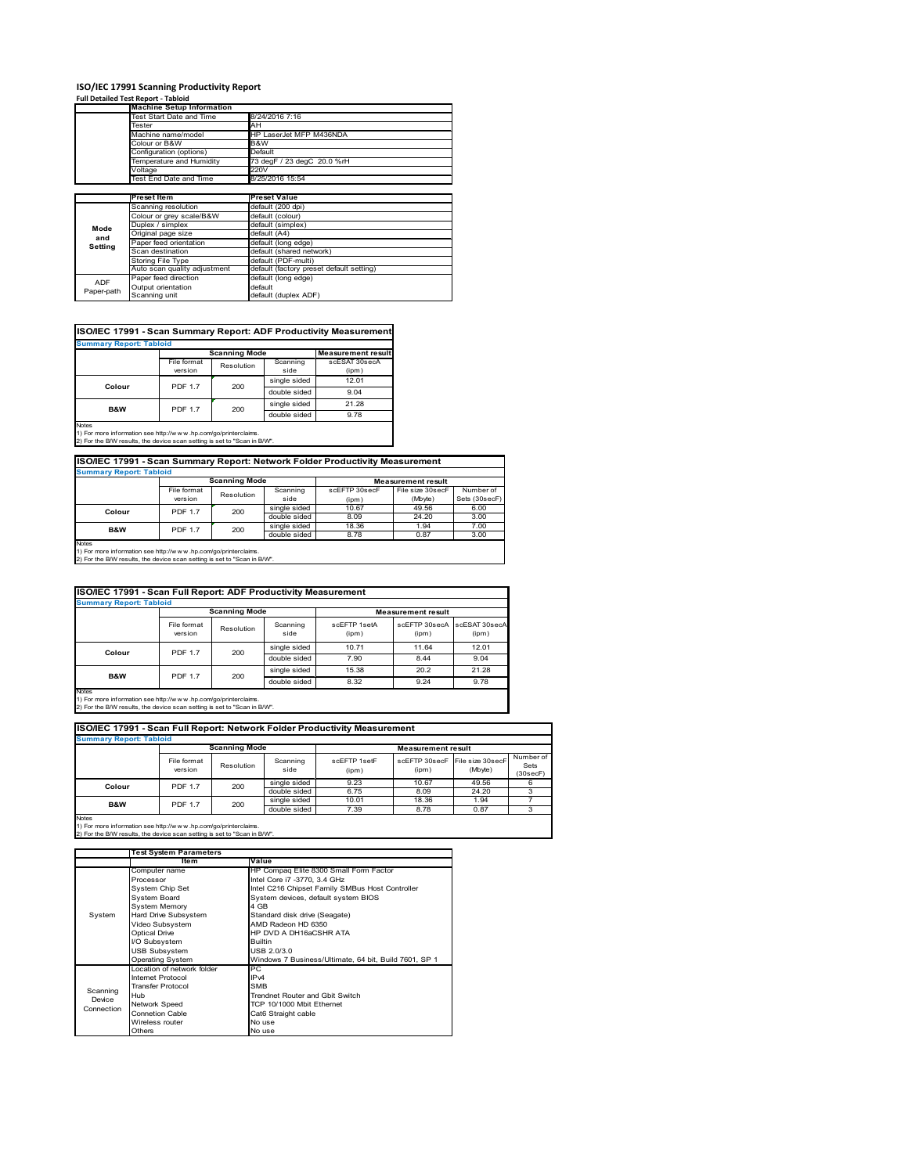# **ISO/IEC 17991 Scanning Productivity Report Full Detailed Test Report ‐ Tabloid Machine Setup Information**

|            | <b>Machine Setup Information</b> |                                          |
|------------|----------------------------------|------------------------------------------|
|            | <b>Test Start Date and Time</b>  | 8/24/2016 7:16                           |
|            | Tester                           | AH                                       |
|            | Machine name/model               | HP LaserJet MFP M436NDA                  |
|            | Colour or B&W                    | B&W                                      |
|            | Configuration (options)          | Default                                  |
|            | emperature and Humidity          | 73 degF / 23 degC 20.0 %rH               |
|            | Voltage                          | 220V                                     |
|            | Test End Date and Time           | 8/25/2016 15:54                          |
|            |                                  |                                          |
|            | <b>Preset Item</b>               | <b>Preset Value</b>                      |
|            | Scanning resolution              | default (200 dpi)                        |
|            | Colour or grey scale/B&W         | default (colour)                         |
| Mode       | Duplex / simplex                 | default (simplex)                        |
|            | Original page size               | default (A4)                             |
| and        | Paper feed orientation           | default (long edge)                      |
| Setting    | Scan destination                 | default (shared network)                 |
|            | Storing File Type                | default (PDF-multi)                      |
|            | Auto scan quality adjustment     | default (factory preset default setting) |
|            | Paper feed direction             | default (long edge)                      |
| <b>ADF</b> |                                  |                                          |
| Paper-path | Output orientation               | default                                  |

| <b>Summary Report: Tabloid</b> |                |                      |              |                           |
|--------------------------------|----------------|----------------------|--------------|---------------------------|
|                                |                | <b>Scanning Mode</b> |              | <b>Measurement result</b> |
|                                | File format    | Resolution           | Scanning     | scESAT 30secA             |
|                                | version        |                      | side         | (ipm)                     |
|                                | <b>PDF 1.7</b> | 200                  | single sided | 12.01                     |
| Colour                         |                |                      | double sided | 9.04                      |
| <b>B&amp;W</b>                 | <b>PDF 1.7</b> | 200                  | single sided | 21.28                     |
|                                |                |                      | double sided | 9.78                      |

1) For more information see http://w w w .hp.com/go/printerclaims. 2) For the B/W results, the device scan setting is set to "Scan in B/W".

| ISO/IEC 17991 - Scan Summary Report: Network Folder Productivity Measurement |                                                   |            |                  |                        |                             |                            |  |  |  |
|------------------------------------------------------------------------------|---------------------------------------------------|------------|------------------|------------------------|-----------------------------|----------------------------|--|--|--|
| <b>Summary Report: Tabloid</b>                                               |                                                   |            |                  |                        |                             |                            |  |  |  |
|                                                                              | <b>Scanning Mode</b><br><b>Measurement result</b> |            |                  |                        |                             |                            |  |  |  |
|                                                                              | File format<br>version                            | Resolution | Scanning<br>side | scEFTP 30secF<br>(ipm) | File size 30secF<br>(Mbyte) | Number of<br>Sets (30secF) |  |  |  |
| Colour                                                                       | <b>PDF 1.7</b>                                    | 200        | single sided     | 10.67                  | 49.56                       | 6.00                       |  |  |  |
|                                                                              |                                                   |            | double sided     | 8.09                   | 24.20                       | 3.00                       |  |  |  |
| <b>B&amp;W</b>                                                               | <b>PDF 1.7</b>                                    | 200        | single sided     | 18.36                  | 1.94                        | 7.00                       |  |  |  |
|                                                                              |                                                   |            | double sided     | 8.78                   | 0.87                        | 3.00                       |  |  |  |
| Motor                                                                        |                                                   |            |                  |                        |                             |                            |  |  |  |

Notes 1) For more information see http://w w w .hp.com/go/printerclaims. 2) For the B/W results, the device scan setting is set to "Scan in B/W".

| ISO/IEC 17991 - Scan Full Report: ADF Productivity Measurement                                                                                                 |                        |                      |                  |                       |                           |                        |  |
|----------------------------------------------------------------------------------------------------------------------------------------------------------------|------------------------|----------------------|------------------|-----------------------|---------------------------|------------------------|--|
| <b>Summary Report: Tabloid</b>                                                                                                                                 |                        |                      |                  |                       |                           |                        |  |
|                                                                                                                                                                |                        | <b>Scanning Mode</b> |                  |                       | <b>Measurement result</b> |                        |  |
|                                                                                                                                                                | File format<br>version | Resolution           | Scanning<br>side | scFFTP 1setA<br>(ipm) | scEETP 30secA<br>(ipm)    | scESAT 30secA<br>(ipm) |  |
|                                                                                                                                                                | <b>PDF 1.7</b>         | 200                  | single sided     | 10.71                 | 11.64                     | 12.01                  |  |
| Colour                                                                                                                                                         |                        |                      | double sided     | 7.90                  | 8.44                      | 9.04                   |  |
| B&W                                                                                                                                                            |                        |                      | single sided     | 15.38                 | 20.2                      | 21.28                  |  |
|                                                                                                                                                                | <b>PDF 1.7</b>         | 200                  | double sided     | 8.32                  | 9.24                      | 9.78                   |  |
| <b>Notes</b><br>1) For more information see http://w w w .hp.com/go/printerclaims.<br>2) For the B/W results, the device scan setting is set to "Scan in B/W". |                        |                      |                  |                       |                           |                        |  |

| ISO/IEC 17991 - Scan Full Report: Network Folder Productivity Measurement |                        |            |                  |                       |                           |                                           |                               |  |  |  |
|---------------------------------------------------------------------------|------------------------|------------|------------------|-----------------------|---------------------------|-------------------------------------------|-------------------------------|--|--|--|
| <b>Summary Report: Tabloid</b>                                            |                        |            |                  |                       |                           |                                           |                               |  |  |  |
|                                                                           | <b>Scanning Mode</b>   |            |                  |                       | <b>Measurement result</b> |                                           |                               |  |  |  |
|                                                                           | File format<br>version | Resolution | Scanning<br>side | scEFTP 1setF<br>(ipm) | (ipm)                     | scEFTP 30secF File size 30secF<br>(Mbyte) | Number of<br>Sets<br>(30secF) |  |  |  |
| Colour                                                                    | <b>PDF 1.7</b>         | 200        | single sided     | 9.23                  | 10.67                     | 49.56                                     |                               |  |  |  |
|                                                                           |                        |            | double sided     | 6.75                  | 8.09                      | 24.20                                     |                               |  |  |  |
| <b>B&amp;W</b>                                                            | <b>PDF 1.7</b>         | 200        | single sided     | 10.01                 | 18.36                     | 1.94                                      |                               |  |  |  |
|                                                                           |                        |            | double sided     | 7.39                  | 8.78                      | 0.87                                      |                               |  |  |  |
| <b>Notes</b>                                                              |                        |            |                  |                       |                           |                                           |                               |  |  |  |

|            | <b>Test System Parameters</b> |                                                       |  |  |  |
|------------|-------------------------------|-------------------------------------------------------|--|--|--|
|            | Item                          | Value                                                 |  |  |  |
|            | Computer name                 | HP Compag Elite 8300 Small Form Factor                |  |  |  |
|            | Processor                     | Intel Core i7 -3770, 3.4 GHz                          |  |  |  |
|            | System Chip Set               | Intel C216 Chipset Family SMBus Host Controller       |  |  |  |
|            | System Board                  | System devices, default system BIOS                   |  |  |  |
|            | <b>System Memory</b>          | 4 GB                                                  |  |  |  |
| System     | Hard Drive Subsystem          | Standard disk drive (Seagate)                         |  |  |  |
|            | Video Subsystem               | AMD Radeon HD 6350                                    |  |  |  |
|            | <b>Optical Drive</b>          | HP DVD A DH16aCSHR ATA                                |  |  |  |
|            | I/O Subsystem                 | <b>Builtin</b>                                        |  |  |  |
|            | <b>USB Subsystem</b>          | USB 2.0/3.0                                           |  |  |  |
|            | <b>Operating System</b>       | Windows 7 Business/Ultimate, 64 bit, Build 7601, SP 1 |  |  |  |
|            | I ocation of network folder   | PC.                                                   |  |  |  |
|            | Internet Protocol             | IP <sub>v4</sub>                                      |  |  |  |
| Scanning   | <b>Transfer Protocol</b>      | <b>SMB</b>                                            |  |  |  |
| Device     | Hub                           | Trendnet Router and Gbit Switch                       |  |  |  |
| Connection | Network Speed                 | TCP 10/1000 Mbit Ethernet                             |  |  |  |
|            | <b>Connetion Cable</b>        | Cat6 Straight cable                                   |  |  |  |
|            | Wireless router               | No use                                                |  |  |  |
|            | Others                        | No use                                                |  |  |  |